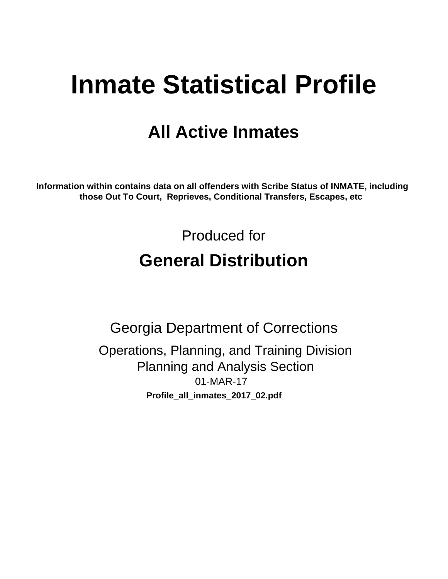# **Inmate Statistical Profile**

# **All Active Inmates**

Information within contains data on all offenders with Scribe Status of INMATE, including those Out To Court, Reprieves, Conditional Transfers, Escapes, etc

> Produced for **General Distribution**

**Georgia Department of Corrections** Operations, Planning, and Training Division **Planning and Analysis Section** 01-MAR-17 Profile\_all\_inmates\_2017\_02.pdf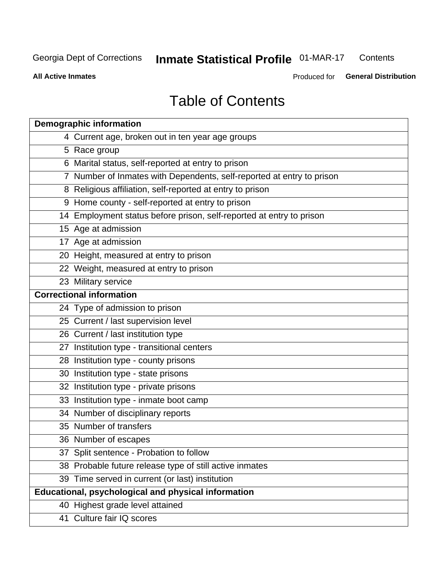#### **Inmate Statistical Profile 01-MAR-17** Contents

**All Active Inmates** 

Produced for General Distribution

# **Table of Contents**

| <b>Demographic information</b>                                        |
|-----------------------------------------------------------------------|
| 4 Current age, broken out in ten year age groups                      |
| 5 Race group                                                          |
| 6 Marital status, self-reported at entry to prison                    |
| 7 Number of Inmates with Dependents, self-reported at entry to prison |
| 8 Religious affiliation, self-reported at entry to prison             |
| 9 Home county - self-reported at entry to prison                      |
| 14 Employment status before prison, self-reported at entry to prison  |
| 15 Age at admission                                                   |
| 17 Age at admission                                                   |
| 20 Height, measured at entry to prison                                |
| 22 Weight, measured at entry to prison                                |
| 23 Military service                                                   |
| <b>Correctional information</b>                                       |
| 24 Type of admission to prison                                        |
| 25 Current / last supervision level                                   |
| 26 Current / last institution type                                    |
| 27 Institution type - transitional centers                            |
| 28 Institution type - county prisons                                  |
| 30 Institution type - state prisons                                   |
| 32 Institution type - private prisons                                 |
| 33 Institution type - inmate boot camp                                |
| 34 Number of disciplinary reports                                     |
| 35 Number of transfers                                                |
| 36 Number of escapes                                                  |
| 37 Split sentence - Probation to follow                               |
| 38 Probable future release type of still active inmates               |
| 39 Time served in current (or last) institution                       |
| Educational, psychological and physical information                   |
| 40 Highest grade level attained                                       |
| 41 Culture fair IQ scores                                             |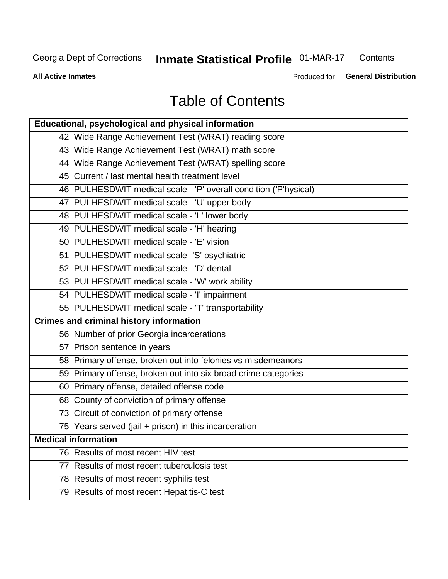# **Inmate Statistical Profile 01-MAR-17**

Contents

**All Active Inmates** 

Produced for General Distribution

# **Table of Contents**

| Educational, psychological and physical information              |
|------------------------------------------------------------------|
| 42 Wide Range Achievement Test (WRAT) reading score              |
| 43 Wide Range Achievement Test (WRAT) math score                 |
| 44 Wide Range Achievement Test (WRAT) spelling score             |
| 45 Current / last mental health treatment level                  |
| 46 PULHESDWIT medical scale - 'P' overall condition ('P'hysical) |
| 47 PULHESDWIT medical scale - 'U' upper body                     |
| 48 PULHESDWIT medical scale - 'L' lower body                     |
| 49 PULHESDWIT medical scale - 'H' hearing                        |
| 50 PULHESDWIT medical scale - 'E' vision                         |
| 51 PULHESDWIT medical scale -'S' psychiatric                     |
| 52 PULHESDWIT medical scale - 'D' dental                         |
| 53 PULHESDWIT medical scale - 'W' work ability                   |
| 54 PULHESDWIT medical scale - 'I' impairment                     |
| 55 PULHESDWIT medical scale - 'T' transportability               |
| <b>Crimes and criminal history information</b>                   |
| 56 Number of prior Georgia incarcerations                        |
| 57 Prison sentence in years                                      |
| 58 Primary offense, broken out into felonies vs misdemeanors     |
| 59 Primary offense, broken out into six broad crime categories   |
| 60 Primary offense, detailed offense code                        |
| 68 County of conviction of primary offense                       |
| 73 Circuit of conviction of primary offense                      |
| 75 Years served (jail + prison) in this incarceration            |
| <b>Medical information</b>                                       |
| 76 Results of most recent HIV test                               |
| 77 Results of most recent tuberculosis test                      |
| 78 Results of most recent syphilis test                          |
| 79 Results of most recent Hepatitis-C test                       |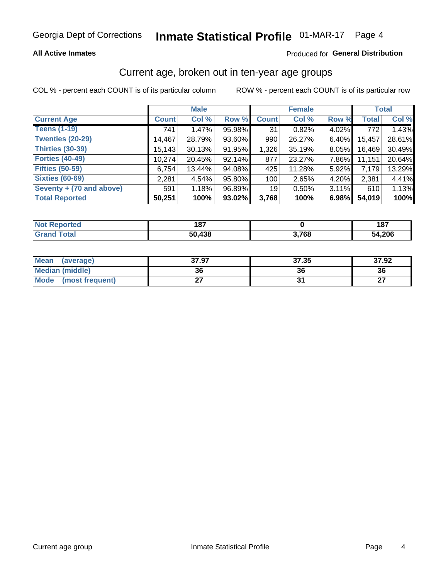### Inmate Statistical Profile 01-MAR-17 Page 4

#### **All Active Inmates**

### Produced for General Distribution

### Current age, broken out in ten-year age groups

COL % - percent each COUNT is of its particular column

|                          |              | <b>Male</b> |        |                 | <b>Female</b> |          |              | <b>Total</b> |  |
|--------------------------|--------------|-------------|--------|-----------------|---------------|----------|--------------|--------------|--|
| <b>Current Age</b>       | <b>Count</b> | Col %       | Row %  | <b>Count</b>    | Col %         | Row %    | <b>Total</b> | Col %        |  |
| <b>Teens (1-19)</b>      | 741          | 1.47%       | 95.98% | 31              | 0.82%         | 4.02%    | 772          | 1.43%        |  |
| <b>Twenties (20-29)</b>  | 14,467       | 28.79%      | 93.60% | 990             | 26.27%        | $6.40\%$ | 15,457       | 28.61%       |  |
| <b>Thirties (30-39)</b>  | 15,143       | 30.13%      | 91.95% | 1,326           | 35.19%        | 8.05%    | 16,469       | 30.49%       |  |
| <b>Forties (40-49)</b>   | 10,274       | 20.45%      | 92.14% | 877             | 23.27%        | 7.86%    | 11,151       | 20.64%       |  |
| <b>Fifties (50-59)</b>   | 6,754        | 13.44%      | 94.08% | 425             | 11.28%        | 5.92%    | 7,179        | 13.29%       |  |
| <b>Sixties (60-69)</b>   | 2,281        | 4.54%       | 95.80% | 100             | 2.65%         | 4.20%    | 2,381        | 4.41%        |  |
| Seventy + (70 and above) | 591          | 1.18%       | 96.89% | 19 <sup>1</sup> | 0.50%         | 3.11%    | 610          | 1.13%        |  |
| <b>Total Reported</b>    | 50,251       | 100%        | 93.02% | 3,768           | 100%          | 6.98%    | 54,019       | 100%         |  |

| <b>Not</b><br><b>Anorted</b> | 407<br>107  |            | 187    |
|------------------------------|-------------|------------|--------|
| Total                        | ,438<br>50. | 2700<br>uu | 54,206 |

| <b>Mean</b><br>(average)       | 37.97 | 37.35 | 37.92         |
|--------------------------------|-------|-------|---------------|
| Median (middle)                | 36    | 36    | 36            |
| <b>Mode</b><br>(most frequent) |       |       | $\sim$<br>. . |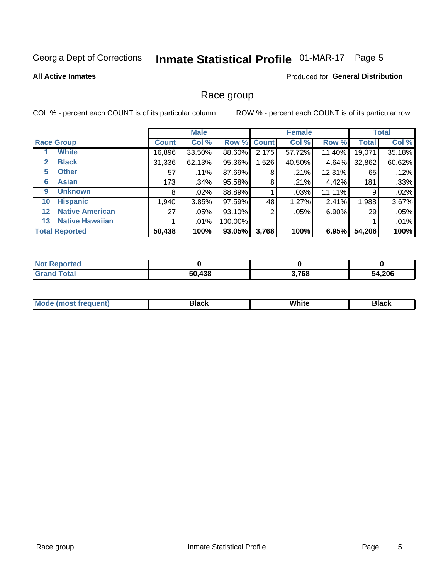# Inmate Statistical Profile 01-MAR-17 Page 5

#### **All Active Inmates**

### **Produced for General Distribution**

### Race group

COL % - percent each COUNT is of its particular column

|                   |                        |              | <b>Male</b> |         |             | <b>Female</b> |           |              | <b>Total</b> |  |
|-------------------|------------------------|--------------|-------------|---------|-------------|---------------|-----------|--------------|--------------|--|
|                   | <b>Race Group</b>      | <b>Count</b> | Col %       |         | Row % Count | Col %         | Row %     | <b>Total</b> | Col %        |  |
|                   | <b>White</b>           | 16,896       | 33.50%      | 88.60%  | 2,175       | 57.72%        | 11.40%    | 19,071       | 35.18%       |  |
| 2                 | <b>Black</b>           | 31,336       | 62.13%      | 95.36%  | 1,526       | 40.50%        | 4.64%     | 32,862       | 60.62%       |  |
| 5                 | <b>Other</b>           | 57           | .11%        | 87.69%  | 8           | .21%          | $12.31\%$ | 65           | .12%         |  |
| 6                 | <b>Asian</b>           | 173          | .34%        | 95.58%  | 8           | .21%          | 4.42%     | 181          | .33%         |  |
| 9                 | <b>Unknown</b>         | 8            | $.02\%$     | 88.89%  |             | .03%          | 11.11%    | 9            | .02%         |  |
| 10                | <b>Hispanic</b>        | 1,940        | 3.85%       | 97.59%  | 48          | 1.27%         | 2.41%     | 1,988        | 3.67%        |  |
| $12 \overline{ }$ | <b>Native American</b> | 27           | $.05\%$     | 93.10%  | 2           | .05%          | 6.90%     | 29           | .05%         |  |
| 13                | <b>Native Hawaiian</b> |              | $.01\%$     | 100.00% |             |               |           |              | .01%         |  |
|                   | <b>Total Reported</b>  | 50,438       | 100%        | 93.05%  | 3,768       | 100%          | 6.95%     | 54,206       | 100%         |  |

| <b>Not Reported</b> |        |       |        |
|---------------------|--------|-------|--------|
| <b>Grand Total</b>  | 50,438 | 3,768 | 54,206 |

| <b>Mode</b><br>---<br>most frequent) | Black | White | <b>Black</b> |
|--------------------------------------|-------|-------|--------------|
|                                      |       |       |              |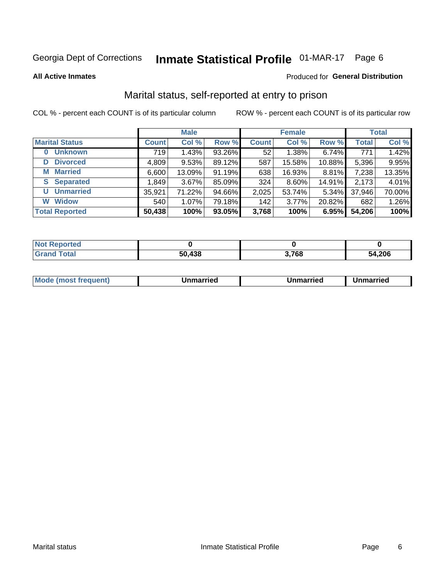# Inmate Statistical Profile 01-MAR-17 Page 6

**All Active Inmates** 

### Produced for General Distribution

### Marital status, self-reported at entry to prison

COL % - percent each COUNT is of its particular column

|                            | <b>Male</b>  |        |        |              | <b>Female</b> | <b>Total</b> |              |        |
|----------------------------|--------------|--------|--------|--------------|---------------|--------------|--------------|--------|
| <b>Marital Status</b>      | <b>Count</b> | Col %  | Row %  | <b>Count</b> | Col %         | Row %        | <b>Total</b> | Col %  |
| <b>Unknown</b><br>$\bf{0}$ | 719          | 1.43%  | 93.26% | 52           | 1.38%         | 6.74%        | 771          | 1.42%  |
| <b>Divorced</b><br>D       | 4,809        | 9.53%  | 89.12% | 587          | 15.58%        | 10.88%       | 5,396        | 9.95%  |
| <b>Married</b><br>М        | 6,600        | 13.09% | 91.19% | 638          | 16.93%        | 8.81%        | 7,238        | 13.35% |
| <b>Separated</b><br>S.     | 1,849        | 3.67%  | 85.09% | 324          | 8.60%         | 14.91%       | 2,173        | 4.01%  |
| <b>Unmarried</b><br>U      | 35,921       | 71.22% | 94.66% | 2,025        | 53.74%        | 5.34%        | 37,946       | 70.00% |
| <b>Widow</b><br>W          | 540          | 1.07%  | 79.18% | 142          | 3.77%         | 20.82%       | 682          | 1.26%  |
| <b>Total Reported</b>      | 50,438       | 100%   | 93.05% | 3,768        | 100%          | 6.95%        | 54,206       | 100%   |

| <b>Not Reported</b> |            |                     |        |
|---------------------|------------|---------------------|--------|
| <b>Total</b>        | 120<br>490 | 700<br><b>J.IDO</b> | 54,206 |

|--|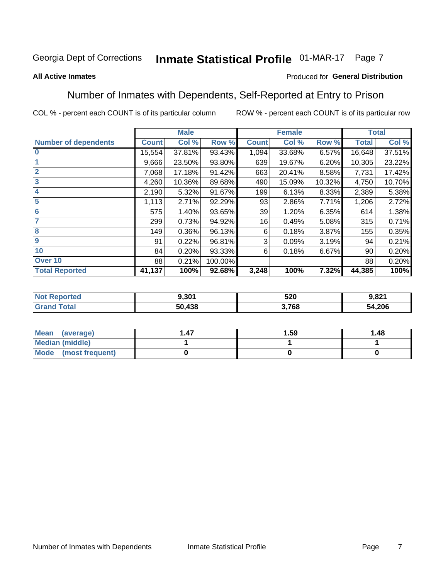#### Inmate Statistical Profile 01-MAR-17 Page 7

#### **All Active Inmates**

### Produced for General Distribution

### Number of Inmates with Dependents, Self-Reported at Entry to Prison

COL % - percent each COUNT is of its particular column

|                             |              | <b>Male</b> |         |              | <b>Female</b> |        |              | <b>Total</b> |
|-----------------------------|--------------|-------------|---------|--------------|---------------|--------|--------------|--------------|
| <b>Number of dependents</b> | <b>Count</b> | Col %       | Row %   | <b>Count</b> | Col %         | Row %  | <b>Total</b> | Col %        |
| $\overline{0}$              | 15,554       | 37.81%      | 93.43%  | 1,094        | 33.68%        | 6.57%  | 16,648       | 37.51%       |
|                             | 9,666        | 23.50%      | 93.80%  | 639          | 19.67%        | 6.20%  | 10,305       | 23.22%       |
| $\overline{2}$              | 7,068        | 17.18%      | 91.42%  | 663          | 20.41%        | 8.58%  | 7,731        | 17.42%       |
| $\overline{\mathbf{3}}$     | 4,260        | 10.36%      | 89.68%  | 490          | 15.09%        | 10.32% | 4,750        | 10.70%       |
| 4                           | 2,190        | 5.32%       | 91.67%  | 199          | 6.13%         | 8.33%  | 2,389        | 5.38%        |
| 5                           | 1,113        | 2.71%       | 92.29%  | 93           | 2.86%         | 7.71%  | 1,206        | 2.72%        |
| 6                           | 575          | 1.40%       | 93.65%  | 39           | 1.20%         | 6.35%  | 614          | 1.38%        |
| 7                           | 299          | 0.73%       | 94.92%  | 16           | 0.49%         | 5.08%  | 315          | 0.71%        |
| 8                           | 149          | 0.36%       | 96.13%  | 6            | 0.18%         | 3.87%  | 155          | 0.35%        |
| 9                           | 91           | 0.22%       | 96.81%  | 3            | 0.09%         | 3.19%  | 94           | 0.21%        |
| 10                          | 84           | 0.20%       | 93.33%  | 6            | 0.18%         | 6.67%  | 90           | 0.20%        |
| Over 10                     | 88           | 0.21%       | 100.00% |              |               |        | 88           | 0.20%        |
| <b>Total Reported</b>       | 41,137       | 100%        | 92.68%  | 3,248        | 100%          | 7.32%  | 44,385       | 100%         |

| w. | 9.301  | 520         | n ond<br>1.OZ I |
|----|--------|-------------|-----------------|
|    | 50.438 | 700<br>' OO | 54,206          |

| Mean (average)       | 1.59 | 1.48 |
|----------------------|------|------|
| Median (middle)      |      |      |
| Mode (most frequent) |      |      |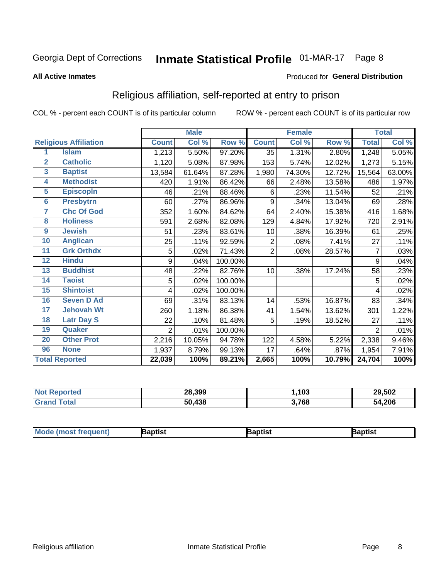# Inmate Statistical Profile 01-MAR-17 Page 8

#### **All Active Inmates**

### Produced for General Distribution

### Religious affiliation, self-reported at entry to prison

COL % - percent each COUNT is of its particular column

|                         |                              |                | <b>Male</b> |         |                | <b>Female</b> |        |                | <b>Total</b> |
|-------------------------|------------------------------|----------------|-------------|---------|----------------|---------------|--------|----------------|--------------|
|                         | <b>Religious Affiliation</b> | <b>Count</b>   | Col %       | Row %   | <b>Count</b>   | Col %         | Row %  | <b>Total</b>   | Col %        |
| 1                       | <b>Islam</b>                 | 1,213          | 5.50%       | 97.20%  | 35             | 1.31%         | 2.80%  | 1,248          | 5.05%        |
| $\mathbf{2}$            | <b>Catholic</b>              | 1,120          | 5.08%       | 87.98%  | 153            | 5.74%         | 12.02% | 1,273          | 5.15%        |
| $\overline{\mathbf{3}}$ | <b>Baptist</b>               | 13,584         | 61.64%      | 87.28%  | 1,980          | 74.30%        | 12.72% | 15,564         | 63.00%       |
| $\overline{\mathbf{4}}$ | <b>Methodist</b>             | 420            | 1.91%       | 86.42%  | 66             | 2.48%         | 13.58% | 486            | 1.97%        |
| $\overline{5}$          | <b>EpiscopIn</b>             | 46             | .21%        | 88.46%  | 6              | .23%          | 11.54% | 52             | .21%         |
| $6\overline{6}$         | <b>Presbytrn</b>             | 60             | .27%        | 86.96%  | 9              | .34%          | 13.04% | 69             | .28%         |
| 7                       | <b>Chc Of God</b>            | 352            | 1.60%       | 84.62%  | 64             | 2.40%         | 15.38% | 416            | 1.68%        |
| 8                       | <b>Holiness</b>              | 591            | 2.68%       | 82.08%  | 129            | 4.84%         | 17.92% | 720            | 2.91%        |
| $\boldsymbol{9}$        | <b>Jewish</b>                | 51             | .23%        | 83.61%  | 10             | .38%          | 16.39% | 61             | .25%         |
| 10                      | <b>Anglican</b>              | 25             | .11%        | 92.59%  | 2              | .08%          | 7.41%  | 27             | .11%         |
| 11                      | <b>Grk Orthdx</b>            | 5              | .02%        | 71.43%  | $\overline{2}$ | .08%          | 28.57% | 7              | .03%         |
| 12                      | <b>Hindu</b>                 | 9              | .04%        | 100.00% |                |               |        | 9              | .04%         |
| 13                      | <b>Buddhist</b>              | 48             | .22%        | 82.76%  | 10             | .38%          | 17.24% | 58             | .23%         |
| 14                      | <b>Taoist</b>                | 5              | .02%        | 100.00% |                |               |        | 5              | .02%         |
| 15                      | <b>Shintoist</b>             | 4              | .02%        | 100.00% |                |               |        | 4              | .02%         |
| 16                      | <b>Seven D Ad</b>            | 69             | .31%        | 83.13%  | 14             | .53%          | 16.87% | 83             | .34%         |
| 17                      | <b>Jehovah Wt</b>            | 260            | 1.18%       | 86.38%  | 41             | 1.54%         | 13.62% | 301            | 1.22%        |
| 18                      | <b>Latr Day S</b>            | 22             | .10%        | 81.48%  | 5              | .19%          | 18.52% | 27             | .11%         |
| 19                      | Quaker                       | $\overline{2}$ | .01%        | 100.00% |                |               |        | $\overline{2}$ | .01%         |
| 20                      | <b>Other Prot</b>            | 2,216          | 10.05%      | 94.78%  | 122            | 4.58%         | 5.22%  | 2,338          | 9.46%        |
| 96                      | <b>None</b>                  | 1,937          | 8.79%       | 99.13%  | 17             | .64%          | .87%   | 1,954          | 7.91%        |
|                         | <b>Total Reported</b>        | 22,039         | 100%        | 89.21%  | 2,665          | 100%          | 10.79% | 24,704         | 100%         |

| 28,399     | ,103  | 29,502 |
|------------|-------|--------|
| .438<br>50 | 3,768 | 54,206 |

|  | <b>Mode (most frequent)</b> | ıntist<br>ິ | <b>'a</b> ptist | aptist |
|--|-----------------------------|-------------|-----------------|--------|
|--|-----------------------------|-------------|-----------------|--------|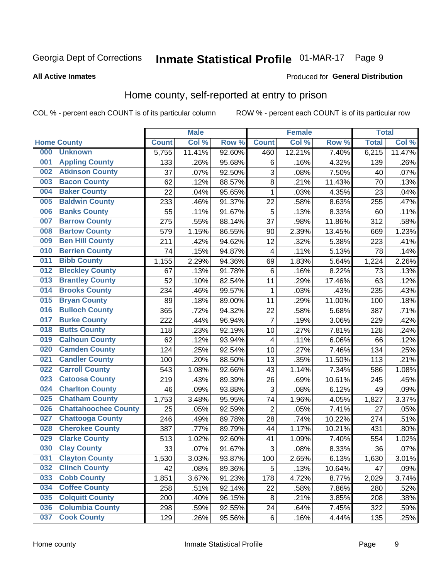# Inmate Statistical Profile 01-MAR-17 Page 9

#### **All Active Inmates**

#### Produced for General Distribution

### Home county, self-reported at entry to prison

COL % - percent each COUNT is of its particular column

|     |                             |              | <b>Male</b> |                  |                | <b>Female</b> |        | <b>Total</b> |        |
|-----|-----------------------------|--------------|-------------|------------------|----------------|---------------|--------|--------------|--------|
|     | <b>Home County</b>          | <b>Count</b> | Col %       | Row <sup>%</sup> | <b>Count</b>   | Col %         | Row %  | <b>Total</b> | Col %  |
| 000 | <b>Unknown</b>              | 5,755        | 11.41%      | 92.60%           | 460            | 12.21%        | 7.40%  | 6,215        | 11.47% |
| 001 | <b>Appling County</b>       | 133          | .26%        | 95.68%           | 6              | .16%          | 4.32%  | 139          | .26%   |
| 002 | <b>Atkinson County</b>      | 37           | .07%        | 92.50%           | 3              | .08%          | 7.50%  | 40           | .07%   |
| 003 | <b>Bacon County</b>         | 62           | .12%        | 88.57%           | 8              | .21%          | 11.43% | 70           | .13%   |
| 004 | <b>Baker County</b>         | 22           | .04%        | 95.65%           | $\mathbf 1$    | .03%          | 4.35%  | 23           | .04%   |
| 005 | <b>Baldwin County</b>       | 233          | .46%        | 91.37%           | 22             | .58%          | 8.63%  | 255          | .47%   |
| 006 | <b>Banks County</b>         | 55           | .11%        | 91.67%           | 5              | .13%          | 8.33%  | 60           | .11%   |
| 007 | <b>Barrow County</b>        | 275          | .55%        | 88.14%           | 37             | .98%          | 11.86% | 312          | .58%   |
| 008 | <b>Bartow County</b>        | 579          | 1.15%       | 86.55%           | 90             | 2.39%         | 13.45% | 669          | 1.23%  |
| 009 | <b>Ben Hill County</b>      | 211          | .42%        | 94.62%           | 12             | .32%          | 5.38%  | 223          | .41%   |
| 010 | <b>Berrien County</b>       | 74           | .15%        | 94.87%           | 4              | .11%          | 5.13%  | 78           | .14%   |
| 011 | <b>Bibb County</b>          | 1,155        | 2.29%       | 94.36%           | 69             | 1.83%         | 5.64%  | 1,224        | 2.26%  |
| 012 | <b>Bleckley County</b>      | 67           | .13%        | 91.78%           | 6              | .16%          | 8.22%  | 73           | .13%   |
| 013 | <b>Brantley County</b>      | 52           | .10%        | 82.54%           | 11             | .29%          | 17.46% | 63           | .12%   |
| 014 | <b>Brooks County</b>        | 234          | .46%        | 99.57%           | $\mathbf{1}$   | .03%          | .43%   | 235          | .43%   |
| 015 | <b>Bryan County</b>         | 89           | .18%        | 89.00%           | 11             | .29%          | 11.00% | 100          | .18%   |
| 016 | <b>Bulloch County</b>       | 365          | .72%        | 94.32%           | 22             | .58%          | 5.68%  | 387          | .71%   |
| 017 | <b>Burke County</b>         | 222          | .44%        | 96.94%           | 7              | .19%          | 3.06%  | 229          | .42%   |
| 018 | <b>Butts County</b>         | 118          | .23%        | 92.19%           | 10             | .27%          | 7.81%  | 128          | .24%   |
| 019 | <b>Calhoun County</b>       | 62           | .12%        | 93.94%           | 4              | .11%          | 6.06%  | 66           | .12%   |
| 020 | <b>Camden County</b>        | 124          | .25%        | 92.54%           | 10             | .27%          | 7.46%  | 134          | .25%   |
| 021 | <b>Candler County</b>       | 100          | .20%        | 88.50%           | 13             | .35%          | 11.50% | 113          | .21%   |
| 022 | <b>Carroll County</b>       | 543          | 1.08%       | 92.66%           | 43             | 1.14%         | 7.34%  | 586          | 1.08%  |
| 023 | <b>Catoosa County</b>       | 219          | .43%        | 89.39%           | 26             | .69%          | 10.61% | 245          | .45%   |
| 024 | <b>Charlton County</b>      | 46           | .09%        | 93.88%           | 3              | .08%          | 6.12%  | 49           | .09%   |
| 025 | <b>Chatham County</b>       | 1,753        | 3.48%       | 95.95%           | 74             | 1.96%         | 4.05%  | 1,827        | 3.37%  |
| 026 | <b>Chattahoochee County</b> | 25           | .05%        | 92.59%           | $\overline{2}$ | .05%          | 7.41%  | 27           | .05%   |
| 027 | <b>Chattooga County</b>     | 246          | .49%        | 89.78%           | 28             | .74%          | 10.22% | 274          | .51%   |
| 028 | <b>Cherokee County</b>      | 387          | .77%        | 89.79%           | 44             | 1.17%         | 10.21% | 431          | .80%   |
| 029 | <b>Clarke County</b>        | 513          | 1.02%       | 92.60%           | 41             | 1.09%         | 7.40%  | 554          | 1.02%  |
| 030 | <b>Clay County</b>          | 33           | .07%        | 91.67%           | 3              | .08%          | 8.33%  | 36           | .07%   |
| 031 | <b>Clayton County</b>       | 1,530        | 3.03%       | 93.87%           | 100            | 2.65%         | 6.13%  | 1,630        | 3.01%  |
| 032 | <b>Clinch County</b>        | 42           | .08%        | 89.36%           | 5              | .13%          | 10.64% | 47           | .09%   |
| 033 | <b>Cobb County</b>          | 1,851        | 3.67%       | 91.23%           | 178            | 4.72%         | 8.77%  | 2,029        | 3.74%  |
| 034 | <b>Coffee County</b>        | 258          | .51%        | 92.14%           | 22             | .58%          | 7.86%  | 280          | .52%   |
| 035 | <b>Colquitt County</b>      | 200          | .40%        | $96.15\%$        | 8              | .21%          | 3.85%  | 208          | .38%   |
| 036 | <b>Columbia County</b>      | 298          | .59%        | 92.55%           | 24             | .64%          | 7.45%  | 322          | .59%   |
| 037 | <b>Cook County</b>          | 129          | .26%        | 95.56%           | $\,6$          | .16%          | 4.44%  | 135          | .25%   |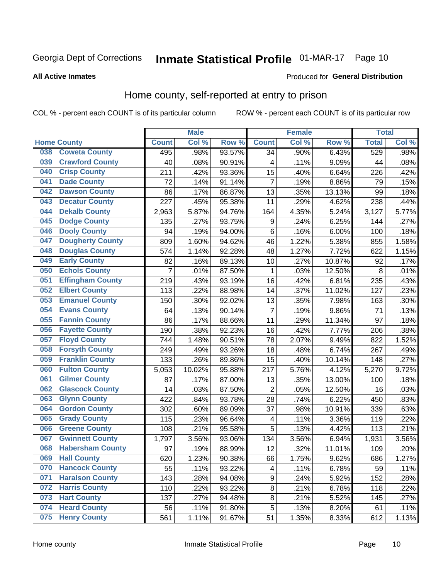# Inmate Statistical Profile 01-MAR-17 Page 10

**All Active Inmates** 

#### Produced for General Distribution

### Home county, self-reported at entry to prison

COL % - percent each COUNT is of its particular column

|     |                         |                | <b>Male</b> |        |                  | <b>Female</b> |        | <b>Total</b> |       |
|-----|-------------------------|----------------|-------------|--------|------------------|---------------|--------|--------------|-------|
|     | <b>Home County</b>      | <b>Count</b>   | Col %       | Row %  | <b>Count</b>     | Col %         | Row %  | <b>Total</b> | Col%  |
| 038 | <b>Coweta County</b>    | 495            | .98%        | 93.57% | $\overline{34}$  | .90%          | 6.43%  | 529          | .98%  |
| 039 | <b>Crawford County</b>  | 40             | .08%        | 90.91% | 4                | .11%          | 9.09%  | 44           | .08%  |
| 040 | <b>Crisp County</b>     | 211            | .42%        | 93.36% | 15               | .40%          | 6.64%  | 226          | .42%  |
| 041 | <b>Dade County</b>      | 72             | .14%        | 91.14% | $\overline{7}$   | .19%          | 8.86%  | 79           | .15%  |
| 042 | <b>Dawson County</b>    | 86             | .17%        | 86.87% | 13               | .35%          | 13.13% | 99           | .18%  |
| 043 | <b>Decatur County</b>   | 227            | .45%        | 95.38% | 11               | .29%          | 4.62%  | 238          | .44%  |
| 044 | <b>Dekalb County</b>    | 2,963          | 5.87%       | 94.76% | 164              | 4.35%         | 5.24%  | 3,127        | 5.77% |
| 045 | <b>Dodge County</b>     | 135            | .27%        | 93.75% | 9                | .24%          | 6.25%  | 144          | .27%  |
| 046 | <b>Dooly County</b>     | 94             | .19%        | 94.00% | 6                | .16%          | 6.00%  | 100          | .18%  |
| 047 | <b>Dougherty County</b> | 809            | 1.60%       | 94.62% | 46               | 1.22%         | 5.38%  | 855          | 1.58% |
| 048 | <b>Douglas County</b>   | 574            | 1.14%       | 92.28% | 48               | 1.27%         | 7.72%  | 622          | 1.15% |
| 049 | <b>Early County</b>     | 82             | .16%        | 89.13% | 10               | .27%          | 10.87% | 92           | .17%  |
| 050 | <b>Echols County</b>    | $\overline{7}$ | .01%        | 87.50% | 1                | .03%          | 12.50% | 8            | .01%  |
| 051 | <b>Effingham County</b> | 219            | .43%        | 93.19% | 16               | .42%          | 6.81%  | 235          | .43%  |
| 052 | <b>Elbert County</b>    | 113            | .22%        | 88.98% | 14               | .37%          | 11.02% | 127          | .23%  |
| 053 | <b>Emanuel County</b>   | 150            | .30%        | 92.02% | 13               | .35%          | 7.98%  | 163          | .30%  |
| 054 | <b>Evans County</b>     | 64             | .13%        | 90.14% | 7                | .19%          | 9.86%  | 71           | .13%  |
| 055 | <b>Fannin County</b>    | 86             | .17%        | 88.66% | 11               | .29%          | 11.34% | 97           | .18%  |
| 056 | <b>Fayette County</b>   | 190            | .38%        | 92.23% | 16               | .42%          | 7.77%  | 206          | .38%  |
| 057 | <b>Floyd County</b>     | 744            | 1.48%       | 90.51% | 78               | 2.07%         | 9.49%  | 822          | 1.52% |
| 058 | <b>Forsyth County</b>   | 249            | .49%        | 93.26% | 18               | .48%          | 6.74%  | 267          | .49%  |
| 059 | <b>Franklin County</b>  | 133            | .26%        | 89.86% | 15               | .40%          | 10.14% | 148          | .27%  |
| 060 | <b>Fulton County</b>    | 5,053          | 10.02%      | 95.88% | 217              | 5.76%         | 4.12%  | 5,270        | 9.72% |
| 061 | <b>Gilmer County</b>    | 87             | .17%        | 87.00% | 13               | .35%          | 13.00% | 100          | .18%  |
| 062 | <b>Glascock County</b>  | 14             | .03%        | 87.50% | $\overline{2}$   | .05%          | 12.50% | 16           | .03%  |
| 063 | <b>Glynn County</b>     | 422            | .84%        | 93.78% | 28               | .74%          | 6.22%  | 450          | .83%  |
| 064 | <b>Gordon County</b>    | 302            | .60%        | 89.09% | $\overline{37}$  | .98%          | 10.91% | 339          | .63%  |
| 065 | <b>Grady County</b>     | 115            | .23%        | 96.64% | 4                | .11%          | 3.36%  | 119          | .22%  |
| 066 | <b>Greene County</b>    | 108            | .21%        | 95.58% | 5                | .13%          | 4.42%  | 113          | .21%  |
| 067 | <b>Gwinnett County</b>  | 1,797          | 3.56%       | 93.06% | 134              | 3.56%         | 6.94%  | 1,931        | 3.56% |
| 068 | <b>Habersham County</b> | 97             | .19%        | 88.99% | 12               | .32%          | 11.01% | 109          | .20%  |
| 069 | <b>Hall County</b>      | 620            | 1.23%       | 90.38% | 66               | 1.75%         | 9.62%  | 686          | 1.27% |
| 070 | <b>Hancock County</b>   | 55             | .11%        | 93.22% | 4                | .11%          | 6.78%  | 59           | .11%  |
| 071 | <b>Haralson County</b>  | 143            | .28%        | 94.08% | $\boldsymbol{9}$ | .24%          | 5.92%  | 152          | .28%  |
| 072 | <b>Harris County</b>    | 110            | .22%        | 93.22% | 8                | .21%          | 6.78%  | 118          | .22%  |
| 073 | <b>Hart County</b>      | 137            | .27%        | 94.48% | 8                | .21%          | 5.52%  | 145          | .27%  |
| 074 | <b>Heard County</b>     | 56             | .11%        | 91.80% | 5                | .13%          | 8.20%  | 61           | .11%  |
| 075 | <b>Henry County</b>     | 561            | 1.11%       | 91.67% | 51               | 1.35%         | 8.33%  | 612          | 1.13% |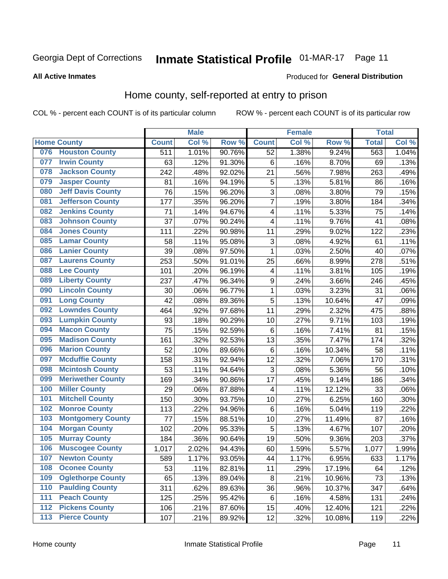#### **Inmate Statistical Profile 01-MAR-17** Page 11

#### **All Active Inmates**

#### Produced for General Distribution

### Home county, self-reported at entry to prison

COL % - percent each COUNT is of its particular column

|                  |                          |              | <b>Male</b> |                  |                         | <b>Female</b> |        | <b>Total</b> |       |
|------------------|--------------------------|--------------|-------------|------------------|-------------------------|---------------|--------|--------------|-------|
|                  | <b>Home County</b>       | <b>Count</b> | Col %       | Row <sup>%</sup> | <b>Count</b>            | Col %         | Row %  | <b>Total</b> | Col % |
| 076              | <b>Houston County</b>    | 511          | 1.01%       | 90.76%           | 52                      | 1.38%         | 9.24%  | 563          | 1.04% |
| 077              | <b>Irwin County</b>      | 63           | .12%        | 91.30%           | 6                       | .16%          | 8.70%  | 69           | .13%  |
| 078              | <b>Jackson County</b>    | 242          | .48%        | 92.02%           | 21                      | .56%          | 7.98%  | 263          | .49%  |
| 079              | <b>Jasper County</b>     | 81           | .16%        | 94.19%           | 5                       | .13%          | 5.81%  | 86           | .16%  |
| 080              | <b>Jeff Davis County</b> | 76           | .15%        | 96.20%           | 3                       | .08%          | 3.80%  | 79           | .15%  |
| 081              | <b>Jefferson County</b>  | 177          | .35%        | 96.20%           | 7                       | .19%          | 3.80%  | 184          | .34%  |
| 082              | <b>Jenkins County</b>    | 71           | .14%        | 94.67%           | $\overline{\mathbf{4}}$ | .11%          | 5.33%  | 75           | .14%  |
| 083              | <b>Johnson County</b>    | 37           | .07%        | 90.24%           | $\overline{\mathbf{4}}$ | .11%          | 9.76%  | 41           | .08%  |
| 084              | <b>Jones County</b>      | 111          | .22%        | 90.98%           | 11                      | .29%          | 9.02%  | 122          | .23%  |
| 085              | <b>Lamar County</b>      | 58           | .11%        | 95.08%           | 3                       | .08%          | 4.92%  | 61           | .11%  |
| 086              | <b>Lanier County</b>     | 39           | .08%        | 97.50%           | 1                       | .03%          | 2.50%  | 40           | .07%  |
| 087              | <b>Laurens County</b>    | 253          | .50%        | 91.01%           | 25                      | .66%          | 8.99%  | 278          | .51%  |
| 088              | <b>Lee County</b>        | 101          | .20%        | 96.19%           | 4                       | .11%          | 3.81%  | 105          | .19%  |
| 089              | <b>Liberty County</b>    | 237          | .47%        | 96.34%           | 9                       | .24%          | 3.66%  | 246          | .45%  |
| 090              | <b>Lincoln County</b>    | 30           | .06%        | 96.77%           | 1                       | .03%          | 3.23%  | 31           | .06%  |
| 091              | <b>Long County</b>       | 42           | .08%        | 89.36%           | 5                       | .13%          | 10.64% | 47           | .09%  |
| 092              | <b>Lowndes County</b>    | 464          | .92%        | 97.68%           | 11                      | .29%          | 2.32%  | 475          | .88%  |
| 093              | <b>Lumpkin County</b>    | 93           | .18%        | 90.29%           | 10                      | .27%          | 9.71%  | 103          | .19%  |
| 094              | <b>Macon County</b>      | 75           | .15%        | 92.59%           | $\,6$                   | .16%          | 7.41%  | 81           | .15%  |
| 095              | <b>Madison County</b>    | 161          | .32%        | 92.53%           | 13                      | .35%          | 7.47%  | 174          | .32%  |
| 096              | <b>Marion County</b>     | 52           | .10%        | 89.66%           | 6                       | .16%          | 10.34% | 58           | .11%  |
| 097              | <b>Mcduffie County</b>   | 158          | .31%        | 92.94%           | 12                      | .32%          | 7.06%  | 170          | .31%  |
| 098              | <b>Mcintosh County</b>   | 53           | .11%        | 94.64%           | 3                       | .08%          | 5.36%  | 56           | .10%  |
| 099              | <b>Meriwether County</b> | 169          | .34%        | 90.86%           | 17                      | .45%          | 9.14%  | 186          | .34%  |
| 100              | <b>Miller County</b>     | 29           | .06%        | 87.88%           | 4                       | .11%          | 12.12% | 33           | .06%  |
| 101              | <b>Mitchell County</b>   | 150          | .30%        | 93.75%           | 10                      | .27%          | 6.25%  | 160          | .30%  |
| 102              | <b>Monroe County</b>     | 113          | .22%        | 94.96%           | $\,6$                   | .16%          | 5.04%  | 119          | .22%  |
| 103              | <b>Montgomery County</b> | 77           | .15%        | 88.51%           | 10                      | .27%          | 11.49% | 87           | .16%  |
| 104              | <b>Morgan County</b>     | 102          | .20%        | 95.33%           | 5                       | .13%          | 4.67%  | 107          | .20%  |
| 105              | <b>Murray County</b>     | 184          | .36%        | 90.64%           | 19                      | .50%          | 9.36%  | 203          | .37%  |
| 106              | <b>Muscogee County</b>   | 1,017        | 2.02%       | 94.43%           | 60                      | 1.59%         | 5.57%  | 1,077        | 1.99% |
| 107              | <b>Newton County</b>     | 589          | 1.17%       | 93.05%           | 44                      | 1.17%         | 6.95%  | 633          | 1.17% |
| 108              | <b>Oconee County</b>     | 53           | .11%        | 82.81%           | 11                      | .29%          | 17.19% | 64           | .12%  |
| 109              | <b>Oglethorpe County</b> | 65           | .13%        | 89.04%           | 8                       | .21%          | 10.96% | 73           | .13%  |
| 110              | <b>Paulding County</b>   | 311          | .62%        | 89.63%           | 36                      | .96%          | 10.37% | 347          | .64%  |
| 111              | <b>Peach County</b>      | 125          | .25%        | 95.42%           | 6                       | .16%          | 4.58%  | 131          | .24%  |
| $\overline{112}$ | <b>Pickens County</b>    | 106          | .21%        | 87.60%           | 15                      | .40%          | 12.40% | 121          | .22%  |
| 113              | <b>Pierce County</b>     | 107          | .21%        | 89.92%           | 12                      | .32%          | 10.08% | 119          | .22%  |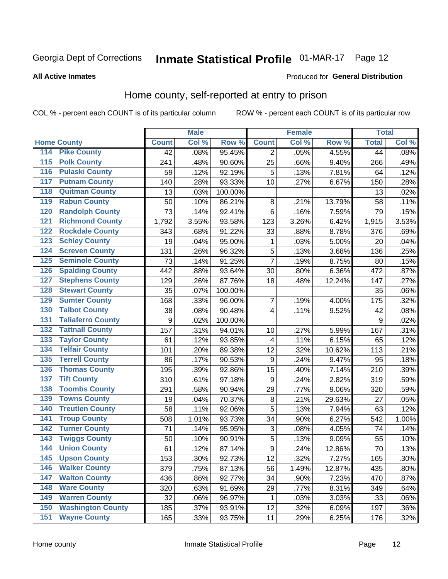# Inmate Statistical Profile 01-MAR-17 Page 12

#### **All Active Inmates**

#### Produced for General Distribution

### Home county, self-reported at entry to prison

COL % - percent each COUNT is of its particular column

|                  |                          |              | <b>Male</b> |                  |                  | <b>Female</b> |        | <b>Total</b> |       |
|------------------|--------------------------|--------------|-------------|------------------|------------------|---------------|--------|--------------|-------|
|                  | <b>Home County</b>       | <b>Count</b> | Col %       | Row <sup>%</sup> | <b>Count</b>     | Col %         | Row %  | <b>Total</b> | Col % |
| 114              | <b>Pike County</b>       | 42           | .08%        | 95.45%           | 2                | .05%          | 4.55%  | 44           | .08%  |
| 115              | <b>Polk County</b>       | 241          | .48%        | 90.60%           | 25               | .66%          | 9.40%  | 266          | .49%  |
| 116              | <b>Pulaski County</b>    | 59           | .12%        | 92.19%           | 5                | .13%          | 7.81%  | 64           | .12%  |
| 117              | <b>Putnam County</b>     | 140          | .28%        | 93.33%           | 10               | .27%          | 6.67%  | 150          | .28%  |
| 118              | <b>Quitman County</b>    | 13           | .03%        | 100.00%          |                  |               |        | 13           | .02%  |
| 119              | <b>Rabun County</b>      | 50           | .10%        | 86.21%           | $\bf 8$          | .21%          | 13.79% | 58           | .11%  |
| 120              | <b>Randolph County</b>   | 73           | .14%        | 92.41%           | $\,6$            | .16%          | 7.59%  | 79           | .15%  |
| 121              | <b>Richmond County</b>   | 1,792        | 3.55%       | 93.58%           | 123              | 3.26%         | 6.42%  | 1,915        | 3.53% |
| 122              | <b>Rockdale County</b>   | 343          | .68%        | 91.22%           | 33               | .88%          | 8.78%  | 376          | .69%  |
| 123              | <b>Schley County</b>     | 19           | .04%        | 95.00%           | 1                | .03%          | 5.00%  | 20           | .04%  |
| 124              | <b>Screven County</b>    | 131          | .26%        | 96.32%           | 5                | .13%          | 3.68%  | 136          | .25%  |
| 125              | <b>Seminole County</b>   | 73           | .14%        | 91.25%           | $\overline{7}$   | .19%          | 8.75%  | 80           | .15%  |
| 126              | <b>Spalding County</b>   | 442          | .88%        | 93.64%           | 30               | .80%          | 6.36%  | 472          | .87%  |
| 127              | <b>Stephens County</b>   | 129          | .26%        | 87.76%           | 18               | .48%          | 12.24% | 147          | .27%  |
| 128              | <b>Stewart County</b>    | 35           | .07%        | 100.00%          |                  |               |        | 35           | .06%  |
| 129              | <b>Sumter County</b>     | 168          | .33%        | 96.00%           | 7                | .19%          | 4.00%  | 175          | .32%  |
| 130              | <b>Talbot County</b>     | 38           | .08%        | 90.48%           | 4                | .11%          | 9.52%  | 42           | .08%  |
| 131              | <b>Taliaferro County</b> | 9            | .02%        | 100.00%          |                  |               |        | 9            | .02%  |
| 132              | <b>Tattnall County</b>   | 157          | .31%        | 94.01%           | 10               | .27%          | 5.99%  | 167          | .31%  |
| 133              | <b>Taylor County</b>     | 61           | .12%        | 93.85%           | 4                | .11%          | 6.15%  | 65           | .12%  |
| 134              | <b>Telfair County</b>    | 101          | .20%        | 89.38%           | 12               | .32%          | 10.62% | 113          | .21%  |
| $\overline{135}$ | <b>Terrell County</b>    | 86           | .17%        | 90.53%           | $\boldsymbol{9}$ | .24%          | 9.47%  | 95           | .18%  |
| 136              | <b>Thomas County</b>     | 195          | .39%        | 92.86%           | 15               | .40%          | 7.14%  | 210          | .39%  |
| 137              | <b>Tift County</b>       | 310          | .61%        | 97.18%           | 9                | .24%          | 2.82%  | 319          | .59%  |
| 138              | <b>Toombs County</b>     | 291          | .58%        | 90.94%           | 29               | .77%          | 9.06%  | 320          | .59%  |
| 139              | <b>Towns County</b>      | 19           | .04%        | 70.37%           | $\bf 8$          | .21%          | 29.63% | 27           | .05%  |
| 140              | <b>Treutlen County</b>   | 58           | .11%        | 92.06%           | 5                | .13%          | 7.94%  | 63           | .12%  |
| 141              | <b>Troup County</b>      | 508          | 1.01%       | 93.73%           | 34               | .90%          | 6.27%  | 542          | 1.00% |
| $\overline{142}$ | <b>Turner County</b>     | 71           | .14%        | 95.95%           | 3                | .08%          | 4.05%  | 74           | .14%  |
| 143              | <b>Twiggs County</b>     | 50           | .10%        | 90.91%           | 5                | .13%          | 9.09%  | 55           | .10%  |
| 144              | <b>Union County</b>      | 61           | .12%        | 87.14%           | $\overline{9}$   | .24%          | 12.86% | 70           | .13%  |
| 145              | <b>Upson County</b>      | 153          | .30%        | 92.73%           | 12               | .32%          | 7.27%  | 165          | .30%  |
| 146              | <b>Walker County</b>     | 379          | .75%        | 87.13%           | 56               | 1.49%         | 12.87% | 435          | .80%  |
| 147              | <b>Walton County</b>     | 436          | .86%        | 92.77%           | 34               | .90%          | 7.23%  | 470          | .87%  |
| 148              | <b>Ware County</b>       | 320          | .63%        | 91.69%           | 29               | .77%          | 8.31%  | 349          | .64%  |
| 149              | <b>Warren County</b>     | 32           | .06%        | 96.97%           | 1                | .03%          | 3.03%  | 33           | .06%  |
| 150              | <b>Washington County</b> | 185          | .37%        | 93.91%           | 12               | .32%          | 6.09%  | 197          | .36%  |
| 151              | <b>Wayne County</b>      | 165          | .33%        | 93.75%           | 11               | .29%          | 6.25%  | 176          | .32%  |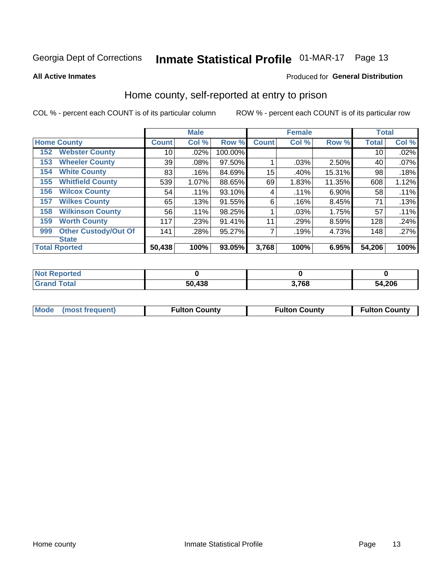# Inmate Statistical Profile 01-MAR-17 Page 13

**All Active Inmates** 

#### Produced for General Distribution

### Home county, self-reported at entry to prison

COL % - percent each COUNT is of its particular column

|                      |                             |              | <b>Male</b> |         |              | <b>Female</b> |          | <b>Total</b> |       |
|----------------------|-----------------------------|--------------|-------------|---------|--------------|---------------|----------|--------------|-------|
| <b>Home County</b>   |                             | <b>Count</b> | Col %       | Row %   | <b>Count</b> | Col %         | Row %    | <b>Total</b> | Col % |
| 152                  | <b>Webster County</b>       | 10           | .02%        | 100.00% |              |               |          | 10           | .02%  |
| 153                  | <b>Wheeler County</b>       | 39           | .08%        | 97.50%  |              | .03%          | 2.50%    | 40           | .07%  |
| 154                  | <b>White County</b>         | 83           | .16%        | 84.69%  | 15           | .40%          | 15.31%   | 98           | .18%  |
| 155                  | <b>Whitfield County</b>     | 539          | 1.07%       | 88.65%  | 69           | 1.83%         | 11.35%   | 608          | 1.12% |
| 156                  | <b>Wilcox County</b>        | 54           | .11%        | 93.10%  | 4            | .11%          | $6.90\%$ | 58           | .11%  |
| 157                  | <b>Wilkes County</b>        | 65           | .13%        | 91.55%  | 6            | .16%          | 8.45%    | 71           | .13%  |
| 158                  | <b>Wilkinson County</b>     | 56           | .11%        | 98.25%  |              | .03%          | 1.75%    | 57           | .11%  |
| 159                  | <b>Worth County</b>         | 117          | .23%        | 91.41%  | 11           | .29%          | 8.59%    | 128          | .24%  |
| 999                  | <b>Other Custody/Out Of</b> | 141          | .28%        | 95.27%  |              | .19%          | 4.73%    | 148          | .27%  |
| <b>State</b>         |                             |              |             |         |              |               |          |              |       |
| <b>Total Rported</b> |                             | 50,438       | 100%        | 93.05%  | 3,768        | 100%          | 6.95%    | 54,206       | 100%  |

| 'Not<br>Reported |        |       |        |
|------------------|--------|-------|--------|
| <b>Total</b>     | 50,438 | 3,768 | 54,206 |

|  | Mode (most frequent) | <b>Fulton County</b> | <b>Fulton County</b> | <b>Fulton County</b> |
|--|----------------------|----------------------|----------------------|----------------------|
|--|----------------------|----------------------|----------------------|----------------------|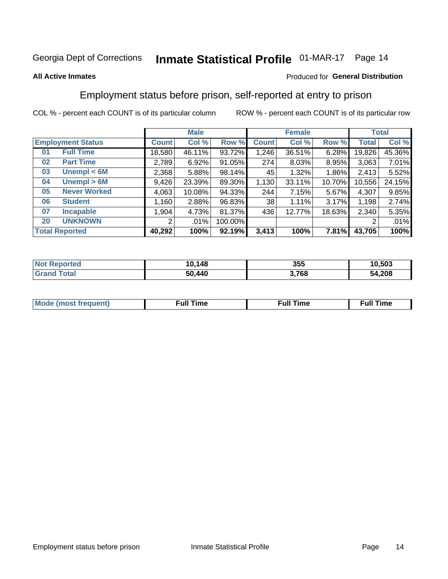# Inmate Statistical Profile 01-MAR-17 Page 14

#### **All Active Inmates**

#### Produced for General Distribution

### Employment status before prison, self-reported at entry to prison

COL % - percent each COUNT is of its particular column

|                             |              | <b>Male</b> |         |              | <b>Female</b> |          |        | <b>Total</b> |  |
|-----------------------------|--------------|-------------|---------|--------------|---------------|----------|--------|--------------|--|
| <b>Employment Status</b>    | <b>Count</b> | Col %       | Row %   | <b>Count</b> | Col %         | Row %    | Total  | Col %        |  |
| <b>Full Time</b><br>01      | 18,580       | 46.11%      | 93.72%  | 1,246        | 36.51%        | 6.28%    | 19,826 | 45.36%       |  |
| <b>Part Time</b><br>02      | 2,789        | 6.92%       | 91.05%  | 274          | 8.03%         | 8.95%    | 3,063  | 7.01%        |  |
| Unempl $<$ 6M<br>03         | 2,368        | 5.88%       | 98.14%  | 45           | 1.32%         | $1.86\%$ | 2,413  | 5.52%        |  |
| Unempl > 6M<br>04           | 9,426        | 23.39%      | 89.30%  | 1,130        | 33.11%        | 10.70%   | 10,556 | 24.15%       |  |
| <b>Never Worked</b><br>05   | 4,063        | 10.08%      | 94.33%  | 244          | 7.15%         | 5.67%    | 4,307  | 9.85%        |  |
| <b>Student</b><br>06        | 1,160        | 2.88%       | 96.83%  | 38           | 1.11%         | 3.17%    | 1,198  | 2.74%        |  |
| 07<br><b>Incapable</b>      | 1,904        | 4.73%       | 81.37%  | 436          | 12.77%        | 18.63%   | 2,340  | 5.35%        |  |
| <b>UNKNOWN</b><br><b>20</b> | 2            | $.01\%$     | 100.00% |              |               |          | 2      | .01%         |  |
| <b>Total Reported</b>       | 40,292       | 100%        | 92.19%  | 3,413        | 100%          | 7.81%    | 43,705 | 100%         |  |

| <b>Not Reported</b> | 10,148 | 355   | 10,503 |
|---------------------|--------|-------|--------|
| <b>Grand Total</b>  | 50,440 | 3,768 | 54,208 |

| <b>Mode (most frequent)</b> | $^{\prime\prime}$ Time | <b>Time</b><br>rull i |
|-----------------------------|------------------------|-----------------------|
|                             |                        |                       |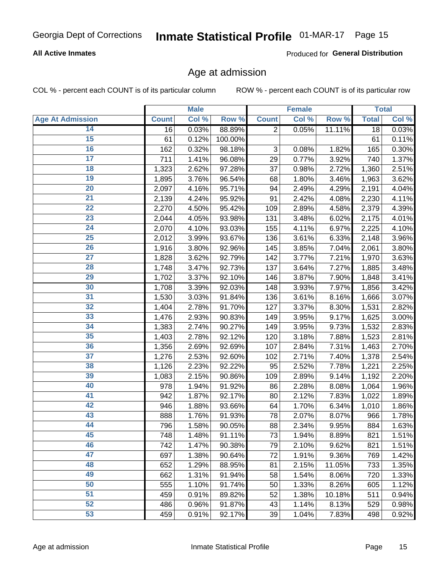# Inmate Statistical Profile 01-MAR-17 Page 15

### **All Active Inmates**

Produced for General Distribution

### Age at admission

COL % - percent each COUNT is of its particular column

|                         |              | <b>Male</b> |         |                           | <b>Female</b> |        |              | <b>Total</b> |
|-------------------------|--------------|-------------|---------|---------------------------|---------------|--------|--------------|--------------|
| <b>Age At Admission</b> | <b>Count</b> | Col %       | Row %   | <b>Count</b>              | Col %         | Row %  | <b>Total</b> | Col %        |
| 14                      | 16           | 0.03%       | 88.89%  | $\overline{2}$            | 0.05%         | 11.11% | 18           | 0.03%        |
| 15                      | 61           | 0.12%       | 100.00% |                           |               |        | 61           | $0.11\%$     |
| 16                      | 162          | 0.32%       | 98.18%  | $\ensuremath{\mathsf{3}}$ | 0.08%         | 1.82%  | 165          | 0.30%        |
| $\overline{17}$         | 711          | 1.41%       | 96.08%  | 29                        | 0.77%         | 3.92%  | 740          | 1.37%        |
| $\overline{18}$         | 1,323        | 2.62%       | 97.28%  | 37                        | 0.98%         | 2.72%  | 1,360        | 2.51%        |
| 19                      | 1,895        | 3.76%       | 96.54%  | 68                        | 1.80%         | 3.46%  | 1,963        | 3.62%        |
| 20                      | 2,097        | 4.16%       | 95.71%  | 94                        | 2.49%         | 4.29%  | 2,191        | 4.04%        |
| $\overline{21}$         | 2,139        | 4.24%       | 95.92%  | 91                        | 2.42%         | 4.08%  | 2,230        | 4.11%        |
| $\overline{22}$         | 2,270        | 4.50%       | 95.42%  | 109                       | 2.89%         | 4.58%  | 2,379        | 4.39%        |
| 23                      | 2,044        | 4.05%       | 93.98%  | 131                       | 3.48%         | 6.02%  | 2,175        | 4.01%        |
| $\overline{24}$         | 2,070        | 4.10%       | 93.03%  | 155                       | 4.11%         | 6.97%  | 2,225        | 4.10%        |
| $\overline{25}$         | 2,012        | 3.99%       | 93.67%  | 136                       | 3.61%         | 6.33%  | 2,148        | 3.96%        |
| 26                      | 1,916        | 3.80%       | 92.96%  | 145                       | 3.85%         | 7.04%  | 2,061        | 3.80%        |
| $\overline{27}$         | 1,828        | 3.62%       | 92.79%  | 142                       | 3.77%         | 7.21%  | 1,970        | 3.63%        |
| 28                      | 1,748        | 3.47%       | 92.73%  | 137                       | 3.64%         | 7.27%  | 1,885        | 3.48%        |
| 29                      | 1,702        | 3.37%       | 92.10%  | 146                       | 3.87%         | 7.90%  | 1,848        | 3.41%        |
| 30                      | 1,708        | 3.39%       | 92.03%  | 148                       | 3.93%         | 7.97%  | 1,856        | 3.42%        |
| 31                      | 1,530        | 3.03%       | 91.84%  | 136                       | 3.61%         | 8.16%  | 1,666        | 3.07%        |
| 32                      | 1,404        | 2.78%       | 91.70%  | 127                       | 3.37%         | 8.30%  | 1,531        | 2.82%        |
| 33                      | 1,476        | 2.93%       | 90.83%  | 149                       | 3.95%         | 9.17%  | 1,625        | 3.00%        |
| 34                      | 1,383        | 2.74%       | 90.27%  | 149                       | 3.95%         | 9.73%  | 1,532        | 2.83%        |
| 35                      | 1,403        | 2.78%       | 92.12%  | 120                       | 3.18%         | 7.88%  | 1,523        | 2.81%        |
| 36                      | 1,356        | 2.69%       | 92.69%  | 107                       | 2.84%         | 7.31%  | 1,463        | 2.70%        |
| $\overline{37}$         | 1,276        | 2.53%       | 92.60%  | 102                       | 2.71%         | 7.40%  | 1,378        | 2.54%        |
| 38                      | 1,126        | 2.23%       | 92.22%  | 95                        | 2.52%         | 7.78%  | 1,221        | 2.25%        |
| 39                      | 1,083        | 2.15%       | 90.86%  | 109                       | 2.89%         | 9.14%  | 1,192        | 2.20%        |
| 40                      | 978          | 1.94%       | 91.92%  | 86                        | 2.28%         | 8.08%  | 1,064        | 1.96%        |
| 41                      | 942          | 1.87%       | 92.17%  | 80                        | 2.12%         | 7.83%  | 1,022        | 1.89%        |
| 42                      | 946          | 1.88%       | 93.66%  | 64                        | 1.70%         | 6.34%  | 1,010        | 1.86%        |
| 43                      | 888          | 1.76%       | 91.93%  | 78                        | 2.07%         | 8.07%  | 966          | 1.78%        |
| 44                      | 796          | 1.58%       | 90.05%  | 88                        | 2.34%         | 9.95%  | 884          | 1.63%        |
| 45                      | 748          | 1.48%       | 91.11%  | 73                        | 1.94%         | 8.89%  | 821          | 1.51%        |
| 46                      | 742          | 1.47%       | 90.38%  | 79                        | 2.10%         | 9.62%  | 821          | 1.51%        |
| 47                      | 697          | 1.38%       | 90.64%  | 72                        | 1.91%         | 9.36%  | 769          | 1.42%        |
| 48                      | 652          | 1.29%       | 88.95%  | 81                        | 2.15%         | 11.05% | 733          | 1.35%        |
| 49                      | 662          | 1.31%       | 91.94%  | 58                        | 1.54%         | 8.06%  | 720          | 1.33%        |
| 50                      | 555          | 1.10%       | 91.74%  | 50                        | 1.33%         | 8.26%  | 605          | 1.12%        |
| 51                      | 459          | 0.91%       | 89.82%  | 52                        | 1.38%         | 10.18% | 511          | 0.94%        |
| 52                      | 486          | 0.96%       | 91.87%  | 43                        | 1.14%         | 8.13%  | 529          | 0.98%        |
| 53                      | 459          | 0.91%       | 92.17%  | 39                        | 1.04%         | 7.83%  | 498          | 0.92%        |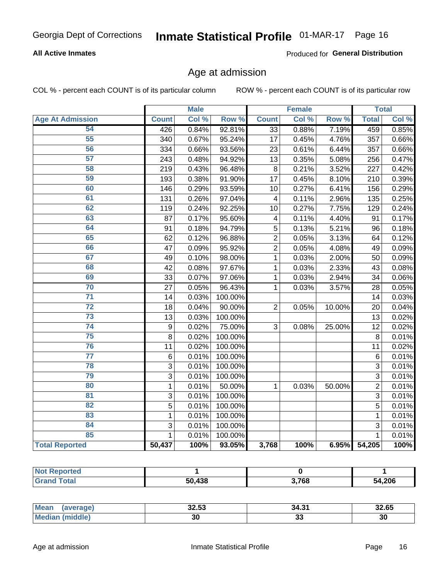# Inmate Statistical Profile 01-MAR-17 Page 16

### **All Active Inmates**

Produced for General Distribution

### Age at admission

COL % - percent each COUNT is of its particular column

|                         |                  | <b>Male</b> |                  |                 | <b>Female</b> |        |                 | <b>Total</b>        |
|-------------------------|------------------|-------------|------------------|-----------------|---------------|--------|-----------------|---------------------|
| <b>Age At Admission</b> | <b>Count</b>     | Col %       | Row <sup>%</sup> | <b>Count</b>    | Col %         | Row %  | <b>Total</b>    | Col %               |
| 54                      | 426              | 0.84%       | 92.81%           | $\overline{33}$ | 0.88%         | 7.19%  | 459             | 0.85%               |
| 55                      | 340              | 0.67%       | 95.24%           | 17              | 0.45%         | 4.76%  | 357             | 0.66%               |
| 56                      | 334              | 0.66%       | 93.56%           | 23              | 0.61%         | 6.44%  | 357             | 0.66%               |
| $\overline{57}$         | 243              | 0.48%       | 94.92%           | 13              | 0.35%         | 5.08%  | 256             | 0.47%               |
| 58                      | 219              | 0.43%       | 96.48%           | 8               | 0.21%         | 3.52%  | 227             | 0.42%               |
| 59                      | 193              | 0.38%       | 91.90%           | $\overline{17}$ | 0.45%         | 8.10%  | 210             | 0.39%               |
| 60                      | 146              | 0.29%       | 93.59%           | 10              | 0.27%         | 6.41%  | 156             | 0.29%               |
| 61                      | 131              | 0.26%       | 97.04%           | 4               | 0.11%         | 2.96%  | 135             | 0.25%               |
| 62                      | 119              | 0.24%       | 92.25%           | 10              | 0.27%         | 7.75%  | 129             | 0.24%               |
| 63                      | 87               | 0.17%       | 95.60%           | 4               | 0.11%         | 4.40%  | 91              | 0.17%               |
| 64                      | 91               | 0.18%       | 94.79%           | 5               | 0.13%         | 5.21%  | 96              | 0.18%               |
| 65                      | 62               | 0.12%       | 96.88%           | $\overline{2}$  | 0.05%         | 3.13%  | 64              | 0.12%               |
| 66                      | 47               | 0.09%       | 95.92%           | $\overline{2}$  | 0.05%         | 4.08%  | 49              | 0.09%               |
| 67                      | 49               | 0.10%       | 98.00%           | $\mathbf{1}$    | 0.03%         | 2.00%  | 50              | 0.09%               |
| 68                      | 42               | 0.08%       | 97.67%           | 1               | 0.03%         | 2.33%  | 43              | 0.08%               |
| 69                      | 33               | 0.07%       | 97.06%           | 1               | 0.03%         | 2.94%  | 34              | 0.06%               |
| 70                      | 27               | 0.05%       | 96.43%           | $\mathbf{1}$    | 0.03%         | 3.57%  | 28              | 0.05%               |
| $\overline{71}$         | 14               | 0.03%       | 100.00%          |                 |               |        | 14              | 0.03%               |
| $\overline{72}$         | 18               | 0.04%       | 90.00%           | $\overline{2}$  | 0.05%         | 10.00% | 20              | 0.04%               |
| $\overline{73}$         | 13               | 0.03%       | 100.00%          |                 |               |        | 13              | 0.02%               |
| 74                      | $\boldsymbol{9}$ | 0.02%       | 75.00%           | 3               | 0.08%         | 25.00% | $\overline{12}$ | 0.02%               |
| $\overline{75}$         | 8                | 0.02%       | 100.00%          |                 |               |        | 8               | 0.01%               |
| 76                      | 11               | 0.02%       | 100.00%          |                 |               |        | 11              | 0.02%               |
| $\overline{77}$         | $\,6\,$          | 0.01%       | 100.00%          |                 |               |        | 6               | 0.01%               |
| 78                      | $\overline{3}$   | 0.01%       | 100.00%          |                 |               |        | $\overline{3}$  | 0.01%               |
| 79                      | 3                | 0.01%       | 100.00%          |                 |               |        | $\overline{3}$  | 0.01%               |
| 80                      | $\mathbf{1}$     | 0.01%       | 50.00%           | $\mathbf{1}$    | 0.03%         | 50.00% | $\overline{2}$  | 0.01%               |
| 81                      | $\overline{3}$   | 0.01%       | 100.00%          |                 |               |        | $\overline{3}$  | 0.01%               |
| $\overline{82}$         | $\overline{5}$   | 0.01%       | 100.00%          |                 |               |        | $\overline{5}$  | 0.01%               |
| 83                      | $\mathbf 1$      | 0.01%       | 100.00%          |                 |               |        | $\mathbf{1}$    | 0.01%               |
| 84                      | 3                | 0.01%       | 100.00%          |                 |               |        | 3               | 0.01%               |
| 85                      | $\mathbf{1}$     | 0.01%       | 100.00%          |                 |               |        | 1               | $\overline{0.01\%}$ |
| <b>Total Reported</b>   | 50,437           | 100%        | 93.05%           | 3,768           | 100%          | 6.95%  | 54,205          | 100%                |

| <b>Not Reported</b>     |                             |       |        |
|-------------------------|-----------------------------|-------|--------|
| $T$ otol $\blacksquare$ | $\overline{A}$<br>50.<br>эc | 3,768 | 54,206 |

| <b>Mean</b>     | 00F          | າ 4 ຕ.4  | 00. QP |
|-----------------|--------------|----------|--------|
| erage,          | <b>JZ.JJ</b> | 34.3     | 32.65  |
| iddle,<br>' Me. | 30           | ~<br>ึงง | 30     |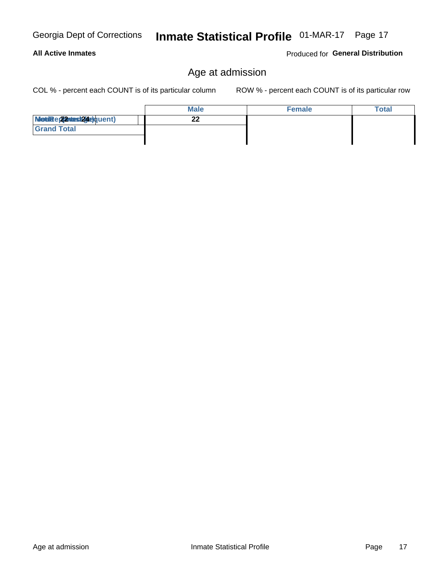**Male**  $\overline{22}$ Modiae 22 viest24e)quent) **Grand Total** 

# **All Active Inmates**

## Age at admission

COL % - percent each COUNT is of its particular column

ROW % - percent each COUNT is of its particular row

**Female** 

| Georgia Dept of Corrections Inmate Statistical Profile 01-MAR-17 Page 17 |  |  |
|--------------------------------------------------------------------------|--|--|
|                                                                          |  |  |

Produced for General Distribution

**Total**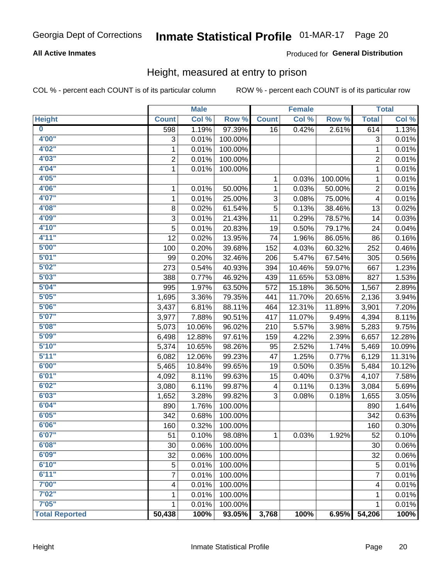# Inmate Statistical Profile 01-MAR-17 Page 20

### **All Active Inmates**

### Produced for General Distribution

### Height, measured at entry to prison

COL % - percent each COUNT is of its particular column

|                         |                | <b>Male</b> |         |              | <b>Female</b> |         |                           | <b>Total</b> |
|-------------------------|----------------|-------------|---------|--------------|---------------|---------|---------------------------|--------------|
| <b>Height</b>           | <b>Count</b>   | Col %       | Row %   | <b>Count</b> | Col %         | Row %   | <b>Total</b>              | Col %        |
| $\overline{\mathbf{0}}$ | 598            | 1.19%       | 97.39%  | 16           | 0.42%         | 2.61%   | 614                       | 1.13%        |
| 4'00"                   | 3              | 0.01%       | 100.00% |              |               |         | $\ensuremath{\mathsf{3}}$ | 0.01%        |
| 4'02''                  | 1              | 0.01%       | 100.00% |              |               |         | 1                         | 0.01%        |
| 4'03''                  | $\overline{c}$ | 0.01%       | 100.00% |              |               |         | $\overline{c}$            | 0.01%        |
| 4'04"                   | $\mathbf{1}$   | 0.01%       | 100.00% |              |               |         | 1                         | 0.01%        |
| 4'05"                   |                |             |         | $\mathbf{1}$ | 0.03%         | 100.00% | 1                         | 0.01%        |
| 4'06"                   | 1              | 0.01%       | 50.00%  | $\mathbf{1}$ | 0.03%         | 50.00%  | 2                         | 0.01%        |
| 4'07"                   | 1              | 0.01%       | 25.00%  | 3            | 0.08%         | 75.00%  | 4                         | 0.01%        |
| 4'08"                   | 8              | 0.02%       | 61.54%  | 5            | 0.13%         | 38.46%  | 13                        | 0.02%        |
| 4'09"                   | 3              | 0.01%       | 21.43%  | 11           | 0.29%         | 78.57%  | 14                        | 0.03%        |
| 4'10''                  | 5              | 0.01%       | 20.83%  | 19           | 0.50%         | 79.17%  | 24                        | 0.04%        |
| 4'11''                  | 12             | 0.02%       | 13.95%  | 74           | 1.96%         | 86.05%  | 86                        | 0.16%        |
| 5'00''                  | 100            | 0.20%       | 39.68%  | 152          | 4.03%         | 60.32%  | 252                       | 0.46%        |
| 5'01"                   | 99             | 0.20%       | 32.46%  | 206          | 5.47%         | 67.54%  | 305                       | 0.56%        |
| 5'02"                   | 273            | 0.54%       | 40.93%  | 394          | 10.46%        | 59.07%  | 667                       | 1.23%        |
| 5'03''                  | 388            | 0.77%       | 46.92%  | 439          | 11.65%        | 53.08%  | 827                       | 1.53%        |
| 5'04"                   | 995            | 1.97%       | 63.50%  | 572          | 15.18%        | 36.50%  | 1,567                     | 2.89%        |
| 5'05"                   | 1,695          | 3.36%       | 79.35%  | 441          | 11.70%        | 20.65%  | 2,136                     | 3.94%        |
| 5'06''                  | 3,437          | 6.81%       | 88.11%  | 464          | 12.31%        | 11.89%  | 3,901                     | 7.20%        |
| 5'07''                  | 3,977          | 7.88%       | 90.51%  | 417          | 11.07%        | 9.49%   | 4,394                     | 8.11%        |
| 5'08''                  | 5,073          | 10.06%      | 96.02%  | 210          | 5.57%         | 3.98%   | 5,283                     | 9.75%        |
| 5'09''                  | 6,498          | 12.88%      | 97.61%  | 159          | 4.22%         | 2.39%   | 6,657                     | 12.28%       |
| 5'10''                  | 5,374          | 10.65%      | 98.26%  | 95           | 2.52%         | 1.74%   | 5,469                     | 10.09%       |
| 5'11''                  | 6,082          | 12.06%      | 99.23%  | 47           | 1.25%         | 0.77%   | 6,129                     | 11.31%       |
| 6'00''                  | 5,465          | 10.84%      | 99.65%  | 19           | 0.50%         | 0.35%   | 5,484                     | 10.12%       |
| 6'01''                  | 4,092          | 8.11%       | 99.63%  | 15           | 0.40%         | 0.37%   | 4,107                     | 7.58%        |
| 6'02"                   | 3,080          | 6.11%       | 99.87%  | 4            | 0.11%         | 0.13%   | 3,084                     | 5.69%        |
| 6'03''                  | 1,652          | 3.28%       | 99.82%  | 3            | 0.08%         | 0.18%   | 1,655                     | 3.05%        |
| 6'04"                   | 890            | 1.76%       | 100.00% |              |               |         | 890                       | 1.64%        |
| 6'05"                   | 342            | 0.68%       | 100.00% |              |               |         | 342                       | 0.63%        |
| 6'06''                  | 160            | 0.32%       | 100.00% |              |               |         | 160                       | 0.30%        |
| 6'07"                   | 51             | $0.10\%$    | 98.08%  | 1            | 0.03%         | 1.92%   | 52                        | 0.10%        |
| 6'08"                   | 30             | 0.06%       | 100.00% |              |               |         | 30                        | 0.06%        |
| 6'09''                  | 32             | 0.06%       | 100.00% |              |               |         | 32                        | 0.06%        |
| 6'10''                  | 5              | 0.01%       | 100.00% |              |               |         | 5                         | 0.01%        |
| 6'11''                  | 7              | 0.01%       | 100.00% |              |               |         | 7                         | 0.01%        |
| 7'00"                   | 4              | 0.01%       | 100.00% |              |               |         | 4                         | 0.01%        |
| 7'02"                   | 1              | 0.01%       | 100.00% |              |               |         | 1                         | 0.01%        |
| 7'05''                  | 1              | 0.01%       | 100.00% |              |               |         | 1                         | 0.01%        |
| <b>Total Reported</b>   | 50,438         | 100%        | 93.05%  | 3,768        | 100%          | 6.95%   | 54,206                    | 100%         |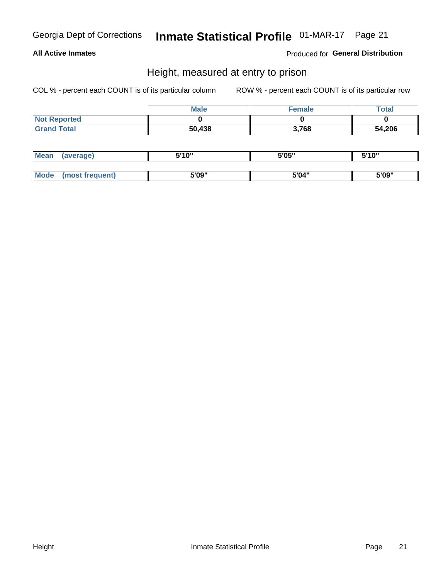# Inmate Statistical Profile 01-MAR-17 Page 21

### **All Active Inmates**

Produced for General Distribution

### Height, measured at entry to prison

COL % - percent each COUNT is of its particular column

|                     | <b>Male</b> | Female | <b>Total</b> |
|---------------------|-------------|--------|--------------|
| <b>Not Reported</b> |             |        |              |
| <b>Grand Total</b>  | 50,438      | 3,768  | 54,206       |

| <b>Mean</b> | erage) | 5'10" | 5'05" | <b>CIA AIL</b><br>. . |
|-------------|--------|-------|-------|-----------------------|
|             |        |       |       |                       |
| <b>Mode</b> |        | 5'09" | 5'04" | 5'09"                 |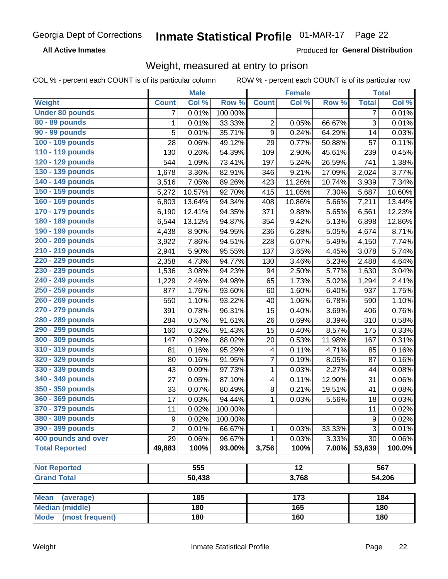#### **Inmate Statistical Profile 01-MAR-17** Page 22

**All Active Inmates** 

Produced for General Distribution

# Weight, measured at entry to prison

COL % - percent each COUNT is of its particular column

|                          |                | <b>Male</b> |         |                  | <b>Female</b>   |        |                  | <b>Total</b> |
|--------------------------|----------------|-------------|---------|------------------|-----------------|--------|------------------|--------------|
| Weight                   | <b>Count</b>   | Col %       | Row %   | <b>Count</b>     | Col %           | Row %  | <b>Total</b>     | Col %        |
| <b>Under 80 pounds</b>   | 7              | 0.01%       | 100.00% |                  |                 |        | $\overline{7}$   | 0.01%        |
| 80 - 89 pounds           | $\mathbf{1}$   | 0.01%       | 33.33%  | 2                | 0.05%           | 66.67% | 3                | 0.01%        |
| 90 - 99 pounds           | 5              | 0.01%       | 35.71%  | $\boldsymbol{9}$ | 0.24%           | 64.29% | 14               | 0.03%        |
| 100 - 109 pounds         | 28             | 0.06%       | 49.12%  | 29               | 0.77%           | 50.88% | 57               | 0.11%        |
| 110 - 119 pounds         | 130            | 0.26%       | 54.39%  | 109              | 2.90%           | 45.61% | 239              | 0.45%        |
| 120 - 129 pounds         | 544            | 1.09%       | 73.41%  | 197              | 5.24%           | 26.59% | 741              | 1.38%        |
| 130 - 139 pounds         | 1,678          | 3.36%       | 82.91%  | 346              | 9.21%           | 17.09% | 2,024            | 3.77%        |
| 140 - 149 pounds         | 3,516          | 7.05%       | 89.26%  | 423              | 11.26%          | 10.74% | 3,939            | 7.34%        |
| 150 - 159 pounds         | 5,272          | 10.57%      | 92.70%  | 415              | 11.05%          | 7.30%  | 5,687            | 10.60%       |
| 160 - 169 pounds         | 6,803          | 13.64%      | 94.34%  | 408              | 10.86%          | 5.66%  | 7,211            | 13.44%       |
| 170 - 179 pounds         | 6,190          | 12.41%      | 94.35%  | 371              | 9.88%           | 5.65%  | 6,561            | 12.23%       |
| 180 - 189 pounds         | 6,544          | 13.12%      | 94.87%  | 354              | 9.42%           | 5.13%  | 6,898            | 12.86%       |
| 190 - 199 pounds         | 4,438          | 8.90%       | 94.95%  | 236              | 6.28%           | 5.05%  | 4,674            | 8.71%        |
| 200 - 209 pounds         | 3,922          | 7.86%       | 94.51%  | 228              | 6.07%           | 5.49%  | 4,150            | 7.74%        |
| 210 - 219 pounds         | 2,941          | 5.90%       | 95.55%  | 137              | 3.65%           | 4.45%  | 3,078            | 5.74%        |
| 220 - 229 pounds         | 2,358          | 4.73%       | 94.77%  | 130              | 3.46%           | 5.23%  | 2,488            | 4.64%        |
| 230 - 239 pounds         | 1,536          | 3.08%       | 94.23%  | 94               | 2.50%           | 5.77%  | 1,630            | 3.04%        |
| 240 - 249 pounds         | 1,229          | 2.46%       | 94.98%  | 65               | 1.73%           | 5.02%  | 1,294            | 2.41%        |
| 250 - 259 pounds         | 877            | 1.76%       | 93.60%  | 60               | 1.60%           | 6.40%  | 937              | 1.75%        |
| 260 - 269 pounds         | 550            | 1.10%       | 93.22%  | 40               | 1.06%           | 6.78%  | 590              | 1.10%        |
| 270 - 279 pounds         | 391            | 0.78%       | 96.31%  | 15               | 0.40%           | 3.69%  | 406              | 0.76%        |
| 280 - 289 pounds         | 284            | 0.57%       | 91.61%  | 26               | 0.69%           | 8.39%  | 310              | 0.58%        |
| 290 - 299 pounds         | 160            | 0.32%       | 91.43%  | 15               | 0.40%           | 8.57%  | 175              | 0.33%        |
| 300 - 309 pounds         | 147            | 0.29%       | 88.02%  | 20               | 0.53%           | 11.98% | 167              | 0.31%        |
| 310 - 319 pounds         | 81             | 0.16%       | 95.29%  | 4                | 0.11%           | 4.71%  | 85               | 0.16%        |
| 320 - 329 pounds         | 80             | 0.16%       | 91.95%  | 7                | 0.19%           | 8.05%  | 87               | 0.16%        |
| 330 - 339 pounds         | 43             | 0.09%       | 97.73%  | 1                | 0.03%           | 2.27%  | 44               | 0.08%        |
| 340 - 349 pounds         | 27             | 0.05%       | 87.10%  | 4                | 0.11%           | 12.90% | 31               | 0.06%        |
| 350 - 359 pounds         | 33             | 0.07%       | 80.49%  | 8                | 0.21%           | 19.51% | 41               | 0.08%        |
| 360 - 369 pounds         | 17             | 0.03%       | 94.44%  | $\mathbf{1}$     | 0.03%           | 5.56%  | 18               | 0.03%        |
| 370 - 379 pounds         | 11             | 0.02%       | 100.00% |                  |                 |        | 11               | 0.02%        |
| 380 - 389 pounds         | 9              | 0.02%       | 100.00% |                  |                 |        | $\boldsymbol{9}$ | 0.02%        |
| 390 - 399 pounds         | $\overline{2}$ | 0.01%       | 66.67%  | 1                | 0.03%           | 33.33% | 3                | 0.01%        |
| 400 pounds and over      | 29             | 0.06%       | 96.67%  | 1                | 0.03%           | 3.33%  | 30               | 0.06%        |
| <b>Total Reported</b>    | 49,883         | 100%        | 93.00%  | 3,756            | 100%            | 7.00%  | 53,639           | 100.0%       |
|                          |                |             |         |                  |                 |        |                  |              |
| <b>Not Reported</b>      |                | 555         |         |                  | $\overline{12}$ |        |                  | 567          |
| <b>Grand Total</b>       |                | 50,438      |         |                  | 3,768           |        |                  | 54,206       |
|                          |                |             |         |                  |                 |        |                  |              |
| <b>Mean</b><br>(average) |                | 185         |         |                  | 173             |        |                  | 184          |
| <b>Median (middle)</b>   |                | 180         |         |                  | 165             |        |                  | 180          |
| Mode (most frequent)     |                | 180         |         |                  | 160             |        |                  | 180          |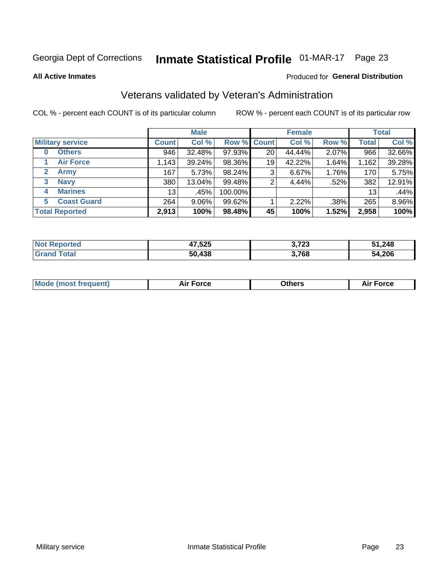# Inmate Statistical Profile 01-MAR-17 Page 23

**All Active Inmates** 

### Produced for General Distribution

### Veterans validated by Veteran's Administration

COL % - percent each COUNT is of its particular column

|                          |              | <b>Male</b> |         |                    | <b>Female</b> |       |              | <b>Total</b> |
|--------------------------|--------------|-------------|---------|--------------------|---------------|-------|--------------|--------------|
| <b>Military service</b>  | <b>Count</b> | Col %       |         | <b>Row % Count</b> | Col %         | Row % | <b>Total</b> | Col %        |
| <b>Others</b><br>0       | 946          | 32.48%      | 97.93%  | 20                 | 44.44%        | 2.07% | 966          | 32.66%       |
| <b>Air Force</b>         | 1,143        | 39.24%      | 98.36%  | 19                 | 42.22%        | 1.64% | 1,162        | 39.28%       |
| 2<br><b>Army</b>         | 167          | 5.73%       | 98.24%  | 3                  | 6.67%         | 1.76% | 170          | 5.75%        |
| <b>Navy</b><br>3         | 380          | 13.04%      | 99.48%  | 2                  | 4.44%         | .52%  | 382          | 12.91%       |
| <b>Marines</b><br>4      | 13           | .45%        | 100.00% |                    |               |       | 13           | .44%         |
| <b>Coast Guard</b><br>5. | 264          | 9.06%       | 99.62%  |                    | 2.22%         | .38%  | 265          | 8.96%        |
| <b>Total Reported</b>    | 2,913        | 100%        | 98.48%  | 45                 | 100%          | 1.52% | 2,958        | 100%         |

| rted | ,525<br>$\rightarrow$ | 2.702<br>J. I ZJ | 51,248 |
|------|-----------------------|------------------|--------|
|      | 50.438                | 3,768            | 54,206 |

| Mode (most frequent) | <b>Force</b><br>. | 0thers | orce |
|----------------------|-------------------|--------|------|
|                      |                   |        |      |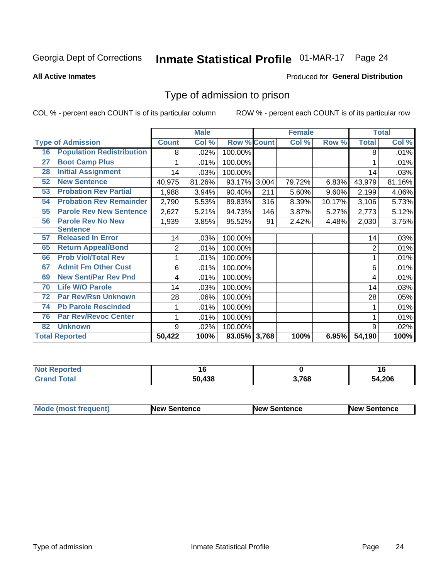# Inmate Statistical Profile 01-MAR-17 Page 24

**All Active Inmates** 

#### Produced for General Distribution

### Type of admission to prison

COL % - percent each COUNT is of its particular column

|    |                                  |              | <b>Male</b> |                    |     | <b>Female</b> |        |                | <b>Total</b> |
|----|----------------------------------|--------------|-------------|--------------------|-----|---------------|--------|----------------|--------------|
|    | <b>Type of Admission</b>         | <b>Count</b> | Col %       | <b>Row % Count</b> |     | Col %         | Row %  | <b>Total</b>   | Col %        |
| 16 | <b>Population Redistribution</b> | 8            | .02%        | 100.00%            |     |               |        | 8              | .01%         |
| 27 | <b>Boot Camp Plus</b>            |              | .01%        | 100.00%            |     |               |        |                | .01%         |
| 28 | <b>Initial Assignment</b>        | 14           | .03%        | 100.00%            |     |               |        | 14             | .03%         |
| 52 | <b>New Sentence</b>              | 40,975       | 81.26%      | 93.17% 3,004       |     | 79.72%        | 6.83%  | 43,979         | 81.16%       |
| 53 | <b>Probation Rev Partial</b>     | 1,988        | 3.94%       | 90.40%             | 211 | 5.60%         | 9.60%  | 2,199          | 4.06%        |
| 54 | <b>Probation Rev Remainder</b>   | 2,790        | 5.53%       | 89.83%             | 316 | 8.39%         | 10.17% | 3,106          | 5.73%        |
| 55 | <b>Parole Rev New Sentence</b>   | 2,627        | 5.21%       | 94.73%             | 146 | 3.87%         | 5.27%  | 2,773          | 5.12%        |
| 56 | <b>Parole Rev No New</b>         | 1,939        | 3.85%       | 95.52%             | 91  | 2.42%         | 4.48%  | 2,030          | 3.75%        |
|    | <b>Sentence</b>                  |              |             |                    |     |               |        |                |              |
| 57 | <b>Released In Error</b>         | 14           | .03%        | 100.00%            |     |               |        | 14             | .03%         |
| 65 | <b>Return Appeal/Bond</b>        | 2            | .01%        | 100.00%            |     |               |        | $\overline{2}$ | .01%         |
| 66 | <b>Prob Viol/Total Rev</b>       | 1            | .01%        | 100.00%            |     |               |        |                | .01%         |
| 67 | <b>Admit Fm Other Cust</b>       | 6            | .01%        | 100.00%            |     |               |        | 6              | .01%         |
| 69 | <b>New Sent/Par Rev Pnd</b>      | 4            | .01%        | 100.00%            |     |               |        | 4              | .01%         |
| 70 | <b>Life W/O Parole</b>           | 14           | .03%        | 100.00%            |     |               |        | 14             | .03%         |
| 72 | <b>Par Rev/Rsn Unknown</b>       | 28           | .06%        | 100.00%            |     |               |        | 28             | .05%         |
| 74 | <b>Pb Parole Rescinded</b>       |              | .01%        | 100.00%            |     |               |        |                | .01%         |
| 76 | <b>Par Rev/Revoc Center</b>      | 1            | .01%        | 100.00%            |     |               |        |                | .01%         |
| 82 | <b>Unknown</b>                   | 9            | .02%        | 100.00%            |     |               |        | 9              | .02%         |
|    | <b>Total Reported</b>            | 50,422       | 100%        | 93.05% 3,768       |     | 100%          | 6.95%  | 54,190         | 100%         |

| <b>Not Repo</b><br>าorted |        |       | л в<br>1 V |
|---------------------------|--------|-------|------------|
| <b>Total</b><br>C-r-      | 50.438 | 3,768 | 54,206     |

| Mode (most frequent) | <b>New Sentence</b> | <b>New Sentence</b> | <b>New Sentence</b> |
|----------------------|---------------------|---------------------|---------------------|
|                      |                     |                     |                     |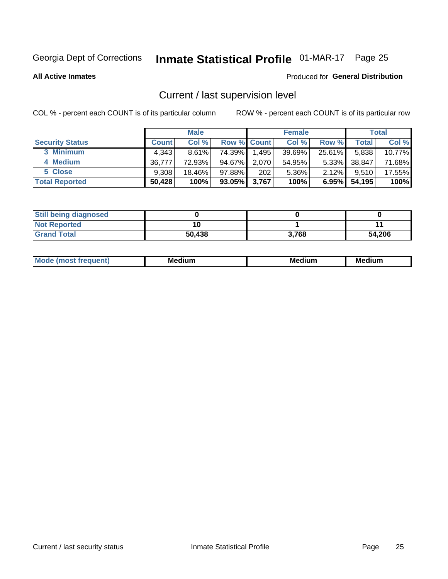# Inmate Statistical Profile 01-MAR-17 Page 25

**All Active Inmates** 

#### Produced for General Distribution

### Current / last supervision level

COL % - percent each COUNT is of its particular column

|                        |              | <b>Male</b> |                    |       | <b>Female</b> |          |        | <b>Total</b> |
|------------------------|--------------|-------------|--------------------|-------|---------------|----------|--------|--------------|
| <b>Security Status</b> | <b>Count</b> | Col %       | <b>Row % Count</b> |       | Col %         | Row %    | Total  | Col %        |
| 3 Minimum              | 4.343        | $8.61\%$    | 74.39%             | 1,495 | 39.69%        | 25.61%   | 5,838  | 10.77%       |
| 4 Medium               | 36.777       | 72.93%      | 94.67%             | 2,070 | 54.95%        | $5.33\%$ | 38,847 | 71.68%       |
| 5 Close                | 9.308        | 18.46%      | 97.88%             | 202   | 5.36%         | $2.12\%$ | 9,510  | 17.55%       |
| <b>Total Reported</b>  | 50,428       | 100%        | 93.05% 3,767       |       | 100%          | $6.95\%$ | 54,195 | 100%         |

| <b>Still being diagnosed</b> |        |       |        |
|------------------------------|--------|-------|--------|
| <b>Not Reported</b>          |        |       |        |
| <b>Grand Total</b>           | 50,438 | 3,768 | 54,206 |

| M | M | . . |
|---|---|-----|
|   |   |     |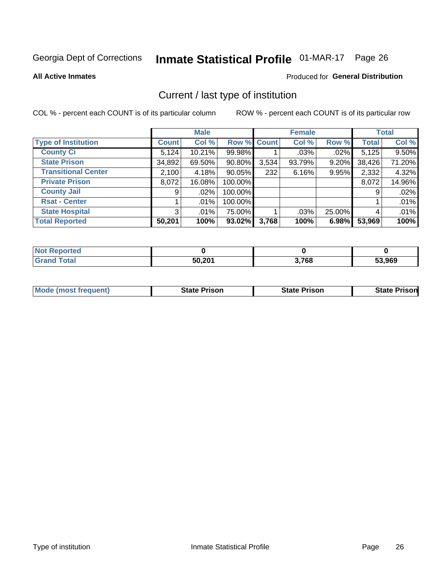# Inmate Statistical Profile 01-MAR-17 Page 26

**All Active Inmates** 

#### Produced for General Distribution

### Current / last type of institution

COL % - percent each COUNT is of its particular column

|                            |                | <b>Male</b> |             |       | <b>Female</b> |        |              | <b>Total</b> |
|----------------------------|----------------|-------------|-------------|-------|---------------|--------|--------------|--------------|
| <b>Type of Institution</b> | <b>Count</b>   | Col %       | Row % Count |       | Col %         | Row %  | <b>Total</b> | Col %        |
| <b>County Ci</b>           | 5,124          | 10.21%      | 99.98%      |       | $.03\%$       | .02%   | 5,125        | 9.50%        |
| <b>State Prison</b>        | 34,892         | 69.50%      | $90.80\%$   | 3,534 | 93.79%        | 9.20%  | 38,426       | 71.20%       |
| <b>Transitional Center</b> | 2,100          | 4.18%       | $90.05\%$   | 232   | 6.16%         | 9.95%  | 2,332        | 4.32%        |
| <b>Private Prison</b>      | 8,072          | 16.08%      | 100.00%     |       |               |        | 8,072        | 14.96%       |
| <b>County Jail</b>         | 9 <sub>1</sub> | $.02\%$     | 100.00%     |       |               |        | 9            | .02%         |
| <b>Rsat - Center</b>       |                | $.01\%$     | 100.00%     |       |               |        |              | .01%         |
| <b>State Hospital</b>      | 3 <sup>1</sup> | $.01\%$     | 75.00%      |       | .03%          | 25.00% | 4            | .01%         |
| <b>Total Reported</b>      | 50,201         | 100%        | 93.02%      | 3,768 | 100%          | 6.98%  | 53,969       | 100%         |

| oorted<br><b>NOT</b> |        |       |        |
|----------------------|--------|-------|--------|
| <b>otal</b>          | 50.201 | 3,768 | 53,969 |

| <b>Mode (most frequent)</b> | <b>State Prison</b> | <b>State Prison</b> | <b>State Prison</b> |
|-----------------------------|---------------------|---------------------|---------------------|
|                             |                     |                     |                     |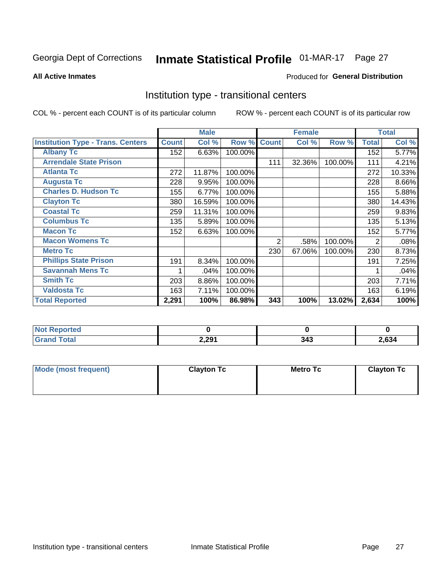# Inmate Statistical Profile 01-MAR-17 Page 27

#### **All Active Inmates**

#### Produced for General Distribution

### Institution type - transitional centers

COL % - percent each COUNT is of its particular column

|                                          |              | <b>Male</b> |         |              | <b>Female</b> |         |              | <b>Total</b> |
|------------------------------------------|--------------|-------------|---------|--------------|---------------|---------|--------------|--------------|
| <b>Institution Type - Trans. Centers</b> | <b>Count</b> | Col %       | Row %   | <b>Count</b> | Col %         | Row %   | <b>Total</b> | Col %        |
| <b>Albany Tc</b>                         | 152          | 6.63%       | 100.00% |              |               |         | 152          | 5.77%        |
| <b>Arrendale State Prison</b>            |              |             |         | 111          | 32.36%        | 100.00% | 111          | 4.21%        |
| <b>Atlanta Tc</b>                        | 272          | 11.87%      | 100.00% |              |               |         | 272          | 10.33%       |
| <b>Augusta Tc</b>                        | 228          | 9.95%       | 100.00% |              |               |         | 228          | 8.66%        |
| <b>Charles D. Hudson Tc</b>              | 155          | 6.77%       | 100.00% |              |               |         | 155          | 5.88%        |
| <b>Clayton Tc</b>                        | 380          | 16.59%      | 100.00% |              |               |         | 380          | 14.43%       |
| <b>Coastal Tc</b>                        | 259          | 11.31%      | 100.00% |              |               |         | 259          | 9.83%        |
| <b>Columbus Tc</b>                       | 135          | 5.89%       | 100.00% |              |               |         | 135          | 5.13%        |
| <b>Macon Tc</b>                          | 152          | 6.63%       | 100.00% |              |               |         | 152          | 5.77%        |
| <b>Macon Womens Tc</b>                   |              |             |         | 2            | .58%          | 100.00% | 2            | .08%         |
| <b>Metro Tc</b>                          |              |             |         | 230          | 67.06%        | 100.00% | 230          | 8.73%        |
| <b>Phillips State Prison</b>             | 191          | 8.34%       | 100.00% |              |               |         | 191          | 7.25%        |
| <b>Savannah Mens Tc</b>                  | 1            | .04%        | 100.00% |              |               |         |              | .04%         |
| <b>Smith Tc</b>                          | 203          | 8.86%       | 100.00% |              |               |         | 203          | 7.71%        |
| <b>Valdosta Tc</b>                       | 163          | 7.11%       | 100.00% |              |               |         | 163          | 6.19%        |
| <b>Total Reported</b>                    | 2,291        | 100%        | 86.98%  | 343          | 100%          | 13.02%  | 2,634        | 100%         |

| <b>NOT</b><br>portea |       |            |      |
|----------------------|-------|------------|------|
| ו טיינ               | 2,291 | $-$ 40 $-$ | ,634 |

| Mode (most frequent) | <b>Clayton Tc</b> | Metro Tc | <b>Clayton Tc</b> |
|----------------------|-------------------|----------|-------------------|
|                      |                   |          |                   |
|                      |                   |          |                   |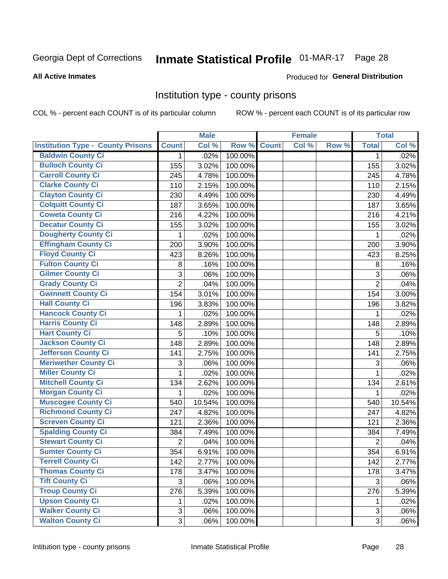# Inmate Statistical Profile 01-MAR-17 Page 28

#### **All Active Inmates**

### **Produced for General Distribution**

### Institution type - county prisons

COL % - percent each COUNT is of its particular column

|                                          |                | <b>Male</b> |         |              | <b>Female</b> |       |                | <b>Total</b> |
|------------------------------------------|----------------|-------------|---------|--------------|---------------|-------|----------------|--------------|
| <b>Institution Type - County Prisons</b> | <b>Count</b>   | Col %       | Row %   | <b>Count</b> | Col %         | Row % | <b>Total</b>   | Col %        |
| <b>Baldwin County Ci</b>                 | $\mathbf{1}$   | .02%        | 100.00% |              |               |       | $\mathbf 1$    | .02%         |
| <b>Bulloch County Ci</b>                 | 155            | 3.02%       | 100.00% |              |               |       | 155            | 3.02%        |
| <b>Carroll County Ci</b>                 | 245            | 4.78%       | 100.00% |              |               |       | 245            | 4.78%        |
| <b>Clarke County Ci</b>                  | 110            | 2.15%       | 100.00% |              |               |       | 110            | 2.15%        |
| <b>Clayton County Ci</b>                 | 230            | 4.49%       | 100.00% |              |               |       | 230            | 4.49%        |
| <b>Colquitt County Ci</b>                | 187            | 3.65%       | 100.00% |              |               |       | 187            | 3.65%        |
| <b>Coweta County Ci</b>                  | 216            | 4.22%       | 100.00% |              |               |       | 216            | 4.21%        |
| <b>Decatur County Ci</b>                 | 155            | 3.02%       | 100.00% |              |               |       | 155            | 3.02%        |
| <b>Dougherty County Ci</b>               | 1              | .02%        | 100.00% |              |               |       | 1              | .02%         |
| <b>Effingham County Ci</b>               | 200            | 3.90%       | 100.00% |              |               |       | 200            | 3.90%        |
| <b>Floyd County Ci</b>                   | 423            | 8.26%       | 100.00% |              |               |       | 423            | 8.25%        |
| <b>Fulton County Ci</b>                  | 8              | .16%        | 100.00% |              |               |       | 8              | .16%         |
| <b>Gilmer County Ci</b>                  | $\mathbf{3}$   | .06%        | 100.00% |              |               |       | 3              | .06%         |
| <b>Grady County Ci</b>                   | $\overline{2}$ | .04%        | 100.00% |              |               |       | $\overline{2}$ | .04%         |
| <b>Gwinnett County Ci</b>                | 154            | 3.01%       | 100.00% |              |               |       | 154            | 3.00%        |
| <b>Hall County Ci</b>                    | 196            | 3.83%       | 100.00% |              |               |       | 196            | 3.82%        |
| <b>Hancock County Ci</b>                 | 1              | .02%        | 100.00% |              |               |       | 1              | .02%         |
| <b>Harris County Ci</b>                  | 148            | 2.89%       | 100.00% |              |               |       | 148            | 2.89%        |
| <b>Hart County Ci</b>                    | 5              | .10%        | 100.00% |              |               |       | 5              | .10%         |
| <b>Jackson County Ci</b>                 | 148            | 2.89%       | 100.00% |              |               |       | 148            | 2.89%        |
| <b>Jefferson County Ci</b>               | 141            | 2.75%       | 100.00% |              |               |       | 141            | 2.75%        |
| <b>Meriwether County Ci</b>              | 3              | .06%        | 100.00% |              |               |       | 3              | .06%         |
| <b>Miller County Ci</b>                  | 1              | .02%        | 100.00% |              |               |       | 1              | .02%         |
| <b>Mitchell County Ci</b>                | 134            | 2.62%       | 100.00% |              |               |       | 134            | 2.61%        |
| <b>Morgan County Ci</b>                  | 1              | .02%        | 100.00% |              |               |       | 1              | .02%         |
| <b>Muscogee County Ci</b>                | 540            | 10.54%      | 100.00% |              |               |       | 540            | 10.54%       |
| <b>Richmond County Ci</b>                | 247            | 4.82%       | 100.00% |              |               |       | 247            | 4.82%        |
| <b>Screven County Ci</b>                 | 121            | 2.36%       | 100.00% |              |               |       | 121            | 2.36%        |
| <b>Spalding County Ci</b>                | 384            | 7.49%       | 100.00% |              |               |       | 384            | 7.49%        |
| <b>Stewart County Ci</b>                 | $\overline{2}$ | .04%        | 100.00% |              |               |       | $\overline{2}$ | .04%         |
| <b>Sumter County Ci</b>                  | 354            | 6.91%       | 100.00% |              |               |       | 354            | 6.91%        |
| <b>Terrell County Ci</b>                 | 142            | 2.77%       | 100.00% |              |               |       | 142            | 2.77%        |
| <b>Thomas County Ci</b>                  | 178            | 3.47%       | 100.00% |              |               |       | 178            | 3.47%        |
| <b>Tift County Ci</b>                    | 3              | .06%        | 100.00% |              |               |       | 3              | .06%         |
| <b>Troup County Ci</b>                   | 276            | 5.39%       | 100.00% |              |               |       | 276            | 5.39%        |
| <b>Upson County Ci</b>                   | 1              | .02%        | 100.00% |              |               |       | 1              | .02%         |
| <b>Walker County Ci</b>                  | $\mathbf{3}$   | .06%        | 100.00% |              |               |       | $\mathbf{3}$   | .06%         |
| <b>Walton County Ci</b>                  | 3              | .06%        | 100.00% |              |               |       | 3              | .06%         |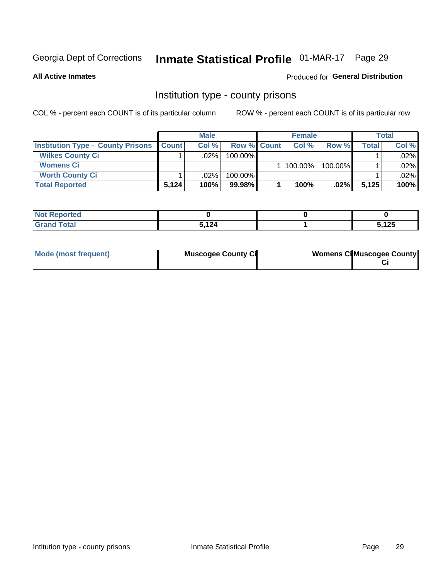# Inmate Statistical Profile 01-MAR-17 Page 29

**All Active Inmates** 

### **Produced for General Distribution**

### Institution type - county prisons

COL % - percent each COUNT is of its particular column

|                                          |              | <b>Male</b> |                    | <b>Female</b> |         |         | <b>Total</b> |
|------------------------------------------|--------------|-------------|--------------------|---------------|---------|---------|--------------|
| <b>Institution Type - County Prisons</b> | <b>Count</b> | Col%        | <b>Row % Count</b> | Col%          | Row %   | Total i | Col %        |
| <b>Wilkes County Ci</b>                  |              | .02%        | $100.00\%$         |               |         |         | $.02\%$      |
| <b>Womens Ci</b>                         |              |             |                    | 100.00%       | 100.00% |         | $.02\%$      |
| <b>Worth County Ci</b>                   |              | $.02\%$     | 100.00%            |               |         |         | $.02\%$      |
| <b>Total Reported</b>                    | 5,124        | 100%        | 99.98%             | 100%          | .02%    | 5,125   | 100%         |

| rtea   |      |              |
|--------|------|--------------|
| $\sim$ | 5124 | 5 195<br>נגו |

| Mode (most frequent) | <b>Muscogee County Ci</b> | <b>Womens CilMuscogee County</b> |
|----------------------|---------------------------|----------------------------------|
|                      |                           |                                  |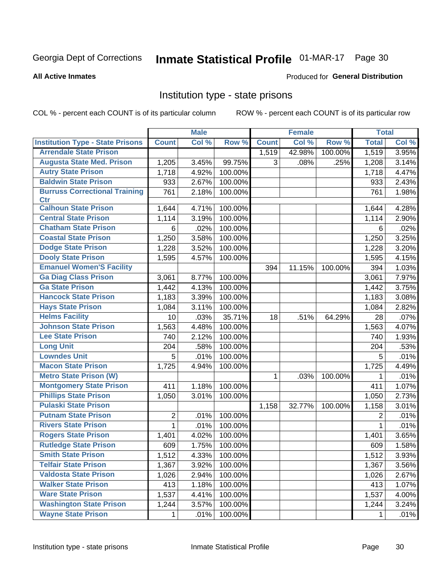# Inmate Statistical Profile 01-MAR-17 Page 30

#### **All Active Inmates**

#### Produced for General Distribution

### Institution type - state prisons

COL % - percent each COUNT is of its particular column

|                                         |              | <b>Male</b> |         |              | <b>Female</b> |         | <b>Total</b> |       |
|-----------------------------------------|--------------|-------------|---------|--------------|---------------|---------|--------------|-------|
| <b>Institution Type - State Prisons</b> | <b>Count</b> | Col %       | Row %   | <b>Count</b> | Col %         | Row %   | <b>Total</b> | Col % |
| <b>Arrendale State Prison</b>           |              |             |         | 1,519        | 42.98%        | 100.00% | 1,519        | 3.95% |
| <b>Augusta State Med. Prison</b>        | 1,205        | 3.45%       | 99.75%  | 3            | .08%          | .25%    | 1,208        | 3.14% |
| <b>Autry State Prison</b>               | 1,718        | 4.92%       | 100.00% |              |               |         | 1,718        | 4.47% |
| <b>Baldwin State Prison</b>             | 933          | 2.67%       | 100.00% |              |               |         | 933          | 2.43% |
| <b>Burruss Correctional Training</b>    | 761          | 2.18%       | 100.00% |              |               |         | 761          | 1.98% |
| <b>Ctr</b>                              |              |             |         |              |               |         |              |       |
| <b>Calhoun State Prison</b>             | 1,644        | 4.71%       | 100.00% |              |               |         | 1,644        | 4.28% |
| <b>Central State Prison</b>             | 1,114        | 3.19%       | 100.00% |              |               |         | 1,114        | 2.90% |
| <b>Chatham State Prison</b>             | 6            | .02%        | 100.00% |              |               |         | 6            | .02%  |
| <b>Coastal State Prison</b>             | 1,250        | 3.58%       | 100.00% |              |               |         | 1,250        | 3.25% |
| <b>Dodge State Prison</b>               | 1,228        | 3.52%       | 100.00% |              |               |         | 1,228        | 3.20% |
| <b>Dooly State Prison</b>               | 1,595        | 4.57%       | 100.00% |              |               |         | 1,595        | 4.15% |
| <b>Emanuel Women'S Facility</b>         |              |             |         | 394          | 11.15%        | 100.00% | 394          | 1.03% |
| <b>Ga Diag Class Prison</b>             | 3,061        | 8.77%       | 100.00% |              |               |         | 3,061        | 7.97% |
| <b>Ga State Prison</b>                  | 1,442        | 4.13%       | 100.00% |              |               |         | 1,442        | 3.75% |
| <b>Hancock State Prison</b>             | 1,183        | 3.39%       | 100.00% |              |               |         | 1,183        | 3.08% |
| <b>Hays State Prison</b>                | 1,084        | 3.11%       | 100.00% |              |               |         | 1,084        | 2.82% |
| <b>Helms Facility</b>                   | 10           | .03%        | 35.71%  | 18           | .51%          | 64.29%  | 28           | .07%  |
| <b>Johnson State Prison</b>             | 1,563        | 4.48%       | 100.00% |              |               |         | 1,563        | 4.07% |
| <b>Lee State Prison</b>                 | 740          | 2.12%       | 100.00% |              |               |         | 740          | 1.93% |
| <b>Long Unit</b>                        | 204          | .58%        | 100.00% |              |               |         | 204          | .53%  |
| <b>Lowndes Unit</b>                     | 5            | .01%        | 100.00% |              |               |         | 5            | .01%  |
| <b>Macon State Prison</b>               | 1,725        | 4.94%       | 100.00% |              |               |         | 1,725        | 4.49% |
| <b>Metro State Prison (W)</b>           |              |             |         | 1            | .03%          | 100.00% | 1            | .01%  |
| <b>Montgomery State Prison</b>          | 411          | 1.18%       | 100.00% |              |               |         | 411          | 1.07% |
| <b>Phillips State Prison</b>            | 1,050        | 3.01%       | 100.00% |              |               |         | 1,050        | 2.73% |
| <b>Pulaski State Prison</b>             |              |             |         | 1,158        | 32.77%        | 100.00% | 1,158        | 3.01% |
| <b>Putnam State Prison</b>              | 2            | .01%        | 100.00% |              |               |         | 2            | .01%  |
| <b>Rivers State Prison</b>              | $\mathbf{1}$ | .01%        | 100.00% |              |               |         | 1            | .01%  |
| <b>Rogers State Prison</b>              | 1,401        | 4.02%       | 100.00% |              |               |         | 1,401        | 3.65% |
| <b>Rutledge State Prison</b>            | 609          | 1.75%       | 100.00% |              |               |         | 609          | 1.58% |
| <b>Smith State Prison</b>               | 1,512        | 4.33%       | 100.00% |              |               |         | 1,512        | 3.93% |
| <b>Telfair State Prison</b>             | 1,367        | 3.92%       | 100.00% |              |               |         | 1,367        | 3.56% |
| <b>Valdosta State Prison</b>            | 1,026        | 2.94%       | 100.00% |              |               |         | 1,026        | 2.67% |
| <b>Walker State Prison</b>              | 413          | 1.18%       | 100.00% |              |               |         | 413          | 1.07% |
| <b>Ware State Prison</b>                | 1,537        | 4.41%       | 100.00% |              |               |         | 1,537        | 4.00% |
| <b>Washington State Prison</b>          | 1,244        | 3.57%       | 100.00% |              |               |         | 1,244        | 3.24% |
| <b>Wayne State Prison</b>               | 1            | .01%        | 100.00% |              |               |         | 1            | .01%  |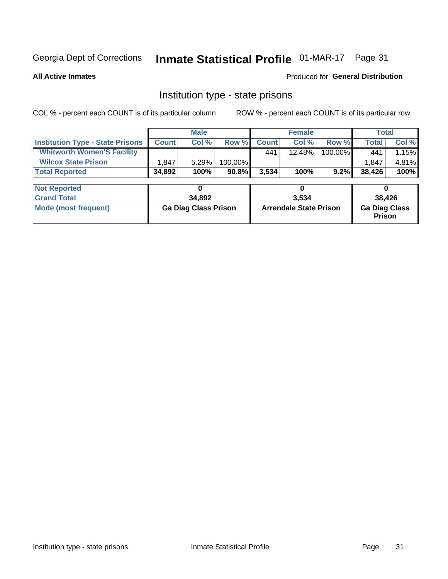# Inmate Statistical Profile 01-MAR-17 Page 31

**All Active Inmates** 

Produced for General Distribution

### Institution type - state prisons

COL % - percent each COUNT is of its particular column

|                                         |              | <b>Male</b>                 |         |              | <b>Female</b>                 |         | <b>Total</b>                          |        |
|-----------------------------------------|--------------|-----------------------------|---------|--------------|-------------------------------|---------|---------------------------------------|--------|
| <b>Institution Type - State Prisons</b> | <b>Count</b> | Col %                       | Row %   | <b>Count</b> | Col %                         | Row %   | <b>Total</b>                          | Col %  |
| <b>Whitworth Women'S Facility</b>       |              |                             |         | 441          | 12.48%                        | 100.00% | 441                                   | 1.15%  |
| <b>Wilcox State Prison</b>              | 1,847        | 5.29%                       | 100.00% |              |                               |         | 1.847                                 | 4.81%  |
| <b>Total Reported</b>                   | 34,892       | 100%                        | 90.8%   | 3,534        | 100%                          | 9.2%    | 38,426                                | 100%   |
|                                         |              |                             |         |              |                               |         |                                       |        |
| <b>Not Reported</b>                     |              | 0                           |         |              | 0                             |         | 0                                     |        |
| <b>Grand Total</b>                      |              | 34,892                      |         |              | 3,534                         |         |                                       | 38,426 |
| <b>Mode (most frequent)</b>             |              | <b>Ga Diag Class Prison</b> |         |              | <b>Arrendale State Prison</b> |         | <b>Ga Diag Class</b><br><b>Prison</b> |        |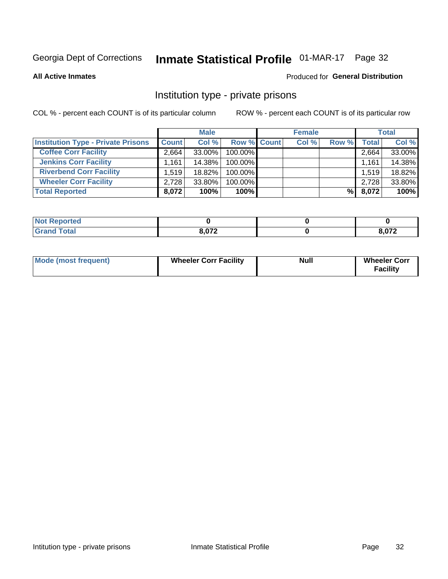# Inmate Statistical Profile 01-MAR-17 Page 32

**All Active Inmates** 

#### Produced for General Distribution

### Institution type - private prisons

COL % - percent each COUNT is of its particular column

|                                           |              | <b>Male</b> |                    | <b>Female</b> |       |                    | <b>Total</b> |
|-------------------------------------------|--------------|-------------|--------------------|---------------|-------|--------------------|--------------|
| <b>Institution Type - Private Prisons</b> | <b>Count</b> | Col %       | <b>Row % Count</b> | Col %         | Row % | Total <sub>1</sub> | Col %        |
| <b>Coffee Corr Facility</b>               | 2.664        | $33.00\%$   | 100.00%            |               |       | 2,664              | 33.00%       |
| <b>Jenkins Corr Facility</b>              | 1.161        | 14.38%      | $100.00\%$         |               |       | 1,161              | 14.38%       |
| <b>Riverbend Corr Facility</b>            | 1.519        | 18.82%      | 100.00%            |               |       | 1,519              | 18.82%       |
| <b>Wheeler Corr Facility</b>              | 2,728        | 33.80%      | 100.00%            |               |       | 2,728              | 33.80%       |
| <b>Total Reported</b>                     | 8,072        | 100%        | 100%               |               | %     | 8,072              | 100%         |

| <b>Not</b><br><b>Reported</b> |       |      |
|-------------------------------|-------|------|
| <b>Total</b>                  | 9.072 | ົດ72 |

| <b>Mode (most frequent)</b> | <b>Wheeler Corr Facility</b> | <b>Null</b> | <b>Wheeler Corr</b><br><b>Facility</b> |
|-----------------------------|------------------------------|-------------|----------------------------------------|
|-----------------------------|------------------------------|-------------|----------------------------------------|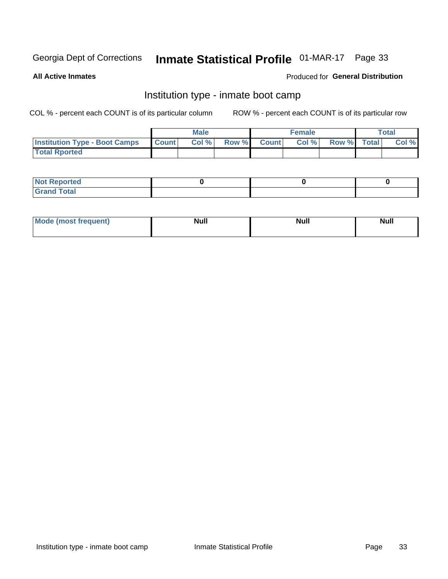# Inmate Statistical Profile 01-MAR-17 Page 33

**All Active Inmates** 

### Produced for General Distribution

### Institution type - inmate boot camp

COL % - percent each COUNT is of its particular column

|                                      |              | <b>Male</b> |               |              | <b>Female</b> |             | <b>Total</b> |
|--------------------------------------|--------------|-------------|---------------|--------------|---------------|-------------|--------------|
| <b>Institution Type - Boot Camps</b> | <b>Count</b> | Col %       | <b>Row %I</b> | <b>Count</b> | Col %         | Row % Total | Col %        |
| <b>Total Rported</b>                 |              |             |               |              |               |             |              |

| <b>Not Reported</b>            |  |  |
|--------------------------------|--|--|
| <b>Total</b><br>C <sub>r</sub> |  |  |

| Mod<br>uamo | Nul.<br>$- - - - - -$ | <b>Null</b> | . .<br>uu.<br>------ |
|-------------|-----------------------|-------------|----------------------|
|             |                       |             |                      |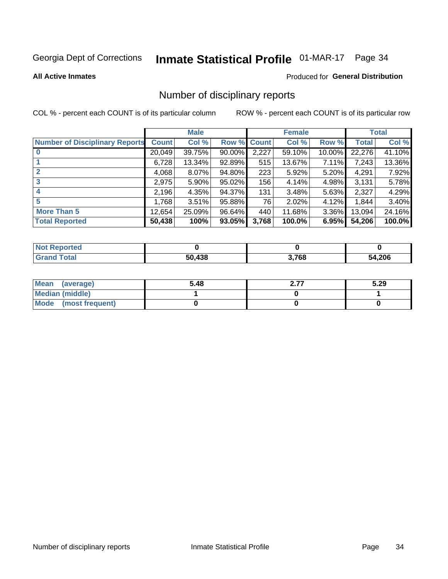# Inmate Statistical Profile 01-MAR-17 Page 34

#### **All Active Inmates**

#### Produced for General Distribution

### Number of disciplinary reports

COL % - percent each COUNT is of its particular column

|                                       |              | <b>Male</b> |             |                  | <b>Female</b> |          |              | <b>Total</b> |
|---------------------------------------|--------------|-------------|-------------|------------------|---------------|----------|--------------|--------------|
| <b>Number of Disciplinary Reports</b> | <b>Count</b> | Col %       | Row % Count |                  | Col %         | Row %    | <b>Total</b> | Col %        |
|                                       | 20,049       | 39.75%      | 90.00%      | 2,227            | 59.10%        | 10.00%   | 22,276       | 41.10%       |
|                                       | 6,728        | 13.34%      | 92.89%      | 515              | 13.67%        | 7.11%    | 7,243        | 13.36%       |
|                                       | 4,068        | $8.07\%$    | 94.80%      | 223              | 5.92%         | $5.20\%$ | 4,291        | 7.92%        |
| 3                                     | 2,975        | $5.90\%$    | 95.02%      | 156 <sub>1</sub> | 4.14%         | 4.98%    | 3,131        | 5.78%        |
| 4                                     | 2,196        | 4.35%       | 94.37%      | 131              | 3.48%         | 5.63%    | 2,327        | 4.29%        |
| 5                                     | 1,768        | 3.51%       | 95.88%      | 76               | 2.02%         | 4.12%    | 1,844        | 3.40%        |
| <b>More Than 5</b>                    | 12,654       | 25.09%      | 96.64%      | 440              | 11.68%        | $3.36\%$ | 13,094       | 24.16%       |
| <b>Total Reported</b>                 | 50,438       | 100%        | 93.05%      | 3,768            | 100.0%        | 6.95%    | 54,206       | 100.0%       |

| <b>Not Reported</b> |        |       |        |
|---------------------|--------|-------|--------|
| <b>Total</b>        | 50.438 | 3,768 | 54,206 |

| Mean (average)         | 5.48 | 27<br>. | 5.29 |
|------------------------|------|---------|------|
| <b>Median (middle)</b> |      |         |      |
| Mode (most frequent)   |      |         |      |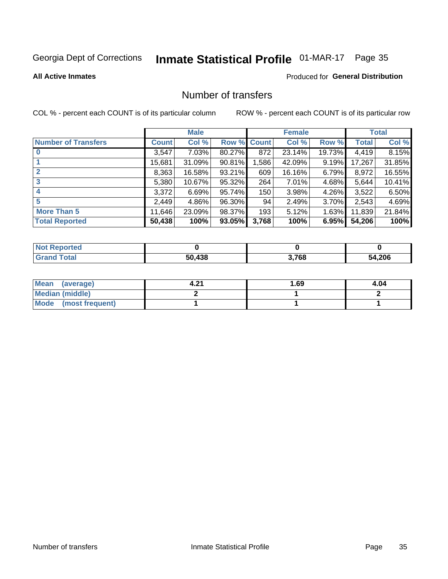# Inmate Statistical Profile 01-MAR-17 Page 35

#### **All Active Inmates**

# **Produced for General Distribution**

### Number of transfers

COL % - percent each COUNT is of its particular column

|                            |              | <b>Male</b> |             |       | <b>Female</b> |          |        | <b>Total</b> |
|----------------------------|--------------|-------------|-------------|-------|---------------|----------|--------|--------------|
| <b>Number of Transfers</b> | <b>Count</b> | Col %       | Row % Count |       | Col %         | Row %    | Total  | Col %        |
|                            | 3,547        | 7.03%       | 80.27%      | 872   | 23.14%        | 19.73%   | 4,419  | 8.15%        |
|                            | 15,681       | 31.09%      | 90.81%      | .586  | 42.09%        | 9.19%    | 17,267 | 31.85%       |
| $\mathbf{2}$               | 8,363        | 16.58%      | 93.21%      | 609   | 16.16%        | 6.79%    | 8,972  | 16.55%       |
| 3                          | 5,380        | 10.67%      | 95.32%      | 264   | 7.01%         | 4.68%    | 5,644  | 10.41%       |
| 4                          | 3,372        | 6.69%       | 95.74%      | 150   | 3.98%         | 4.26%    | 3,522  | 6.50%        |
| 5                          | 2,449        | 4.86%       | 96.30%      | 94    | 2.49%         | $3.70\%$ | 2,543  | 4.69%        |
| <b>More Than 5</b>         | 11,646       | 23.09%      | 98.37%      | 193   | 5.12%         | 1.63%    | 11,839 | 21.84%       |
| <b>Total Reported</b>      | 50,438       | 100%        | 93.05%      | 3,768 | 100%          | 6.95%    | 54,206 | 100%         |

| <b>Not Reported</b> |        |       |        |
|---------------------|--------|-------|--------|
| <b>Total</b>        | 50.438 | 3,768 | 54,206 |

| Mean (average)       | - 24 | l.69 | 4.04 |
|----------------------|------|------|------|
| Median (middle)      |      |      |      |
| Mode (most frequent) |      |      |      |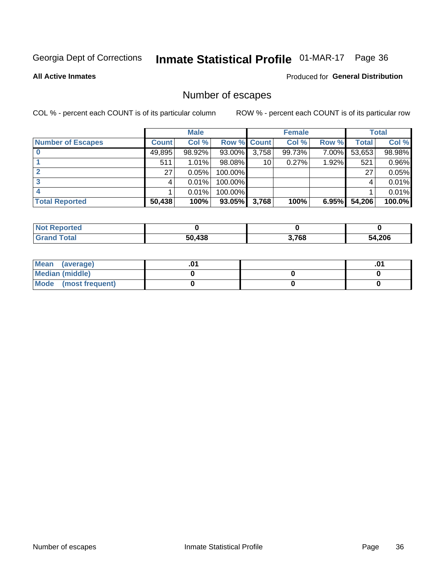# Inmate Statistical Profile 01-MAR-17 Page 36

**All Active Inmates** 

### **Produced for General Distribution**

### Number of escapes

COL % - percent each COUNT is of its particular column

|                          |              | <b>Male</b> |             |       | <b>Female</b> |       |        | <b>Total</b> |
|--------------------------|--------------|-------------|-------------|-------|---------------|-------|--------|--------------|
| <b>Number of Escapes</b> | <b>Count</b> | Col %       | Row % Count |       | Col %         | Row % | Total  | Col %        |
|                          | 49,895       | 98.92%      | 93.00%      | 3,758 | 99.73%        | 7.00% | 53,653 | 98.98%       |
|                          | 511          | 1.01%       | $98.08\%$   | 10    | 0.27%         | 1.92% | 521    | 0.96%        |
|                          | 27           | 0.05%       | 100.00%     |       |               |       | 27     | 0.05%        |
|                          |              | 0.01%       | 100.00%     |       |               |       |        | 0.01%        |
|                          |              | 0.01%       | $100.00\%$  |       |               |       |        | 0.01%        |
| <b>Total Reported</b>    | 50,438       | 100%        | $93.05\%$   | 3,768 | 100%          | 6.95% | 54,206 | 100.0%       |

| <b>rted</b> |        |       |        |
|-------------|--------|-------|--------|
|             | 50.438 | 3,768 | 54,206 |

| Mean (average)       |  | ו ש. |
|----------------------|--|------|
| Median (middle)      |  |      |
| Mode (most frequent) |  |      |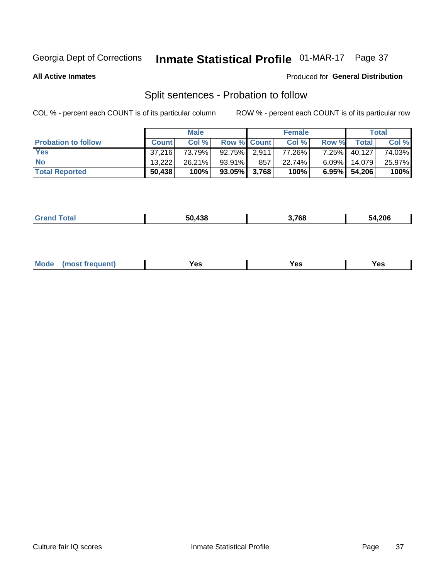# Inmate Statistical Profile 01-MAR-17 Page 37

**All Active Inmates** 

#### Produced for General Distribution

### Split sentences - Probation to follow

COL % - percent each COUNT is of its particular column

|                            |              | <b>Male</b> |                    |     | <b>Female</b> |          |                 | <b>Total</b> |
|----------------------------|--------------|-------------|--------------------|-----|---------------|----------|-----------------|--------------|
| <b>Probation to follow</b> | <b>Count</b> | Col%        | <b>Row % Count</b> |     | Col %         | Row %    | Total           | Col %        |
| <b>Yes</b>                 | 37.216       | 73.79%      | $92.75\%$ 2.911    |     | 77.26%        | $7.25\%$ | 40,127          | 74.03%       |
| <b>No</b>                  | 13,222       | 26.21%      | $93.91\%$          | 857 | 22.74%        | $6.09\%$ | 14.079          | 25.97%       |
| <b>Total Reported</b>      | 50,438       | 100%        | $93.05\%$ 3,768    |     | 100%          |          | $6.95\%$ 54,206 | 100%         |

|  |  | $.$ and<br>$ \sim$<br>50 A. | המד י<br>70, | 54,206 |
|--|--|-----------------------------|--------------|--------|
|--|--|-----------------------------|--------------|--------|

| M<br>reauent)<br>/٥<br>$\sim$<br>v.,<br>.<br>w<br>$\cdot$ - $\cdot$ |  |  |  |  |  |
|---------------------------------------------------------------------|--|--|--|--|--|
|---------------------------------------------------------------------|--|--|--|--|--|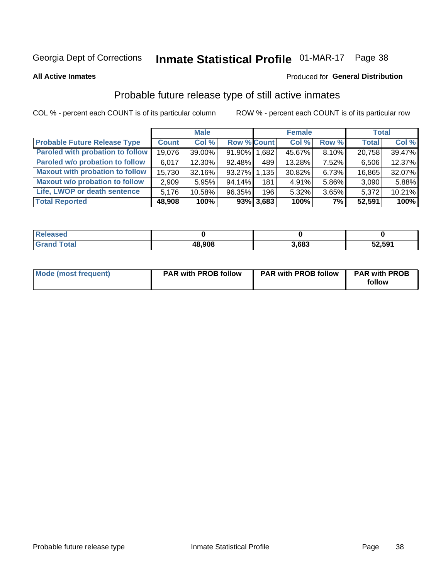# Inmate Statistical Profile 01-MAR-17 Page 38

**All Active Inmates** 

#### Produced for General Distribution

### Probable future release type of still active inmates

COL % - percent each COUNT is of its particular column

|                                         |              | <b>Male</b> |                    |              | <b>Female</b> |       | <b>Total</b> |        |
|-----------------------------------------|--------------|-------------|--------------------|--------------|---------------|-------|--------------|--------|
| <b>Probable Future Release Type</b>     | <b>Count</b> | Col %       | <b>Row % Count</b> |              | Col%          | Row % | <b>Total</b> | Col %  |
| <b>Paroled with probation to follow</b> | 19,076       | 39.00%      | 91.90% 1,682       |              | 45.67%        | 8.10% | 20,758       | 39.47% |
| Paroled w/o probation to follow         | 6,017        | 12.30%      | 92.48%             | 489          | 13.28%        | 7.52% | 6,506        | 12.37% |
| <b>Maxout with probation to follow</b>  | 15,730       | 32.16%      | 93.27% 1.135       |              | 30.82%        | 6.73% | 16,865       | 32.07% |
| <b>Maxout w/o probation to follow</b>   | 2,909        | 5.95%       | 94.14%             | 181          | 4.91%         | 5.86% | 3,090        | 5.88%  |
| Life, LWOP or death sentence            | 5,176        | 10.58%      | 96.35%             | 196          | 5.32%         | 3.65% | 5,372        | 10.21% |
| <b>Total Reported</b>                   | 48,908       | 100%        |                    | $93\%$ 3,683 | 100%          | 7%    | 52,591       | 100%   |

| 'eleased      |        |       |        |
|---------------|--------|-------|--------|
| <i>i</i> otal | 48,908 | 3,683 | 52,591 |

| <b>Mode (most frequent)</b> | <b>PAR with PROB follow</b> | <b>PAR with PROB follow</b> | <b>PAR with PROB</b> |
|-----------------------------|-----------------------------|-----------------------------|----------------------|
|                             |                             |                             | follow               |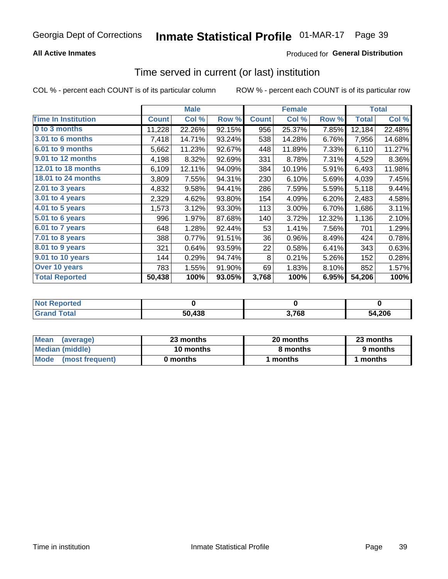## **All Active Inmates**

## **Produced for General Distribution**

# Time served in current (or last) institution

COL % - percent each COUNT is of its particular column

|                            |              | <b>Male</b> |        |              | <b>Female</b> |        |        | <b>Total</b> |
|----------------------------|--------------|-------------|--------|--------------|---------------|--------|--------|--------------|
| <b>Time In Institution</b> | <b>Count</b> | Col %       | Row %  | <b>Count</b> | Col %         | Row %  | Total  | Col %        |
| 0 to 3 months              | 11,228       | 22.26%      | 92.15% | 956          | 25.37%        | 7.85%  | 12,184 | 22.48%       |
| 3.01 to 6 months           | 7,418        | 14.71%      | 93.24% | 538          | 14.28%        | 6.76%  | 7,956  | 14.68%       |
| 6.01 to 9 months           | 5,662        | 11.23%      | 92.67% | 448          | 11.89%        | 7.33%  | 6,110  | 11.27%       |
| 9.01 to 12 months          | 4,198        | 8.32%       | 92.69% | 331          | 8.78%         | 7.31%  | 4,529  | 8.36%        |
| <b>12.01 to 18 months</b>  | 6,109        | 12.11%      | 94.09% | 384          | 10.19%        | 5.91%  | 6,493  | 11.98%       |
| <b>18.01 to 24 months</b>  | 3,809        | 7.55%       | 94.31% | 230          | 6.10%         | 5.69%  | 4,039  | 7.45%        |
| 2.01 to 3 years            | 4,832        | 9.58%       | 94.41% | 286          | 7.59%         | 5.59%  | 5,118  | 9.44%        |
| $3.01$ to 4 years          | 2,329        | 4.62%       | 93.80% | 154          | 4.09%         | 6.20%  | 2,483  | 4.58%        |
| 4.01 to 5 years            | 1,573        | 3.12%       | 93.30% | 113          | 3.00%         | 6.70%  | 1,686  | 3.11%        |
| 5.01 to 6 years            | 996          | 1.97%       | 87.68% | 140          | 3.72%         | 12.32% | 1,136  | 2.10%        |
| 6.01 to 7 years            | 648          | 1.28%       | 92.44% | 53           | 1.41%         | 7.56%  | 701    | 1.29%        |
| 7.01 to 8 years            | 388          | 0.77%       | 91.51% | 36           | 0.96%         | 8.49%  | 424    | 0.78%        |
| 8.01 to 9 years            | 321          | 0.64%       | 93.59% | 22           | 0.58%         | 6.41%  | 343    | 0.63%        |
| 9.01 to 10 years           | 144          | 0.29%       | 94.74% | 8            | 0.21%         | 5.26%  | 152    | 0.28%        |
| Over 10 years              | 783          | 1.55%       | 91.90% | 69           | 1.83%         | 8.10%  | 852    | 1.57%        |
| <b>Total Reported</b>      | 50,438       | 100%        | 93.05% | 3,768        | 100%          | 6.95%  | 54,206 | 100%         |

| <b>Not</b><br>Reported |        |       |        |
|------------------------|--------|-------|--------|
| .'otal                 | 50,438 | 3,768 | 54,206 |

| <b>Mean</b><br>(average) | 23 months | 20 months | 23 months |  |
|--------------------------|-----------|-----------|-----------|--|
| Median (middle)          | 10 months | 8 months  | 9 months  |  |
| Mode<br>(most frequent)  | 0 months  | months    | ∖ months  |  |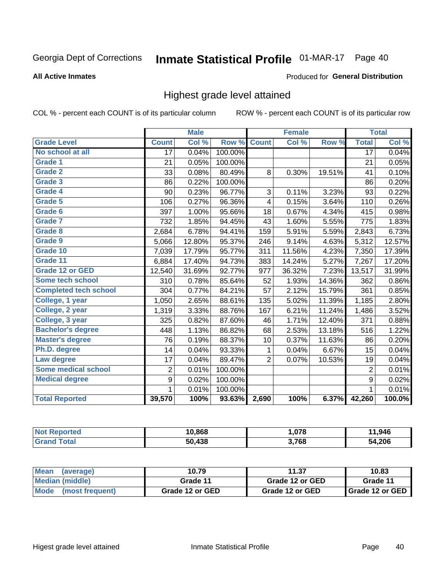#### Inmate Statistical Profile 01-MAR-17 Page 40

#### **All Active Inmates**

### Produced for General Distribution

# Highest grade level attained

COL % - percent each COUNT is of its particular column

|                              |                 | <b>Male</b> |         |                | <b>Female</b> |        |                 | <b>Total</b> |
|------------------------------|-----------------|-------------|---------|----------------|---------------|--------|-----------------|--------------|
| <b>Grade Level</b>           | <b>Count</b>    | Col %       | Row %   | <b>Count</b>   | Col %         | Row %  | <b>Total</b>    | Col %        |
| No school at all             | $\overline{17}$ | 0.04%       | 100.00% |                |               |        | $\overline{17}$ | 0.04%        |
| <b>Grade 1</b>               | 21              | 0.05%       | 100.00% |                |               |        | 21              | 0.05%        |
| <b>Grade 2</b>               | 33              | 0.08%       | 80.49%  | 8              | 0.30%         | 19.51% | 41              | 0.10%        |
| Grade 3                      | 86              | 0.22%       | 100.00% |                |               |        | 86              | 0.20%        |
| <b>Grade 4</b>               | 90              | 0.23%       | 96.77%  | 3              | 0.11%         | 3.23%  | 93              | 0.22%        |
| <b>Grade 5</b>               | 106             | 0.27%       | 96.36%  | 4              | 0.15%         | 3.64%  | 110             | 0.26%        |
| Grade 6                      | 397             | 1.00%       | 95.66%  | 18             | 0.67%         | 4.34%  | 415             | 0.98%        |
| <b>Grade 7</b>               | 732             | 1.85%       | 94.45%  | 43             | 1.60%         | 5.55%  | 775             | 1.83%        |
| <b>Grade 8</b>               | 2,684           | 6.78%       | 94.41%  | 159            | 5.91%         | 5.59%  | 2,843           | 6.73%        |
| Grade 9                      | 5,066           | 12.80%      | 95.37%  | 246            | 9.14%         | 4.63%  | 5,312           | 12.57%       |
| Grade 10                     | 7,039           | 17.79%      | 95.77%  | 311            | 11.56%        | 4.23%  | 7,350           | 17.39%       |
| Grade 11                     | 6,884           | 17.40%      | 94.73%  | 383            | 14.24%        | 5.27%  | 7,267           | 17.20%       |
| <b>Grade 12 or GED</b>       | 12,540          | 31.69%      | 92.77%  | 977            | 36.32%        | 7.23%  | 13,517          | 31.99%       |
| <b>Some tech school</b>      | 310             | 0.78%       | 85.64%  | 52             | 1.93%         | 14.36% | 362             | 0.86%        |
| <b>Completed tech school</b> | 304             | 0.77%       | 84.21%  | 57             | 2.12%         | 15.79% | 361             | 0.85%        |
| College, 1 year              | 1,050           | 2.65%       | 88.61%  | 135            | 5.02%         | 11.39% | 1,185           | 2.80%        |
| College, 2 year              | 1,319           | 3.33%       | 88.76%  | 167            | 6.21%         | 11.24% | 1,486           | 3.52%        |
| College, 3 year              | 325             | 0.82%       | 87.60%  | 46             | 1.71%         | 12.40% | 371             | 0.88%        |
| <b>Bachelor's degree</b>     | 448             | 1.13%       | 86.82%  | 68             | 2.53%         | 13.18% | 516             | 1.22%        |
| <b>Master's degree</b>       | 76              | 0.19%       | 88.37%  | 10             | 0.37%         | 11.63% | 86              | 0.20%        |
| Ph.D. degree                 | 14              | 0.04%       | 93.33%  | 1              | 0.04%         | 6.67%  | 15              | 0.04%        |
| Law degree                   | 17              | 0.04%       | 89.47%  | $\overline{2}$ | 0.07%         | 10.53% | 19              | 0.04%        |
| <b>Some medical school</b>   | $\overline{2}$  | 0.01%       | 100.00% |                |               |        | $\overline{2}$  | 0.01%        |
| <b>Medical degree</b>        | 9               | 0.02%       | 100.00% |                |               |        | 9               | 0.02%        |
|                              | 1               | 0.01%       | 100.00% |                |               |        | $\mathbf{1}$    | 0.01%        |
| <b>Total Reported</b>        | 39,570          | 100%        | 93.63%  | 2,690          | 100%          | 6.37%  | 42,260          | 100.0%       |

| 10.868           | 070   | ,946                        |
|------------------|-------|-----------------------------|
| 120<br>БΛ.<br>юc | 3,768 | <b>ODC</b><br>$\mathcal{L}$ |

| <b>Mean</b><br>(average) | 10.79           | 11.37           | 10.83             |
|--------------------------|-----------------|-----------------|-------------------|
| Median (middle)          | Grade 11        | Grade 12 or GED | Grade 11          |
| Mode<br>(most frequent)  | Grade 12 or GED | Grade 12 or GED | I Grade 12 or GED |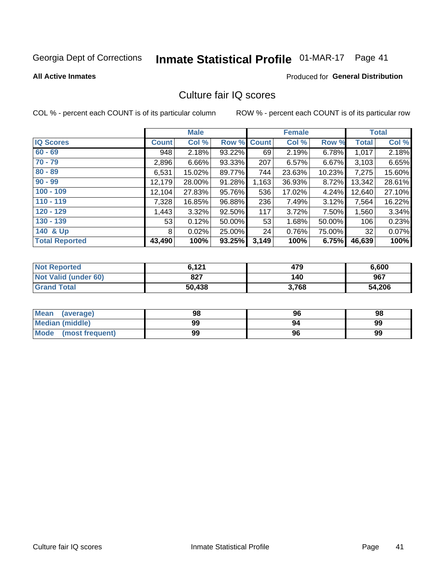# Inmate Statistical Profile 01-MAR-17 Page 41

#### **All Active Inmates**

### Produced for General Distribution

# Culture fair IQ scores

COL % - percent each COUNT is of its particular column

|                       |              | <b>Male</b> |             |       | <b>Female</b> |        |              | <b>Total</b> |
|-----------------------|--------------|-------------|-------------|-------|---------------|--------|--------------|--------------|
| <b>IQ Scores</b>      | <b>Count</b> | Col %       | Row % Count |       | Col %         | Row %  | <b>Total</b> | Col %        |
| $60 - 69$             | 948          | 2.18%       | 93.22%      | 69    | 2.19%         | 6.78%  | 1,017        | 2.18%        |
| $70 - 79$             | 2,896        | 6.66%       | 93.33%      | 207   | 6.57%         | 6.67%  | 3,103        | 6.65%        |
| $80 - 89$             | 6,531        | 15.02%      | 89.77%      | 744   | 23.63%        | 10.23% | 7,275        | 15.60%       |
| $90 - 99$             | 12,179       | 28.00%      | 91.28%      | 1,163 | 36.93%        | 8.72%  | 13,342       | 28.61%       |
| $100 - 109$           | 12,104       | 27.83%      | 95.76%      | 536   | 17.02%        | 4.24%  | 12,640       | 27.10%       |
| $110 - 119$           | 7,328        | 16.85%      | 96.88%      | 236   | 7.49%         | 3.12%  | 7,564        | 16.22%       |
| $120 - 129$           | 1,443        | 3.32%       | 92.50%      | 117   | 3.72%         | 7.50%  | 1,560        | 3.34%        |
| $130 - 139$           | 53           | 0.12%       | 50.00%      | 53    | 1.68%         | 50.00% | 106          | 0.23%        |
| 140 & Up              | 8            | 0.02%       | 25.00%      | 24    | 0.76%         | 75.00% | 32           | 0.07%        |
| <b>Total Reported</b> | 43,490       | 100%        | 93.25%      | 3,149 | 100%          | 6.75%  | 46,639       | 100%         |

| <b>Not Reported</b>         | 6.121  | 479   | 6,600  |
|-----------------------------|--------|-------|--------|
| <b>Not Valid (under 60)</b> | 827    | 140   | 967    |
| <b>Grand Total</b>          | 50,438 | 3,768 | 54,206 |

| Mean<br>(average)      | 98 | 96 | 98 |
|------------------------|----|----|----|
| <b>Median (middle)</b> | 99 | 94 | 99 |
| Mode (most frequent)   | 99 | 96 | 99 |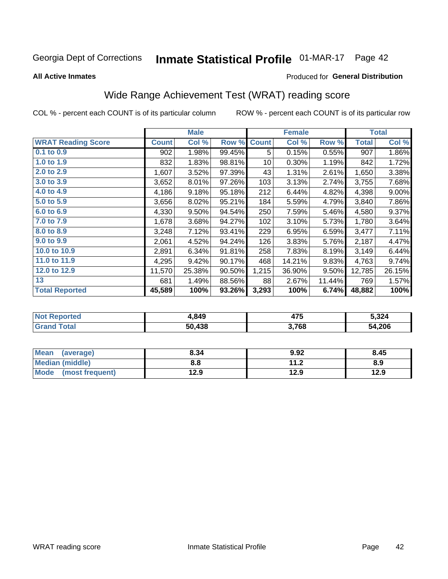# Inmate Statistical Profile 01-MAR-17 Page 42

**All Active Inmates** 

### Produced for General Distribution

# Wide Range Achievement Test (WRAT) reading score

COL % - percent each COUNT is of its particular column

|                           |              | <b>Male</b> |        |              | <b>Female</b> |        |              | <b>Total</b> |
|---------------------------|--------------|-------------|--------|--------------|---------------|--------|--------------|--------------|
| <b>WRAT Reading Score</b> | <b>Count</b> | Col %       | Row %  | <b>Count</b> | Col %         | Row %  | <b>Total</b> | Col %        |
| $0.1$ to $0.9$            | 902          | 1.98%       | 99.45% | 5            | 0.15%         | 0.55%  | 907          | 1.86%        |
| 1.0 to 1.9                | 832          | 1.83%       | 98.81% | 10           | 0.30%         | 1.19%  | 842          | 1.72%        |
| 2.0 to 2.9                | 1,607        | 3.52%       | 97.39% | 43           | 1.31%         | 2.61%  | 1,650        | 3.38%        |
| 3.0 to 3.9                | 3,652        | 8.01%       | 97.26% | 103          | 3.13%         | 2.74%  | 3,755        | 7.68%        |
| 4.0 to 4.9                | 4,186        | 9.18%       | 95.18% | 212          | 6.44%         | 4.82%  | 4,398        | $9.00\%$     |
| 5.0 to 5.9                | 3,656        | 8.02%       | 95.21% | 184          | 5.59%         | 4.79%  | 3,840        | 7.86%        |
| 6.0 to 6.9                | 4,330        | 9.50%       | 94.54% | 250          | 7.59%         | 5.46%  | 4,580        | 9.37%        |
| 7.0 to 7.9                | 1,678        | 3.68%       | 94.27% | 102          | 3.10%         | 5.73%  | 1,780        | 3.64%        |
| 8.0 to 8.9                | 3,248        | 7.12%       | 93.41% | 229          | 6.95%         | 6.59%  | 3,477        | 7.11%        |
| 9.0 to 9.9                | 2,061        | 4.52%       | 94.24% | 126          | 3.83%         | 5.76%  | 2,187        | 4.47%        |
| 10.0 to 10.9              | 2,891        | 6.34%       | 91.81% | 258          | 7.83%         | 8.19%  | 3,149        | 6.44%        |
| 11.0 to 11.9              | 4,295        | 9.42%       | 90.17% | 468          | 14.21%        | 9.83%  | 4,763        | 9.74%        |
| 12.0 to 12.9              | 11,570       | 25.38%      | 90.50% | 1,215        | 36.90%        | 9.50%  | 12,785       | 26.15%       |
| 13                        | 681          | 1.49%       | 88.56% | 88           | 2.67%         | 11.44% | 769          | 1.57%        |
| <b>Total Reported</b>     | 45,589       | 100%        | 93.26% | 3,293        | 100%          | 6.74%  | 48,882       | 100%         |

| rteo<br><b>NOT</b> | 1,849  | $\rightarrow$<br>475 | 5,324  |
|--------------------|--------|----------------------|--------|
| ,*^<br>.Gr         | 50.438 | 3,768                | 54,206 |

| <b>Mean</b><br>(average)       | 8.34 | 9.92        | 8.45 |
|--------------------------------|------|-------------|------|
| <b>Median (middle)</b>         | 8.8  | 11 つ<br>1.Z | 8.9  |
| <b>Mode</b><br>(most frequent) | 12.9 | 12.9        | 12.9 |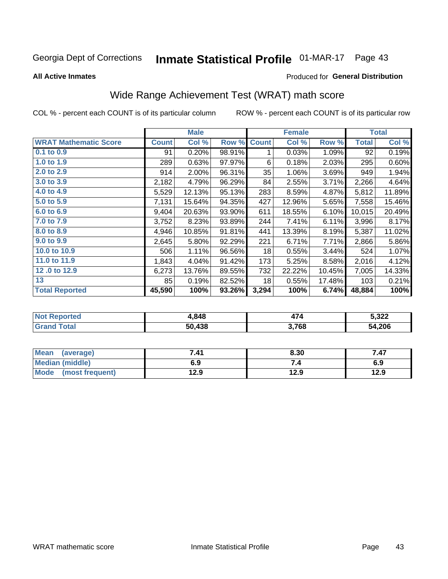# Inmate Statistical Profile 01-MAR-17 Page 43

**All Active Inmates** 

### Produced for General Distribution

# Wide Range Achievement Test (WRAT) math score

COL % - percent each COUNT is of its particular column

|                              |              | <b>Male</b> |        |              | <b>Female</b> |        |              | <b>Total</b> |
|------------------------------|--------------|-------------|--------|--------------|---------------|--------|--------------|--------------|
| <b>WRAT Mathematic Score</b> | <b>Count</b> | Col %       | Row %  | <b>Count</b> | Col %         | Row %  | <b>Total</b> | Col %        |
| 0.1 to 0.9                   | 91           | 0.20%       | 98.91% | 1            | 0.03%         | 1.09%  | 92           | 0.19%        |
| 1.0 to 1.9                   | 289          | 0.63%       | 97.97% | 6            | 0.18%         | 2.03%  | 295          | 0.60%        |
| 2.0 to 2.9                   | 914          | 2.00%       | 96.31% | 35           | 1.06%         | 3.69%  | 949          | 1.94%        |
| 3.0 to 3.9                   | 2,182        | 4.79%       | 96.29% | 84           | 2.55%         | 3.71%  | 2,266        | 4.64%        |
| 4.0 to 4.9                   | 5,529        | 12.13%      | 95.13% | 283          | 8.59%         | 4.87%  | 5,812        | 11.89%       |
| 5.0 to 5.9                   | 7,131        | 15.64%      | 94.35% | 427          | 12.96%        | 5.65%  | 7,558        | 15.46%       |
| 6.0 to 6.9                   | 9,404        | 20.63%      | 93.90% | 611          | 18.55%        | 6.10%  | 10,015       | 20.49%       |
| 7.0 to 7.9                   | 3,752        | 8.23%       | 93.89% | 244          | 7.41%         | 6.11%  | 3,996        | 8.17%        |
| 8.0 to 8.9                   | 4,946        | 10.85%      | 91.81% | 441          | 13.39%        | 8.19%  | 5,387        | 11.02%       |
| 9.0 to 9.9                   | 2,645        | 5.80%       | 92.29% | 221          | 6.71%         | 7.71%  | 2,866        | 5.86%        |
| 10.0 to 10.9                 | 506          | 1.11%       | 96.56% | 18           | 0.55%         | 3.44%  | 524          | 1.07%        |
| 11.0 to 11.9                 | 1,843        | 4.04%       | 91.42% | 173          | 5.25%         | 8.58%  | 2,016        | 4.12%        |
| 12.0 to 12.9                 | 6,273        | 13.76%      | 89.55% | 732          | 22.22%        | 10.45% | 7,005        | 14.33%       |
| 13                           | 85           | 0.19%       | 82.52% | 18           | 0.55%         | 17.48% | 103          | 0.21%        |
| <b>Total Reported</b>        | 45,590       | 100%        | 93.26% | 3,294        | 100%          | 6.74%  | 48,884       | 100%         |

| <b>Not Reported</b> | 1,848  | $\rightarrow$ | 5,322  |
|---------------------|--------|---------------|--------|
| Total<br>' Grand    | 50,438 | 3,768         | 54,206 |

| <b>Mean</b><br>(average) | 7.41 | 8.30 | 7.47 |
|--------------------------|------|------|------|
| Median (middle)          | 6.9  | ۰.,  | 6.9  |
| Mode<br>(most frequent)  | 12.9 | 12.9 | 12.9 |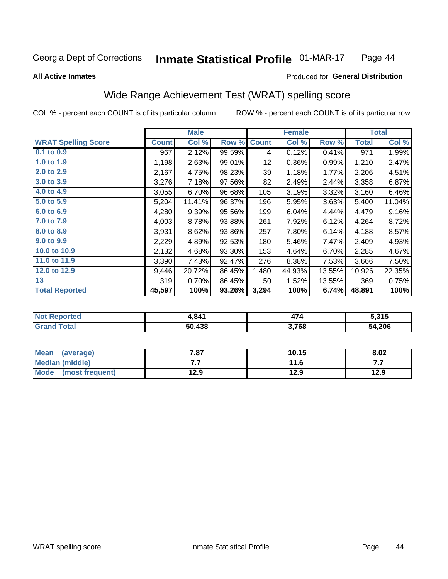#### **Inmate Statistical Profile 01-MAR-17** Page 44

#### **All Active Inmates**

### Produced for General Distribution

# Wide Range Achievement Test (WRAT) spelling score

COL % - percent each COUNT is of its particular column

|                            |              | <b>Male</b> |        |              | <b>Female</b> |        |              | <b>Total</b> |
|----------------------------|--------------|-------------|--------|--------------|---------------|--------|--------------|--------------|
| <b>WRAT Spelling Score</b> | <b>Count</b> | Col %       | Row %  | <b>Count</b> | Col %         | Row %  | <b>Total</b> | Col %        |
| $0.1$ to $0.9$             | 967          | 2.12%       | 99.59% | 4            | 0.12%         | 0.41%  | 971          | 1.99%        |
| 1.0 to 1.9                 | 1,198        | 2.63%       | 99.01% | 12           | 0.36%         | 0.99%  | 1,210        | 2.47%        |
| 2.0 to 2.9                 | 2,167        | 4.75%       | 98.23% | 39           | 1.18%         | 1.77%  | 2,206        | 4.51%        |
| 3.0 to 3.9                 | 3,276        | 7.18%       | 97.56% | 82           | 2.49%         | 2.44%  | 3,358        | 6.87%        |
| 4.0 to 4.9                 | 3,055        | 6.70%       | 96.68% | 105          | 3.19%         | 3.32%  | 3,160        | 6.46%        |
| 5.0 to 5.9                 | 5,204        | 11.41%      | 96.37% | 196          | 5.95%         | 3.63%  | 5,400        | 11.04%       |
| 6.0 to 6.9                 | 4,280        | 9.39%       | 95.56% | 199          | 6.04%         | 4.44%  | 4,479        | 9.16%        |
| 7.0 to 7.9                 | 4,003        | 8.78%       | 93.88% | 261          | 7.92%         | 6.12%  | 4,264        | 8.72%        |
| 8.0 to 8.9                 | 3,931        | 8.62%       | 93.86% | 257          | 7.80%         | 6.14%  | 4,188        | 8.57%        |
| 9.0 to 9.9                 | 2,229        | 4.89%       | 92.53% | 180          | 5.46%         | 7.47%  | 2,409        | 4.93%        |
| 10.0 to 10.9               | 2,132        | 4.68%       | 93.30% | 153          | 4.64%         | 6.70%  | 2,285        | 4.67%        |
| 11.0 to 11.9               | 3,390        | 7.43%       | 92.47% | 276          | 8.38%         | 7.53%  | 3,666        | 7.50%        |
| 12.0 to 12.9               | 9,446        | 20.72%      | 86.45% | 1,480        | 44.93%        | 13.55% | 10,926       | 22.35%       |
| 13                         | 319          | 0.70%       | 86.45% | 50           | 1.52%         | 13.55% | 369          | 0.75%        |
| <b>Total Reported</b>      | 45,597       | 100%        | 93.26% | 3,294        | 100%          | 6.74%  | 48,891       | 100%         |

| Reported<br><b>NOT</b> | . 841  | . .   | 5,315  |
|------------------------|--------|-------|--------|
| <b>cotal</b>           | 50.438 | 3,768 | 54,206 |

| Mean<br>(average)       | 7.87 | 10.15 | 8.02 |
|-------------------------|------|-------|------|
| Median (middle)         | . .  | 11.6  | .    |
| Mode<br>(most frequent) | 12.9 | 12.9  | 12.9 |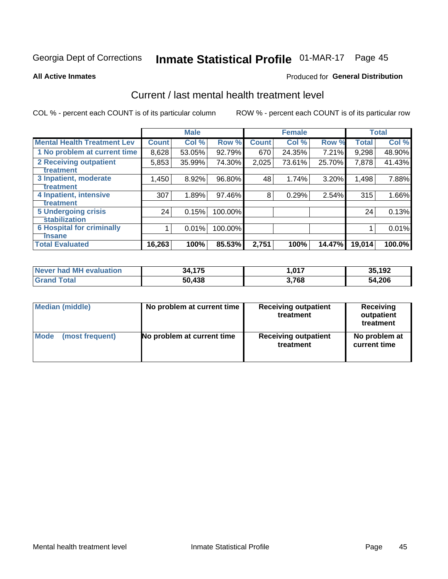# Inmate Statistical Profile 01-MAR-17 Page 45

**All Active Inmates** 

### Produced for General Distribution

# Current / last mental health treatment level

COL % - percent each COUNT is of its particular column

|                                    |              | <b>Male</b> |         |              | <b>Female</b> |        |              | <b>Total</b> |
|------------------------------------|--------------|-------------|---------|--------------|---------------|--------|--------------|--------------|
| <b>Mental Health Treatment Lev</b> | <b>Count</b> | Col %       | Row %   | <b>Count</b> | Col %         | Row %  | <b>Total</b> | Col %        |
| 1 No problem at current time       | 8,628        | 53.05%      | 92.79%  | 670          | 24.35%        | 7.21%  | 9,298        | 48.90%       |
| 2 Receiving outpatient             | 5,853        | 35.99%      | 74.30%  | 2,025        | 73.61%        | 25.70% | 7,878        | 41.43%       |
| <b>Treatment</b>                   |              |             |         |              |               |        |              |              |
| 3 Inpatient, moderate              | 1,450        | 8.92%       | 96.80%  | 48           | 1.74%         | 3.20%  | 1,498        | 7.88%        |
| <b>Treatment</b>                   |              |             |         |              |               |        |              |              |
| 4 Inpatient, intensive             | 307          | 1.89%       | 97.46%  | 8            | 0.29%         | 2.54%  | 315          | 1.66%        |
| Treatment                          |              |             |         |              |               |        |              |              |
| <b>5 Undergoing crisis</b>         | 24           | 0.15%       | 100.00% |              |               |        | 24           | 0.13%        |
| <b>Stabilization</b>               |              |             |         |              |               |        |              |              |
| <b>6 Hospital for criminally</b>   |              | 0.01%       | 100.00% |              |               |        |              | 0.01%        |
| <b>Tinsane</b>                     |              |             |         |              |               |        |              |              |
| <b>Total Evaluated</b>             | 16,263       | 100%        | 85.53%  | 2,751        | 100%          | 14.47% | 19,014       | 100.0%       |

| Never had MH evaluation | 34,175 | 017.ء | 35,192 |
|-------------------------|--------|-------|--------|
| <b>Grand Total</b>      | 50,438 | 3,768 | 54,206 |

| Median (middle) | No problem at current time | <b>Receiving outpatient</b><br>treatment | <b>Receiving</b><br>outpatient<br>treatment |
|-----------------|----------------------------|------------------------------------------|---------------------------------------------|
| <b>Mode</b>     | No problem at current time | <b>Receiving outpatient</b>              | No problem at                               |
| (most frequent) |                            | treatment                                | current time                                |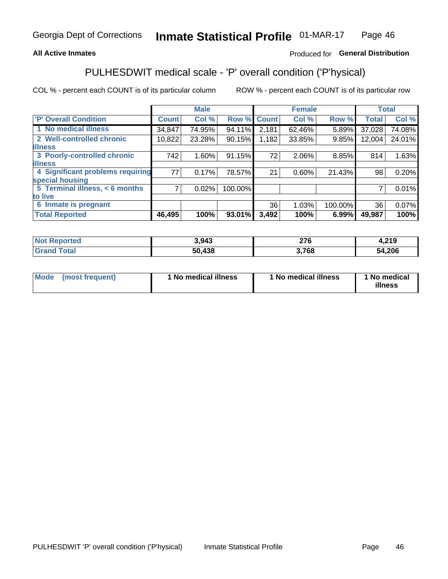### **All Active Inmates**

## Produced for General Distribution

# PULHESDWIT medical scale - 'P' overall condition ('P'hysical)

COL % - percent each COUNT is of its particular column

|                                  |              | <b>Male</b> |         |              | <b>Female</b> |         |                 | <b>Total</b> |
|----------------------------------|--------------|-------------|---------|--------------|---------------|---------|-----------------|--------------|
| <b>'P' Overall Condition</b>     | <b>Count</b> | Col %       | Row %   | <b>Count</b> | Col %         | Row %   | <b>Total</b>    | Col %        |
| 1 No medical illness             | 34,847       | 74.95%      | 94.11%  | 2,181        | 62.46%        | 5.89%   | 37,028          | 74.08%       |
| 2 Well-controlled chronic        | 10,822       | 23.28%      | 90.15%  | 1,182        | 33.85%        | 9.85%   | 12,004          | 24.01%       |
| <b>illness</b>                   |              |             |         |              |               |         |                 |              |
| 3 Poorly-controlled chronic      | 742          | $1.60\%$    | 91.15%  | 72           | $2.06\%$      | 8.85%   | 814             | 1.63%        |
| <b>illness</b>                   |              |             |         |              |               |         |                 |              |
| 4 Significant problems requiring | 77           | 0.17%       | 78.57%  | 21           | $0.60\%$      | 21.43%  | 98              | 0.20%        |
| special housing                  |              |             |         |              |               |         |                 |              |
| 5 Terminal illness, < 6 months   | 71           | 0.02%       | 100.00% |              |               |         | 7               | 0.01%        |
| to live                          |              |             |         |              |               |         |                 |              |
| 6 Inmate is pregnant             |              |             |         | 36           | 1.03%         | 100.00% | 36 <sub>1</sub> | $0.07\%$     |
| <b>Total Reported</b>            | 46,495       | 100%        | 93.01%  | 3,492        | 100%          | 6.99%   | 49,987          | 100%         |

| <b>rted</b> | 3,943       | $\sim$<br>$\angle 10$ | 4,219      |
|-------------|-------------|-----------------------|------------|
|             | 100<br>r Jo | 768                   | .206<br>54 |

| Mode | (most frequent) | 1 No medical illness | 1 No medical illness | 1 No medical<br>illness |
|------|-----------------|----------------------|----------------------|-------------------------|
|------|-----------------|----------------------|----------------------|-------------------------|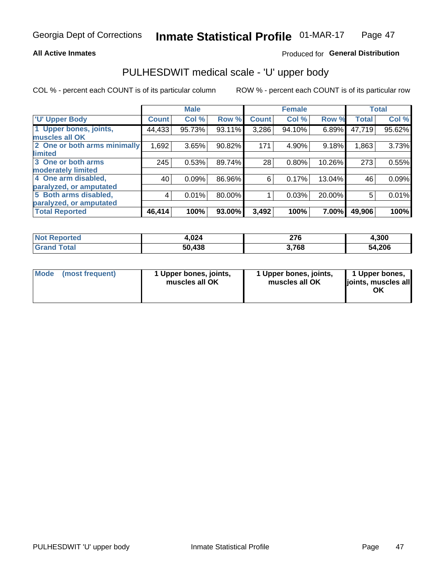### **All Active Inmates**

## Produced for General Distribution

# PULHESDWIT medical scale - 'U' upper body

COL % - percent each COUNT is of its particular column

|                                                  |                | <b>Male</b> |        |              | <b>Female</b> |        |              | <b>Total</b> |
|--------------------------------------------------|----------------|-------------|--------|--------------|---------------|--------|--------------|--------------|
| <b>U' Upper Body</b>                             | <b>Count</b>   | Col %       | Row %  | <b>Count</b> | Col %         | Row %  | <b>Total</b> | Col %        |
| 1 Upper bones, joints,<br>muscles all OK         | 44,433         | 95.73%      | 93.11% | 3,286        | 94.10%        | 6.89%  | 47,719       | 95.62%       |
| 2 One or both arms minimally<br>limited          | 1,692          | 3.65%       | 90.82% | 171          | 4.90%         | 9.18%  | 1,863        | 3.73%        |
| 3 One or both arms                               | 245            | 0.53%       | 89.74% | 28           | 0.80%         | 10.26% | 273          | 0.55%        |
| <b>moderately limited</b><br>4 One arm disabled, | 40             | 0.09%       | 86.96% | 6            | 0.17%         | 13.04% | 46           | 0.09%        |
| paralyzed, or amputated<br>5 Both arms disabled, | $\overline{4}$ | 0.01%       | 80.00% |              | 0.03%         | 20.00% | 5            | 0.01%        |
| paralyzed, or amputated                          |                |             |        |              |               |        |              |              |
| <b>Total Reported</b>                            | 46,414         | 100%        | 93.00% | 3,492        | 100%          | 7.00%  | 49,906       | 100%         |

| <b>Not Reported</b> | 4,024  | 276   | 4,300  |
|---------------------|--------|-------|--------|
| Total<br>Grand      | 50,438 | 3,768 | 54,206 |

| Mode<br>(most frequent) | 1 Upper bones, joints,<br>muscles all OK | 1 Upper bones, joints,<br>muscles all OK | 1 Upper bones,<br>joints, muscles all<br>ΟK |
|-------------------------|------------------------------------------|------------------------------------------|---------------------------------------------|
|-------------------------|------------------------------------------|------------------------------------------|---------------------------------------------|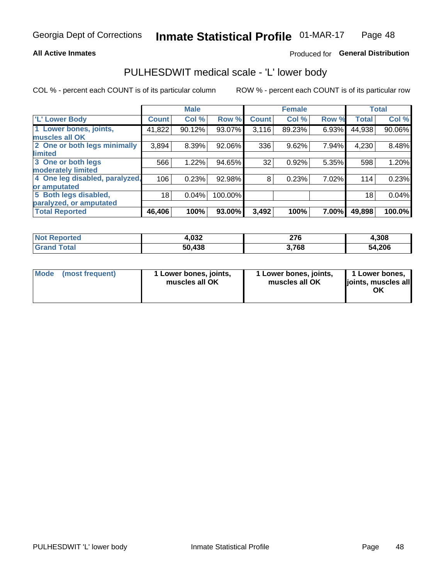### **All Active Inmates**

## Produced for General Distribution

# PULHESDWIT medical scale - 'L' lower body

COL % - percent each COUNT is of its particular column

|                                |              | <b>Male</b> |         |              | <b>Female</b> |       |              | <b>Total</b> |
|--------------------------------|--------------|-------------|---------|--------------|---------------|-------|--------------|--------------|
| 'L' Lower Body                 | <b>Count</b> | Col %       | Row %   | <b>Count</b> | Col %         | Row % | <b>Total</b> | Col %        |
| 1 Lower bones, joints,         | 41,822       | 90.12%      | 93.07%  | 3,116        | 89.23%        | 6.93% | 44,938       | 90.06%       |
| muscles all OK                 |              |             |         |              |               |       |              |              |
| 2 One or both legs minimally   | 3,894        | 8.39%       | 92.06%  | 336          | 9.62%         | 7.94% | 4,230        | 8.48%        |
| limited                        |              |             |         |              |               |       |              |              |
| 3 One or both legs             | 566          | 1.22%       | 94.65%  | 32           | 0.92%         | 5.35% | 598          | 1.20%        |
| moderately limited             |              |             |         |              |               |       |              |              |
| 4 One leg disabled, paralyzed, | 106          | 0.23%       | 92.98%  | 8            | 0.23%         | 7.02% | 114          | 0.23%        |
| or amputated                   |              |             |         |              |               |       |              |              |
| 5 Both legs disabled,          | 18           | 0.04%       | 100.00% |              |               |       | 18           | 0.04%        |
| paralyzed, or amputated        |              |             |         |              |               |       |              |              |
| <b>Total Reported</b>          | 46,406       | 100%        | 93.00%  | 3,492        | 100%          | 7.00% | 49,898       | 100.0%       |

| <b>Not Reported</b>   | 4,032  | 276   | 4,308  |
|-----------------------|--------|-------|--------|
| <b>Total</b><br>Grand | 50,438 | 3,768 | 54,206 |

|  | Mode (most frequent) | 1 Lower bones, joints,<br>muscles all OK | 1 Lower bones, joints,<br>muscles all OK | 1 Lower bones,<br>joints, muscles all<br>ΟK |
|--|----------------------|------------------------------------------|------------------------------------------|---------------------------------------------|
|--|----------------------|------------------------------------------|------------------------------------------|---------------------------------------------|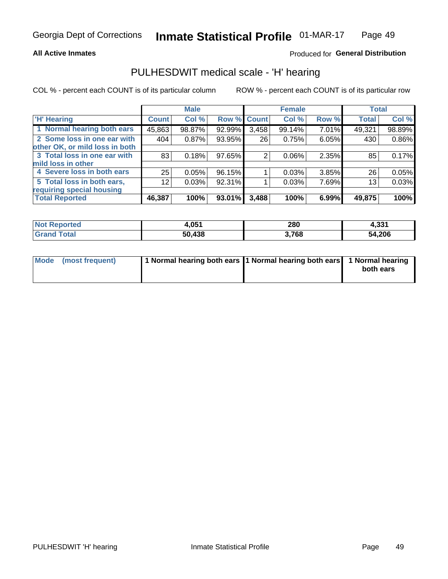### **All Active Inmates**

## Produced for General Distribution

# PULHESDWIT medical scale - 'H' hearing

COL % - percent each COUNT is of its particular column

|                                |                 | <b>Male</b> |             |       | <b>Female</b> |       | <b>Total</b> |        |
|--------------------------------|-----------------|-------------|-------------|-------|---------------|-------|--------------|--------|
| <b>'H' Hearing</b>             | <b>Count</b>    | Col %       | Row % Count |       | Col %         | Row % | <b>Total</b> | Col %  |
| 1 Normal hearing both ears     | 45,863          | 98.87%      | 92.99%      | 3,458 | 99.14%        | 7.01% | 49,321       | 98.89% |
| 2 Some loss in one ear with    | 404             | 0.87%       | 93.95%      | 26    | 0.75%         | 6.05% | 430          | 0.86%  |
| other OK, or mild loss in both |                 |             |             |       |               |       |              |        |
| 3 Total loss in one ear with   | 83              | 0.18%       | 97.65%      | 2     | $0.06\%$      | 2.35% | 85           | 0.17%  |
| mild loss in other             |                 |             |             |       |               |       |              |        |
| 4 Severe loss in both ears     | 25              | 0.05%       | 96.15%      |       | 0.03%         | 3.85% | 26           | 0.05%  |
| 5 Total loss in both ears,     | 12 <sub>1</sub> | 0.03%       | 92.31%      |       | 0.03%         | 7.69% | 13           | 0.03%  |
| requiring special housing      |                 |             |             |       |               |       |              |        |
| <b>Total Reported</b>          | 46,387          | 100%        | 93.01%      | 3,488 | 100%          | 6.99% | 49,875       | 100%   |

| <b>Not Repo</b><br>anorted and | OE4    | 280   | 1,331  |
|--------------------------------|--------|-------|--------|
| Total                          | 50,438 | 3,768 | 54,206 |

| Mode (most frequent) | 1 Normal hearing both ears 1 Normal hearing both ears 1 Normal hearing | both ears |
|----------------------|------------------------------------------------------------------------|-----------|
|                      |                                                                        |           |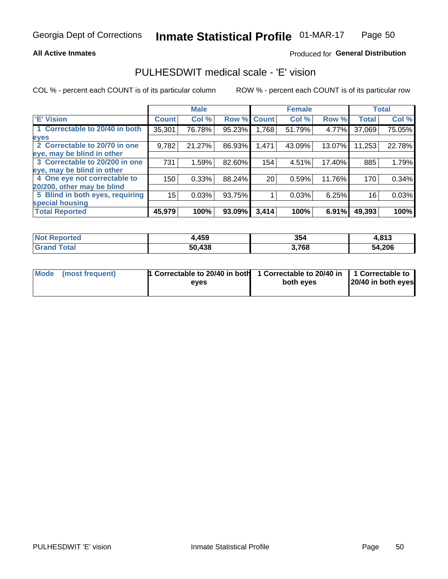### **All Active Inmates**

## Produced for General Distribution

# PULHESDWIT medical scale - 'E' vision

COL % - percent each COUNT is of its particular column

|                                 |              | <b>Male</b> |        |              | <b>Female</b> |        |              | <b>Total</b> |
|---------------------------------|--------------|-------------|--------|--------------|---------------|--------|--------------|--------------|
| <b>E' Vision</b>                | <b>Count</b> | Col %       | Row %  | <b>Count</b> | Col %         | Row %  | <b>Total</b> | Col %        |
| 1 Correctable to 20/40 in both  | 35,301       | 76.78%      | 95.23% | ا 768. ا     | 51.79%        | 4.77%  | 37,069       | 75.05%       |
| eyes                            |              |             |        |              |               |        |              |              |
| 2 Correctable to 20/70 in one   | 9,782        | 21.27%      | 86.93% | 1,471        | 43.09%        | 13.07% | 11,253       | 22.78%       |
| eye, may be blind in other      |              |             |        |              |               |        |              |              |
| 3 Correctable to 20/200 in one  | 731          | 1.59%       | 82.60% | 154          | 4.51%         | 17.40% | 885          | 1.79%        |
| eye, may be blind in other      |              |             |        |              |               |        |              |              |
| 4 One eye not correctable to    | 150          | 0.33%       | 88.24% | 20           | 0.59%         | 11.76% | 170          | 0.34%        |
| 20/200, other may be blind      |              |             |        |              |               |        |              |              |
| 5 Blind in both eyes, requiring | 15           | 0.03%       | 93.75% |              | 0.03%         | 6.25%  | 16           | 0.03%        |
| special housing                 |              |             |        |              |               |        |              |              |
| <b>Total Reported</b>           | 45,979       | 100%        | 93.09% | 3,414        | 100%          | 6.91%  | 49,393       | 100%         |

| <b>Not Reported</b> | ,459   | 354   | 4,813  |
|---------------------|--------|-------|--------|
| <b>Total</b>        | 50,438 | 3,768 | 54,206 |

| Mode (most frequent) | 1 Correctable to 20/40 in both<br>eves | 1 Correctable to 20/40 in   1 Correctable to  <br>both eves | 20/40 in both eyes |
|----------------------|----------------------------------------|-------------------------------------------------------------|--------------------|
|                      |                                        |                                                             |                    |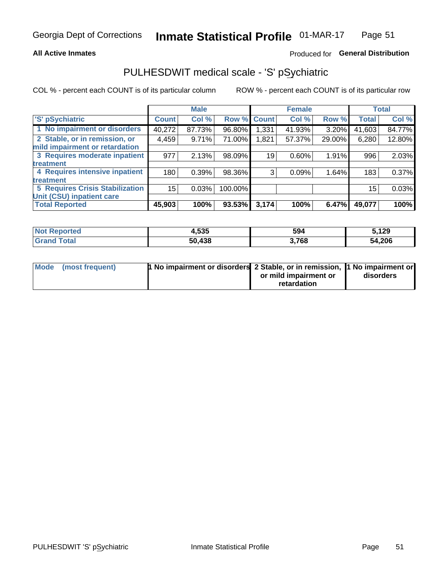### **All Active Inmates**

## Produced for General Distribution

# PULHESDWIT medical scale - 'S' pSychiatric

COL % - percent each COUNT is of its particular column

|                                        |              | <b>Male</b> |         |                    | <b>Female</b> |        |              | <b>Total</b> |
|----------------------------------------|--------------|-------------|---------|--------------------|---------------|--------|--------------|--------------|
| 'S' pSychiatric                        | <b>Count</b> | Col %       |         | <b>Row % Count</b> | Col %         | Row %  | <b>Total</b> | Col %        |
| 1 No impairment or disorders           | 40,272       | 87.73%      | 96.80%  | 1,331              | 41.93%        | 3.20%  | 41,603       | 84.77%       |
| 2 Stable, or in remission, or          | 4,459        | 9.71%       | 71.00%  | 1,821              | 57.37%        | 29.00% | 6,280        | 12.80%       |
| mild impairment or retardation         |              |             |         |                    |               |        |              |              |
| 3 Requires moderate inpatient          | 977          | 2.13%       | 98.09%  | 19                 | 0.60%         | 1.91%  | 996          | 2.03%        |
| treatment                              |              |             |         |                    |               |        |              |              |
| 4 Requires intensive inpatient         | 180          | 0.39%       | 98.36%  | 3                  | 0.09%         | 1.64%  | 183          | 0.37%        |
| treatment                              |              |             |         |                    |               |        |              |              |
| <b>5 Requires Crisis Stabilization</b> | 15           | 0.03%       | 100.00% |                    |               |        | 15           | 0.03%        |
| Unit (CSU) inpatient care              |              |             |         |                    |               |        |              |              |
| <b>Total Reported</b>                  | 45,903       | 100%        | 93.53%  | 3,174              | 100%          | 6.47%  | 49,077       | 100%         |

| <b>Not Reported</b>   | 4,535  | 594   | 5,129  |
|-----------------------|--------|-------|--------|
| Total<br><b>Grand</b> | 50,438 | 3,768 | 54,206 |

| Mode (most frequent) | <b>1 No impairment or disorders 2 Stable, or in remission, 1 No impairment or</b> |                       |           |
|----------------------|-----------------------------------------------------------------------------------|-----------------------|-----------|
|                      |                                                                                   | or mild impairment or | disorders |
|                      |                                                                                   | retardation           |           |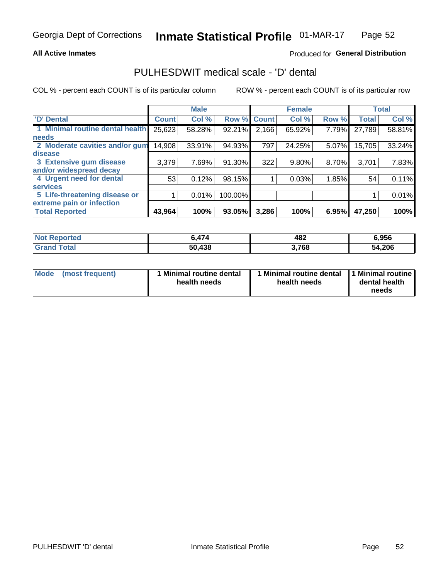### **All Active Inmates**

## Produced for General Distribution

# PULHESDWIT medical scale - 'D' dental

COL % - percent each COUNT is of its particular column

|                                 |              | <b>Male</b> |         |              | <b>Female</b> |       |              | <b>Total</b> |
|---------------------------------|--------------|-------------|---------|--------------|---------------|-------|--------------|--------------|
| 'D' Dental                      | <b>Count</b> | Col %       | Row %   | <b>Count</b> | Col %         | Row % | <b>Total</b> | Col %        |
| 1 Minimal routine dental health | 25,623       | 58.28%      | 92.21%  | 2,166        | 65.92%        | 7.79% | 27,789       | 58.81%       |
| <b>needs</b>                    |              |             |         |              |               |       |              |              |
| 2 Moderate cavities and/or gum  | 14,908       | 33.91%      | 94.93%  | 797          | 24.25%        | 5.07% | 15,705       | 33.24%       |
| disease                         |              |             |         |              |               |       |              |              |
| 3 Extensive gum disease         | 3,379        | 7.69%       | 91.30%  | 322          | 9.80%         | 8.70% | 3,701        | 7.83%        |
| and/or widespread decay         |              |             |         |              |               |       |              |              |
| 4 Urgent need for dental        | 53           | 0.12%       | 98.15%  |              | 0.03%         | 1.85% | 54           | 0.11%        |
| <b>services</b>                 |              |             |         |              |               |       |              |              |
| 5 Life-threatening disease or   |              | 0.01%       | 100.00% |              |               |       |              | 0.01%        |
| extreme pain or infection       |              |             |         |              |               |       |              |              |
| <b>Total Reported</b>           | 43,964       | 100%        | 93.05%  | 3,286        | 100%          | 6.95% | 47,250       | 100%         |

| <b>Not Reported</b> | 474    | 482   | 6,956  |
|---------------------|--------|-------|--------|
| <b>Grand Total</b>  | 50,438 | 3,768 | 54,206 |

| Mode<br><b>Minimal routine dental</b><br>(most frequent)<br>health needs | 1 Minimal routine dental<br>health needs | 1 Minimal routine<br>dental health<br>needs |
|--------------------------------------------------------------------------|------------------------------------------|---------------------------------------------|
|--------------------------------------------------------------------------|------------------------------------------|---------------------------------------------|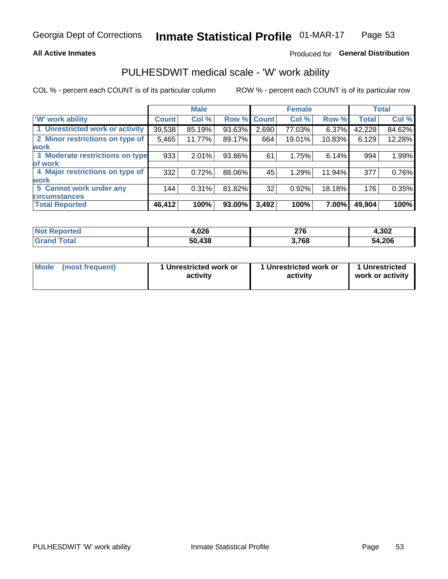### **All Active Inmates**

## Produced for General Distribution

# PULHESDWIT medical scale - 'W' work ability

COL % - percent each COUNT is of its particular column

|                                 |              | <b>Male</b> |        |             | <b>Female</b> |        |              | <b>Total</b> |
|---------------------------------|--------------|-------------|--------|-------------|---------------|--------|--------------|--------------|
| 'W' work ability                | <b>Count</b> | Col %       |        | Row % Count | Col %         | Row %  | <b>Total</b> | Col %        |
| 1 Unrestricted work or activity | 39,538       | 85.19%      | 93.63% | 2,690       | 77.03%        | 6.37%  | 42,228       | 84.62%       |
| 2 Minor restrictions on type of | 5,465        | 11.77%      | 89.17% | 664         | 19.01%        | 10.83% | 6,129        | 12.28%       |
| <b>work</b>                     |              |             |        |             |               |        |              |              |
| 3 Moderate restrictions on type | 933          | 2.01%       | 93.86% | 61          | 1.75%         | 6.14%  | 994          | 1.99%        |
| lof work                        |              |             |        |             |               |        |              |              |
| 4 Major restrictions on type of | 332          | 0.72%       | 88.06% | 45          | 1.29%         | 11.94% | 377          | 0.76%        |
| <b>work</b>                     |              |             |        |             |               |        |              |              |
| 5 Cannot work under any         | 144          | 0.31%       | 81.82% | 32          | 0.92%         | 18.18% | 176          | 0.35%        |
| <b>circumstances</b>            |              |             |        |             |               |        |              |              |
| <b>Total Reported</b>           | 46,412       | 100%        | 93.00% | 3,492       | 100%          | 7.00%  | 49,904       | 100%         |

| <b>Not Reported</b> | 4,026       | 27C<br>21 V | 4,302  |
|---------------------|-------------|-------------|--------|
| Total<br>Grand      | ,438<br>50. | 3,768       | 54,206 |

| Mode            | 1 Unrestricted work or | 1 Unrestricted work or | 1 Unrestricted   |
|-----------------|------------------------|------------------------|------------------|
| (most frequent) | activity               | activity               | work or activity |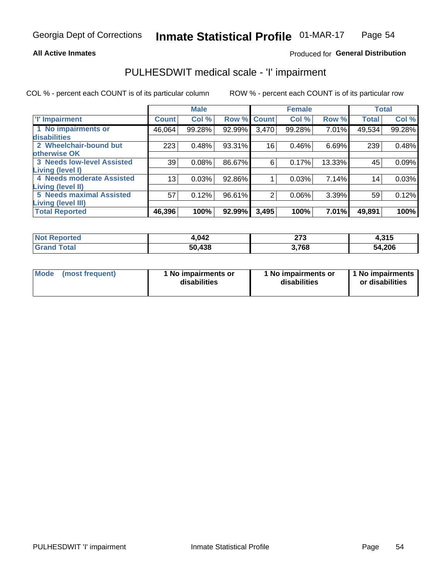### **All Active Inmates**

## Produced for General Distribution

# PULHESDWIT medical scale - 'I' impairment

COL % - percent each COUNT is of its particular column

|                                   |              | <b>Male</b> |        |             | <b>Female</b> |        |              | <b>Total</b> |
|-----------------------------------|--------------|-------------|--------|-------------|---------------|--------|--------------|--------------|
| <b>T' Impairment</b>              | <b>Count</b> | Col %       |        | Row % Count | Col %         | Row %  | <b>Total</b> | Col %        |
| 1 No impairments or               | 46,064       | 99.28%      | 92.99% | 3,470       | 99.28%        | 7.01%  | 49,534       | 99.28%       |
| disabilities                      |              |             |        |             |               |        |              |              |
| 2 Wheelchair-bound but            | 223          | 0.48%       | 93.31% | 16          | 0.46%         | 6.69%  | 239          | 0.48%        |
| otherwise OK                      |              |             |        |             |               |        |              |              |
| <b>3 Needs low-level Assisted</b> | 39           | 0.08%       | 86.67% | 6           | 0.17%         | 13.33% | 45           | 0.09%        |
| Living (level I)                  |              |             |        |             |               |        |              |              |
| 4 Needs moderate Assisted         | 13           | 0.03%       | 92.86% |             | 0.03%         | 7.14%  | 14           | 0.03%        |
| Living (level II)                 |              |             |        |             |               |        |              |              |
| <b>5 Needs maximal Assisted</b>   | 57           | 0.12%       | 96.61% | 2           | 0.06%         | 3.39%  | 59           | 0.12%        |
| Living (level III)                |              |             |        |             |               |        |              |              |
| <b>Total Reported</b>             | 46,396       | 100%        | 92.99% | 3,495       | 100%          | 7.01%  | 49,891       | 100%         |

| Not F<br>Reported            | 1,042  | ヘフヘ<br>− د ا<br>$\sim$ | 24E<br>4.JIJ |
|------------------------------|--------|------------------------|--------------|
| <b>Total</b><br><b>Grand</b> | 50,438 | ,768                   | 54,206       |

| Mode | (most frequent) | 1 No impairments or<br>disabilities | 1 No impairments or<br>disabilities | 1 No impairments<br>or disabilities |
|------|-----------------|-------------------------------------|-------------------------------------|-------------------------------------|
|------|-----------------|-------------------------------------|-------------------------------------|-------------------------------------|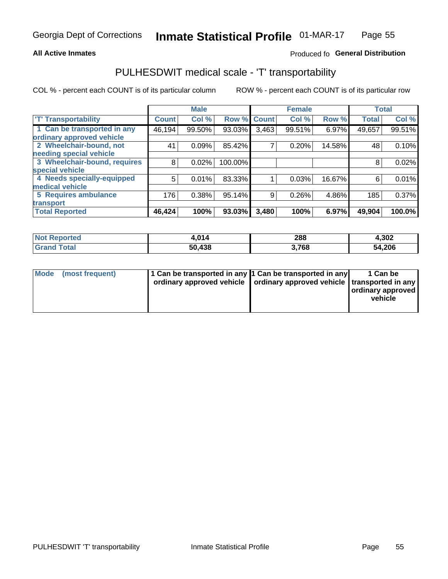### **All Active Inmates**

## Produced fo General Distribution

# PULHESDWIT medical scale - 'T' transportability

COL % - percent each COUNT is of its particular column

|                              |              | <b>Male</b> |         |              | <b>Female</b> |        |              | <b>Total</b> |
|------------------------------|--------------|-------------|---------|--------------|---------------|--------|--------------|--------------|
| <b>T' Transportability</b>   | <b>Count</b> | Col %       | Row %   | <b>Count</b> | Col %         | Row %  | <b>Total</b> | Col %        |
| 1 Can be transported in any  | 46,194       | 99.50%      | 93.03%  | 3,463        | 99.51%        | 6.97%  | 49,657       | 99.51%       |
| ordinary approved vehicle    |              |             |         |              |               |        |              |              |
| 2 Wheelchair-bound, not      | 41           | 0.09%       | 85.42%  | 7            | 0.20%         | 14.58% | 48           | 0.10%        |
| needing special vehicle      |              |             |         |              |               |        |              |              |
| 3 Wheelchair-bound, requires | 8            | 0.02%       | 100.00% |              |               |        | 8            | 0.02%        |
| special vehicle              |              |             |         |              |               |        |              |              |
| 4 Needs specially-equipped   | 5            | 0.01%       | 83.33%  |              | 0.03%         | 16.67% | 6            | 0.01%        |
| medical vehicle              |              |             |         |              |               |        |              |              |
| <b>5 Requires ambulance</b>  | 176          | 0.38%       | 95.14%  | 9            | 0.26%         | 4.86%  | 185          | 0.37%        |
| transport                    |              |             |         |              |               |        |              |              |
| <b>Total Reported</b>        | 46, 424      | 100%        | 93.03%  | 3,480        | 100%          | 6.97%  | 49,904       | 100.0%       |

| <b>Not</b><br><b>Reported</b> | .014   | 288  | 4,302  |
|-------------------------------|--------|------|--------|
| 'otal                         | 50.438 | ,768 | 54,206 |

|  | Mode (most frequent) | 1 Can be transported in any 1 Can be transported in any<br>ordinary approved vehicle   ordinary approved vehicle   transported in any |  | 1 Can be<br>  ordinary approved  <br>vehicle |
|--|----------------------|---------------------------------------------------------------------------------------------------------------------------------------|--|----------------------------------------------|
|--|----------------------|---------------------------------------------------------------------------------------------------------------------------------------|--|----------------------------------------------|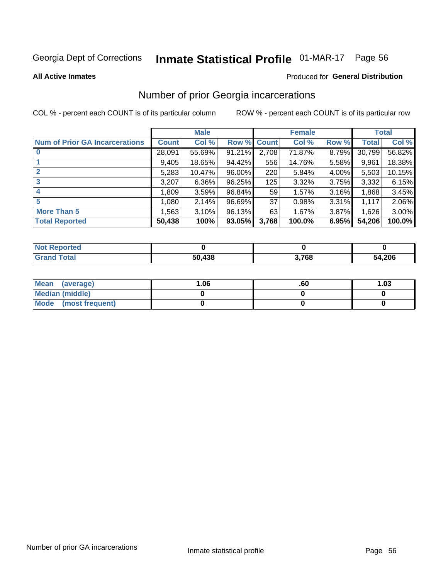# Inmate Statistical Profile 01-MAR-17 Page 56

**All Active Inmates** 

## **Produced for General Distribution**

# Number of prior Georgia incarcerations

COL % - percent each COUNT is of its particular column

|                                       |              | <b>Male</b> |                    |       | <b>Female</b> |       |        | <b>Total</b> |
|---------------------------------------|--------------|-------------|--------------------|-------|---------------|-------|--------|--------------|
| <b>Num of Prior GA Incarcerations</b> | <b>Count</b> | Col %       | <b>Row % Count</b> |       | Col %         | Row % | Total  | Col %        |
|                                       | 28,091       | 55.69%      | 91.21%             | 2,708 | 71.87%        | 8.79% | 30,799 | 56.82%       |
|                                       | 9,405        | 18.65%      | 94.42%             | 556   | 14.76%        | 5.58% | 9,961  | 18.38%       |
| $\overline{2}$                        | 5,283        | 10.47%      | $96.00\%$          | 220   | 5.84%         | 4.00% | 5,503  | 10.15%       |
| 3                                     | 3,207        | 6.36%       | 96.25%             | 125   | 3.32%         | 3.75% | 3,332  | 6.15%        |
| 4                                     | 1,809        | 3.59%       | 96.84%             | 59    | 1.57%         | 3.16% | 1,868  | 3.45%        |
| 5                                     | 1,080        | 2.14%       | 96.69%             | 37    | 0.98%         | 3.31% | 1,117  | 2.06%        |
| <b>More Than 5</b>                    | 1.563        | 3.10%       | 96.13%             | 63    | 1.67%         | 3.87% | 1,626  | 3.00%        |
| <b>Total Reported</b>                 | 50,438       | 100%        | 93.05%             | 3,768 | 100.0%        | 6.95% | 54,206 | 100.0%       |

| <b>Not</b><br>Reported |        |       |        |
|------------------------|--------|-------|--------|
| <b>Total</b><br>'Grand | 50,438 | 3,768 | 54,206 |

| Mean (average)       | 06.، | .60 | 1.03 |
|----------------------|------|-----|------|
| Median (middle)      |      |     |      |
| Mode (most frequent) |      |     |      |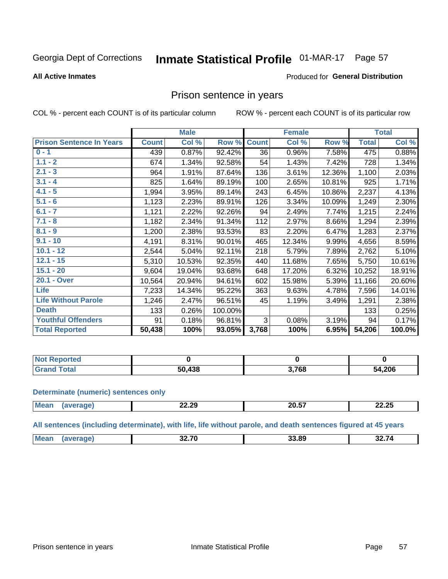#### **Inmate Statistical Profile 01-MAR-17** Page 57

#### **All Active Inmates**

## **Produced for General Distribution**

## Prison sentence in years

COL % - percent each COUNT is of its particular column

ROW % - percent each COUNT is of its particular row

|                                 |              | <b>Male</b> |         |              | <b>Female</b> |        |              | <b>Total</b> |
|---------------------------------|--------------|-------------|---------|--------------|---------------|--------|--------------|--------------|
| <b>Prison Sentence In Years</b> | <b>Count</b> | Col %       | Row %   | <b>Count</b> | Col %         | Row %  | <b>Total</b> | Col %        |
| $0 - 1$                         | 439          | 0.87%       | 92.42%  | 36           | 0.96%         | 7.58%  | 475          | 0.88%        |
| $1.1 - 2$                       | 674          | 1.34%       | 92.58%  | 54           | 1.43%         | 7.42%  | 728          | 1.34%        |
| $2.1 - 3$                       | 964          | 1.91%       | 87.64%  | 136          | 3.61%         | 12.36% | 1,100        | 2.03%        |
| $3.1 - 4$                       | 825          | 1.64%       | 89.19%  | 100          | 2.65%         | 10.81% | 925          | 1.71%        |
| $4.1 - 5$                       | 1,994        | 3.95%       | 89.14%  | 243          | 6.45%         | 10.86% | 2,237        | 4.13%        |
| $5.1 - 6$                       | 1,123        | 2.23%       | 89.91%  | 126          | 3.34%         | 10.09% | 1,249        | 2.30%        |
| $6.1 - 7$                       | 1,121        | 2.22%       | 92.26%  | 94           | 2.49%         | 7.74%  | 1,215        | 2.24%        |
| $7.1 - 8$                       | 1,182        | 2.34%       | 91.34%  | 112          | 2.97%         | 8.66%  | 1,294        | 2.39%        |
| $8.1 - 9$                       | 1,200        | 2.38%       | 93.53%  | 83           | 2.20%         | 6.47%  | 1,283        | 2.37%        |
| $9.1 - 10$                      | 4,191        | 8.31%       | 90.01%  | 465          | 12.34%        | 9.99%  | 4,656        | 8.59%        |
| $10.1 - 12$                     | 2,544        | 5.04%       | 92.11%  | 218          | 5.79%         | 7.89%  | 2,762        | 5.10%        |
| $12.1 - 15$                     | 5,310        | 10.53%      | 92.35%  | 440          | 11.68%        | 7.65%  | 5,750        | 10.61%       |
| $15.1 - 20$                     | 9,604        | 19.04%      | 93.68%  | 648          | 17.20%        | 6.32%  | 10,252       | 18.91%       |
| 20.1 - Over                     | 10,564       | 20.94%      | 94.61%  | 602          | 15.98%        | 5.39%  | 11,166       | 20.60%       |
| <b>Life</b>                     | 7,233        | 14.34%      | 95.22%  | 363          | 9.63%         | 4.78%  | 7,596        | 14.01%       |
| <b>Life Without Parole</b>      | 1,246        | 2.47%       | 96.51%  | 45           | 1.19%         | 3.49%  | 1,291        | 2.38%        |
| <b>Death</b>                    | 133          | 0.26%       | 100.00% |              |               |        | 133          | 0.25%        |
| <b>Youthful Offenders</b>       | 91           | 0.18%       | 96.81%  | 3            | 0.08%         | 3.19%  | 94           | 0.17%        |
| <b>Total Reported</b>           | 50,438       | 100%        | 93.05%  | 3,768        | 100%          | 6.95%  | 54,206       | 100.0%       |

| Reported<br>I NOT |                 |      |        |
|-------------------|-----------------|------|--------|
| intal             | 120<br>50<br>JО | ,768 | 54,206 |

#### **Determinate (numeric) sentences only**

| <b>Mean</b><br>$n \sim n$ | 22.29 | $\sim$ $-$<br>20.J | $\sim$ $\sim$ $\sim$<br>. . |
|---------------------------|-------|--------------------|-----------------------------|
|                           |       |                    |                             |

All sentences (including determinate), with life, life without parole, and death sentences figured at 45 years

| Me | 00 70<br>___ | 33 80 | 32 74 |
|----|--------------|-------|-------|
|    |              |       |       |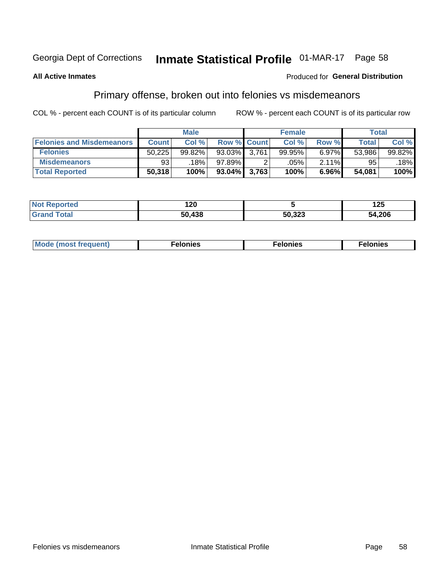# Inmate Statistical Profile 01-MAR-17 Page 58

### **All Active Inmates**

## **Produced for General Distribution**

# Primary offense, broken out into felonies vs misdemeanors

COL % - percent each COUNT is of its particular column

|                                  |              | <b>Male</b> |                    |       | <b>Female</b> |       | Total        |        |
|----------------------------------|--------------|-------------|--------------------|-------|---------------|-------|--------------|--------|
| <b>Felonies and Misdemeanors</b> | <b>Count</b> | Col %       | <b>Row % Count</b> |       | Col %         | Row % | <b>Total</b> | Col %  |
| <b>Felonies</b>                  | 50,225       | 99.82%      | 93.03%             | 3.761 | 99.95%        | 6.97% | 53,986       | 99.82% |
| <b>Misdemeanors</b>              | 93           | 18%         | 97.89%             |       | .05%          | 2.11% | 95           | 18%    |
| <b>Total Reported</b>            | 50,318       | 100%        | $93.04\%$ 3,763    |       | 100%          | 6.96% | 54,081       | 100%   |

| <b>Not</b><br>Reported | 120        |        | n E<br>LJ |
|------------------------|------------|--------|-----------|
| Grano<br>™otal         | 438<br>ווא | 50,323 | 54,206    |

| Mo | ___ | 11 C.S<br>. | onies<br>. |
|----|-----|-------------|------------|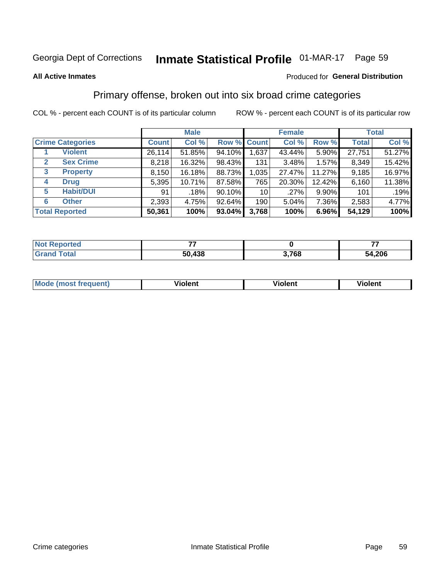# Inmate Statistical Profile 01-MAR-17 Page 59

#### **All Active Inmates**

### Produced for General Distribution

# Primary offense, broken out into six broad crime categories

COL % - percent each COUNT is of its particular column

|                                  | <b>Male</b>  |        |           |                 | <b>Female</b> |        | <b>Total</b> |        |  |
|----------------------------------|--------------|--------|-----------|-----------------|---------------|--------|--------------|--------|--|
| <b>Crime Categories</b>          | <b>Count</b> | Col %  |           | Row % Count     | Col %         | Row %  | <b>Total</b> | Col %  |  |
| <b>Violent</b>                   | 26,114       | 51.85% | 94.10%    | 1,637           | 43.44%        | 5.90%  | 27,751       | 51.27% |  |
| <b>Sex Crime</b><br>$\mathbf{2}$ | 8,218        | 16.32% | 98.43%    | 131             | 3.48%         | 1.57%  | 8,349        | 15.42% |  |
| $\mathbf{3}$<br><b>Property</b>  | 8,150        | 16.18% | 88.73%    | 1,035           | 27.47%        | 11.27% | 9,185        | 16.97% |  |
| <b>Drug</b><br>4                 | 5,395        | 10.71% | 87.58%    | 765             | 20.30%        | 12.42% | 6,160        | 11.38% |  |
| <b>Habit/DUI</b><br>5            | 91           | .18%   | 90.10%    | 10 <sup>1</sup> | .27%          | 9.90%  | 101          | .19%   |  |
| <b>Other</b><br>6                | 2,393        | 4.75%  | 92.64%    | 190             | 5.04%         | 7.36%  | 2,583        | 4.77%  |  |
| <b>Total Reported</b>            | 50,361       | 100%   | $93.04\%$ | 3,768           | 100%          | 6.96%  | 54,129       | 100%   |  |

| <b>rortea</b><br><b>NOT</b> |        |          |        |
|-----------------------------|--------|----------|--------|
| Eata                        | 50,438 | 700<br>v | 54,206 |

| Mo<br>uent)<br>nos | .<br>/iolent | <br>Violent | - --<br><b>Tiolent</b> |
|--------------------|--------------|-------------|------------------------|
|                    |              |             |                        |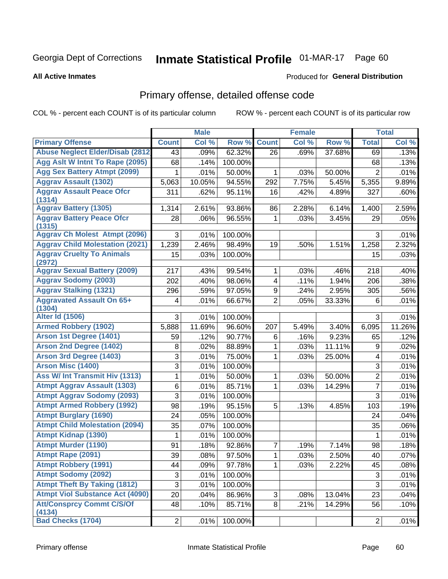# Inmate Statistical Profile 01-MAR-17 Page 60

**All Active Inmates** 

### Produced for General Distribution

# Primary offense, detailed offense code

COL % - percent each COUNT is of its particular column

|                                                                  |                           | <b>Male</b> |         |                 | <b>Female</b> |        |                           | <b>Total</b> |
|------------------------------------------------------------------|---------------------------|-------------|---------|-----------------|---------------|--------|---------------------------|--------------|
| <b>Primary Offense</b>                                           | <b>Count</b>              | Col %       | Row %   | <b>Count</b>    | Col %         | Row %  | <b>Total</b>              | Col %        |
| <b>Abuse Neglect Elder/Disab (2812)</b>                          | 43                        | .09%        | 62.32%  | $\overline{26}$ | .69%          | 37.68% | 69                        | .13%         |
| Agg Aslt W Intnt To Rape (2095)                                  | 68                        | .14%        | 100.00% |                 |               |        | 68                        | .13%         |
| <b>Agg Sex Battery Atmpt (2099)</b>                              | 1                         | .01%        | 50.00%  | 1               | .03%          | 50.00% | $\overline{2}$            | .01%         |
| <b>Aggrav Assault (1302)</b>                                     | 5,063                     | 10.05%      | 94.55%  | 292             | 7.75%         | 5.45%  | 5,355                     | 9.89%        |
| <b>Aggrav Assault Peace Ofcr</b>                                 | 311                       | .62%        | 95.11%  | 16              | .42%          | 4.89%  | 327                       | .60%         |
| (1314)                                                           |                           |             |         |                 |               |        |                           |              |
| <b>Aggrav Battery (1305)</b><br><b>Aggrav Battery Peace Ofcr</b> | 1,314                     | 2.61%       | 93.86%  | 86              | 2.28%         | 6.14%  | 1,400                     | 2.59%        |
| (1315)                                                           | 28                        | .06%        | 96.55%  | 1               | .03%          | 3.45%  | 29                        | .05%         |
| <b>Aggrav Ch Molest Atmpt (2096)</b>                             | 3                         | .01%        | 100.00% |                 |               |        | 3                         | .01%         |
| <b>Aggrav Child Molestation (2021)</b>                           | 1,239                     | 2.46%       | 98.49%  | 19              | .50%          | 1.51%  | 1,258                     | 2.32%        |
| <b>Aggrav Cruelty To Animals</b>                                 | 15                        | .03%        | 100.00% |                 |               |        | 15                        | .03%         |
| (2972)                                                           |                           |             |         |                 |               |        |                           |              |
| <b>Aggrav Sexual Battery (2009)</b>                              | 217                       | .43%        | 99.54%  | 1               | .03%          | .46%   | 218                       | .40%         |
| <b>Aggrav Sodomy (2003)</b>                                      | 202                       | .40%        | 98.06%  | 4               | .11%          | 1.94%  | 206                       | .38%         |
| <b>Aggrav Stalking (1321)</b>                                    | 296                       | .59%        | 97.05%  | 9               | .24%          | 2.95%  | 305                       | .56%         |
| <b>Aggravated Assault On 65+</b><br>(1304)                       | 4                         | .01%        | 66.67%  | $\overline{2}$  | .05%          | 33.33% | 6                         | .01%         |
| <b>Alter Id (1506)</b>                                           | 3                         | .01%        | 100.00% |                 |               |        | 3                         | .01%         |
| <b>Armed Robbery (1902)</b>                                      | 5,888                     | 11.69%      | 96.60%  | 207             | 5.49%         | 3.40%  | 6,095                     | 11.26%       |
| Arson 1st Degree (1401)                                          | 59                        | .12%        | 90.77%  | 6               | .16%          | 9.23%  | 65                        | .12%         |
| <b>Arson 2nd Degree (1402)</b>                                   | 8                         | .02%        | 88.89%  | 1               | .03%          | 11.11% | 9                         | .02%         |
| <b>Arson 3rd Degree (1403)</b>                                   | 3                         | .01%        | 75.00%  | 1               | .03%          | 25.00% | 4                         | .01%         |
| Arson Misc (1400)                                                | 3                         | .01%        | 100.00% |                 |               |        | 3                         | .01%         |
| Ass W/ Int Transmit Hiv (1313)                                   | 1                         | .01%        | 50.00%  | 1               | .03%          | 50.00% | $\overline{2}$            | .01%         |
| <b>Atmpt Aggrav Assault (1303)</b>                               | 6                         | .01%        | 85.71%  | 1               | .03%          | 14.29% | $\overline{7}$            | .01%         |
| <b>Atmpt Aggrav Sodomy (2093)</b>                                | 3                         | .01%        | 100.00% |                 |               |        | 3                         | .01%         |
| <b>Atmpt Armed Robbery (1992)</b>                                | 98                        | .19%        | 95.15%  | 5               | .13%          | 4.85%  | 103                       | .19%         |
| <b>Atmpt Burglary (1690)</b>                                     | 24                        | .05%        | 100.00% |                 |               |        | 24                        | .04%         |
| <b>Atmpt Child Molestation (2094)</b>                            | 35                        | .07%        | 100.00% |                 |               |        | 35                        | .06%         |
| <b>Atmpt Kidnap (1390)</b>                                       | 1                         | .01%        | 100.00% |                 |               |        | 1                         | .01%         |
| <b>Atmpt Murder (1190)</b>                                       | 91                        | .18%        | 92.86%  | 7               | .19%          | 7.14%  | 98                        | .18%         |
| Atmpt Rape (2091)                                                | $\overline{39}$           | .08%        | 97.50%  | $\overline{1}$  | .03%          | 2.50%  | $\overline{40}$           | .07%         |
| <b>Atmpt Robbery (1991)</b>                                      | 44                        | .09%        | 97.78%  | 1               | .03%          | 2.22%  | 45                        | .08%         |
| <b>Atmpt Sodomy (2092)</b>                                       | $\ensuremath{\mathsf{3}}$ | .01%        | 100.00% |                 |               |        | $\ensuremath{\mathsf{3}}$ | .01%         |
| <b>Atmpt Theft By Taking (1812)</b>                              | 3                         | .01%        | 100.00% |                 |               |        | 3                         | .01%         |
| <b>Atmpt Viol Substance Act (4090)</b>                           | 20                        | .04%        | 86.96%  | 3               | .08%          | 13.04% | 23                        | .04%         |
| <b>Att/Consprcy Commt C/S/Of</b><br>(4134)                       | 48                        | .10%        | 85.71%  | 8               | .21%          | 14.29% | 56                        | .10%         |
| <b>Bad Checks (1704)</b>                                         | $\overline{2}$            | .01%        | 100.00% |                 |               |        | $\overline{2}$            | .01%         |
|                                                                  |                           |             |         |                 |               |        |                           |              |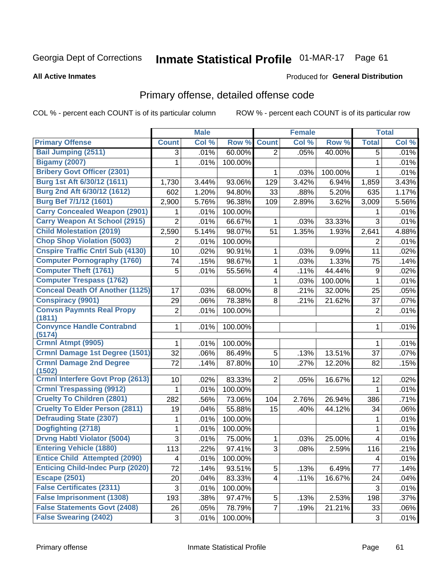# Inmate Statistical Profile 01-MAR-17 Page 61

**All Active Inmates** 

#### Produced for General Distribution

# Primary offense, detailed offense code

COL % - percent each COUNT is of its particular column

|                                            |                | <b>Male</b> |         |                         | <b>Female</b> |         |                         | <b>Total</b> |
|--------------------------------------------|----------------|-------------|---------|-------------------------|---------------|---------|-------------------------|--------------|
| <b>Primary Offense</b>                     | <b>Count</b>   | Col %       | Row %   | <b>Count</b>            | Col %         | Row %   | <b>Total</b>            | Col %        |
| <b>Bail Jumping (2511)</b>                 | 3              | .01%        | 60.00%  | $\overline{2}$          | .05%          | 40.00%  | 5                       | .01%         |
| <b>Bigamy (2007)</b>                       | 1              | .01%        | 100.00% |                         |               |         | 1                       | .01%         |
| <b>Bribery Govt Officer (2301)</b>         |                |             |         | 1                       | .03%          | 100.00% | 1                       | .01%         |
| Burg 1st Aft 6/30/12 (1611)                | 1,730          | 3.44%       | 93.06%  | 129                     | 3.42%         | 6.94%   | 1,859                   | 3.43%        |
| Burg 2nd Aft 6/30/12 (1612)                | 602            | 1.20%       | 94.80%  | 33                      | .88%          | 5.20%   | 635                     | 1.17%        |
| Burg Bef 7/1/12 (1601)                     | 2,900          | 5.76%       | 96.38%  | 109                     | 2.89%         | 3.62%   | 3,009                   | 5.56%        |
| <b>Carry Concealed Weapon (2901)</b>       | 1              | .01%        | 100.00% |                         |               |         | 1                       | .01%         |
| <b>Carry Weapon At School (2915)</b>       | $\overline{2}$ | .01%        | 66.67%  | 1                       | .03%          | 33.33%  | 3                       | .01%         |
| <b>Child Molestation (2019)</b>            | 2,590          | 5.14%       | 98.07%  | 51                      | 1.35%         | 1.93%   | 2,641                   | 4.88%        |
| <b>Chop Shop Violation (5003)</b>          | 2              | .01%        | 100.00% |                         |               |         | 2                       | .01%         |
| <b>Cnspire Traffic Cntrl Sub (4130)</b>    | 10             | .02%        | 90.91%  | 1                       | .03%          | 9.09%   | 11                      | .02%         |
| <b>Computer Pornography (1760)</b>         | 74             | .15%        | 98.67%  | $\mathbf{1}$            | .03%          | 1.33%   | 75                      | .14%         |
| <b>Computer Theft (1761)</b>               | 5              | .01%        | 55.56%  | 4                       | .11%          | 44.44%  | 9                       | .02%         |
| <b>Computer Trespass (1762)</b>            |                |             |         | 1                       | .03%          | 100.00% | 1                       | .01%         |
| <b>Conceal Death Of Another (1125)</b>     | 17             | .03%        | 68.00%  | 8                       | .21%          | 32.00%  | 25                      | .05%         |
| <b>Conspiracy (9901)</b>                   | 29             | .06%        | 78.38%  | 8                       | .21%          | 21.62%  | 37                      | .07%         |
| <b>Convsn Paymnts Real Propy</b><br>(1811) | 2              | .01%        | 100.00% |                         |               |         | 2                       | .01%         |
| <b>Convynce Handle Contrabnd</b><br>(5174) | 1              | .01%        | 100.00% |                         |               |         | 1                       | .01%         |
| Crmnl Atmpt (9905)                         | 1              | .01%        | 100.00% |                         |               |         | 1                       | .01%         |
| <b>Crmnl Damage 1st Degree (1501)</b>      | 32             | .06%        | 86.49%  | 5                       | .13%          | 13.51%  | 37                      | .07%         |
| <b>Crmnl Damage 2nd Degree</b><br>(1502)   | 72             | .14%        | 87.80%  | 10                      | .27%          | 12.20%  | 82                      | .15%         |
| <b>Crmnl Interfere Govt Prop (2613)</b>    | 10             | .02%        | 83.33%  | $\overline{2}$          | .05%          | 16.67%  | 12                      | .02%         |
| <b>Crmnl Trespassing (9912)</b>            | 1              | .01%        | 100.00% |                         |               |         | 1                       | .01%         |
| <b>Cruelty To Children (2801)</b>          | 282            | .56%        | 73.06%  | 104                     | 2.76%         | 26.94%  | 386                     | .71%         |
| <b>Cruelty To Elder Person (2811)</b>      | 19             | .04%        | 55.88%  | 15                      | .40%          | 44.12%  | 34                      | .06%         |
| <b>Defrauding State (2307)</b>             | 1              | .01%        | 100.00% |                         |               |         | 1                       | .01%         |
| Dogfighting (2718)                         | 1              | .01%        | 100.00% |                         |               |         | 1                       | .01%         |
| <b>Drvng Habtl Violator (5004)</b>         | 3              | .01%        | 75.00%  | 1                       | .03%          | 25.00%  | $\overline{\mathbf{4}}$ | .01%         |
| <b>Entering Vehicle (1880)</b>             | 113            | .22%        | 97.41%  | 3                       | .08%          | 2.59%   | 116                     | .21%         |
| <b>Entice Child Attempted (2090)</b>       | 4              | .01%        | 100.00% |                         |               |         | 4                       | .01%         |
| <b>Enticing Child-Indec Purp (2020)</b>    | 72             | .14%        | 93.51%  | 5 <sup>1</sup>          | .13%          | 6.49%   | 77                      | .14%         |
| <b>Escape (2501)</b>                       | 20             | .04%        | 83.33%  | $\overline{\mathbf{4}}$ | .11%          | 16.67%  | 24                      | .04%         |
| <b>False Certificates (2311)</b>           | 3              | .01%        | 100.00% |                         |               |         | 3                       | .01%         |
| <b>False Imprisonment (1308)</b>           | 193            | .38%        | 97.47%  | 5                       | .13%          | 2.53%   | 198                     | .37%         |
| <b>False Statements Govt (2408)</b>        | 26             | .05%        | 78.79%  | $\overline{7}$          | .19%          | 21.21%  | 33                      | .06%         |
| <b>False Swearing (2402)</b>               | 3              | .01%        | 100.00% |                         |               |         | 3                       | .01%         |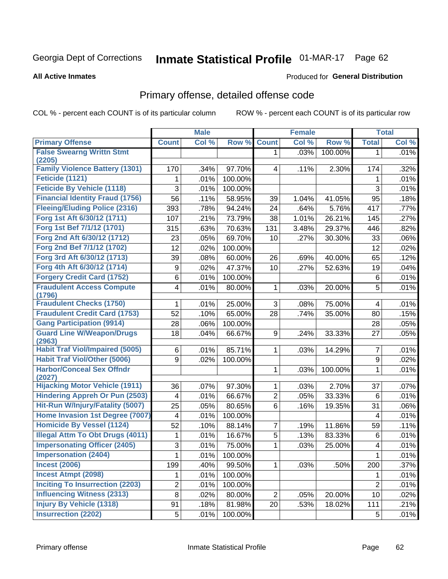# Inmate Statistical Profile 01-MAR-17 Page 62

#### **All Active Inmates**

### Produced for General Distribution

# Primary offense, detailed offense code

COL % - percent each COUNT is of its particular column

|                                            |                | <b>Male</b> |         |                | <b>Female</b> |         |                | <b>Total</b> |
|--------------------------------------------|----------------|-------------|---------|----------------|---------------|---------|----------------|--------------|
| <b>Primary Offense</b>                     | <b>Count</b>   | Col %       | Row %   | <b>Count</b>   | Col %         | Row %   | <b>Total</b>   | Col %        |
| <b>False Swearng Writtn Stmt</b>           |                |             |         | $\mathbf{1}$   | .03%          | 100.00% | $\mathbf 1$    | .01%         |
| (2205)                                     |                |             |         |                |               |         |                |              |
| <b>Family Violence Battery (1301)</b>      | 170            | .34%        | 97.70%  | 4              | .11%          | 2.30%   | 174            | .32%         |
| Feticide (1121)                            | 1              | .01%        | 100.00% |                |               |         | 1              | .01%         |
| <b>Feticide By Vehicle (1118)</b>          | 3              | .01%        | 100.00% |                |               |         | 3              | .01%         |
| <b>Financial Identity Fraud (1756)</b>     | 56             | .11%        | 58.95%  | 39             | 1.04%         | 41.05%  | 95             | .18%         |
| <b>Fleeing/Eluding Police (2316)</b>       | 393            | .78%        | 94.24%  | 24             | .64%          | 5.76%   | 417            | .77%         |
| Forg 1st Aft 6/30/12 (1711)                | 107            | .21%        | 73.79%  | 38             | 1.01%         | 26.21%  | 145            | .27%         |
| Forg 1st Bef 7/1/12 (1701)                 | 315            | .63%        | 70.63%  | 131            | 3.48%         | 29.37%  | 446            | .82%         |
| Forg 2nd Aft 6/30/12 (1712)                | 23             | .05%        | 69.70%  | 10             | .27%          | 30.30%  | 33             | .06%         |
| Forg 2nd Bef 7/1/12 (1702)                 | 12             | .02%        | 100.00% |                |               |         | 12             | .02%         |
| Forg 3rd Aft 6/30/12 (1713)                | 39             | .08%        | 60.00%  | 26             | .69%          | 40.00%  | 65             | .12%         |
| Forg 4th Aft 6/30/12 (1714)                | 9              | .02%        | 47.37%  | 10             | .27%          | 52.63%  | 19             | .04%         |
| <b>Forgery Credit Card (1752)</b>          | 6              | .01%        | 100.00% |                |               |         | 6              | .01%         |
| <b>Fraudulent Access Compute</b>           | 4              | .01%        | 80.00%  | 1              | .03%          | 20.00%  | 5              | .01%         |
| (1796)                                     |                |             |         |                |               |         |                |              |
| <b>Fraudulent Checks (1750)</b>            | 1              | .01%        | 25.00%  | 3              | .08%          | 75.00%  | 4              | .01%         |
| <b>Fraudulent Credit Card (1753)</b>       | 52             | .10%        | 65.00%  | 28             | .74%          | 35.00%  | 80             | .15%         |
| <b>Gang Participation (9914)</b>           | 28             | .06%        | 100.00% |                |               |         | 28             | .05%         |
| <b>Guard Line W/Weapon/Drugs</b><br>(2963) | 18             | .04%        | 66.67%  | 9              | .24%          | 33.33%  | 27             | .05%         |
| <b>Habit Traf Viol/Impaired (5005)</b>     | 6              | .01%        | 85.71%  | 1              | .03%          | 14.29%  | $\overline{7}$ | .01%         |
| <b>Habit Traf Viol/Other (5006)</b>        | 9              | .02%        | 100.00% |                |               |         | 9              | .02%         |
| <b>Harbor/Conceal Sex Offndr</b><br>(2027) |                |             |         | 1              | .03%          | 100.00% | 1              | .01%         |
| <b>Hijacking Motor Vehicle (1911)</b>      | 36             | .07%        | 97.30%  | 1              | .03%          | 2.70%   | 37             | .07%         |
| <b>Hindering Appreh Or Pun (2503)</b>      | 4              | .01%        | 66.67%  | 2              | .05%          | 33.33%  | 6              | .01%         |
| Hit-Run W/Injury/Fatality (5007)           | 25             | .05%        | 80.65%  | $6\phantom{a}$ | .16%          | 19.35%  | 31             | .06%         |
| Home Invasion 1st Degree (7007)            | 4              | .01%        | 100.00% |                |               |         | $\overline{4}$ | .01%         |
| <b>Homicide By Vessel (1124)</b>           | 52             | .10%        | 88.14%  | 7              | .19%          | 11.86%  | 59             | .11%         |
| <b>Illegal Attm To Obt Drugs (4011)</b>    | 1              | .01%        | 16.67%  | 5              | .13%          | 83.33%  | 6              | .01%         |
| <b>Impersonating Officer (2405)</b>        | 3              | .01%        | 75.00%  | 1              | .03%          | 25.00%  | 4              | .01%         |
| <b>Impersonation (2404)</b>                | $\mathbf{1}$   | .01%        | 100.00% |                |               |         | $\mathbf{1}$   | .01%         |
| <b>Incest (2006)</b>                       | 199            | .40%        | 99.50%  | 1              | .03%          | .50%    | 200            | .37%         |
| <b>Incest Atmpt (2098)</b>                 | 1              | .01%        | 100.00% |                |               |         | 1              | .01%         |
| <b>Inciting To Insurrection (2203)</b>     | $\overline{2}$ | .01%        | 100.00% |                |               |         | $\overline{2}$ | .01%         |
| <b>Influencing Witness (2313)</b>          | 8              | .02%        | 80.00%  | $\overline{2}$ | .05%          | 20.00%  | 10             | .02%         |
| <b>Injury By Vehicle (1318)</b>            | 91             | .18%        | 81.98%  | 20             | .53%          | 18.02%  | 111            | .21%         |
| <b>Insurrection (2202)</b>                 | 5              | .01%        | 100.00% |                |               |         | $\sqrt{5}$     | .01%         |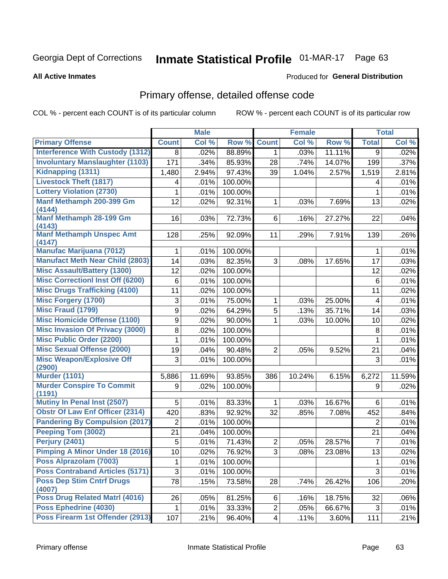# Inmate Statistical Profile 01-MAR-17 Page 63

#### **All Active Inmates**

### Produced for General Distribution

# Primary offense, detailed offense code

COL % - percent each COUNT is of its particular column

|                                            |                | <b>Male</b> |         |                | <b>Female</b> |        |                | <b>Total</b> |
|--------------------------------------------|----------------|-------------|---------|----------------|---------------|--------|----------------|--------------|
| <b>Primary Offense</b>                     | <b>Count</b>   | Col %       | Row %   | <b>Count</b>   | Col %         | Row %  | <b>Total</b>   | Col %        |
| <b>Interference With Custody (1312)</b>    | 8              | .02%        | 88.89%  | 1 <sup>1</sup> | .03%          | 11.11% | 9              | .02%         |
| <b>Involuntary Manslaughter (1103)</b>     | 171            | .34%        | 85.93%  | 28             | .74%          | 14.07% | 199            | .37%         |
| Kidnapping (1311)                          | 1,480          | 2.94%       | 97.43%  | 39             | 1.04%         | 2.57%  | 1,519          | 2.81%        |
| <b>Livestock Theft (1817)</b>              | 4              | .01%        | 100.00% |                |               |        | 4              | .01%         |
| <b>Lottery Violation (2730)</b>            | 1              | .01%        | 100.00% |                |               |        | 1              | .01%         |
| Manf Methamph 200-399 Gm<br>(4144)         | 12             | .02%        | 92.31%  | 1              | .03%          | 7.69%  | 13             | .02%         |
| Manf Methamph 28-199 Gm<br>(4143)          | 16             | .03%        | 72.73%  | 6              | .16%          | 27.27% | 22             | .04%         |
| <b>Manf Methamph Unspec Amt</b><br>(4147)  | 128            | .25%        | 92.09%  | 11             | .29%          | 7.91%  | 139            | .26%         |
| <b>Manufac Marijuana (7012)</b>            | 1              | .01%        | 100.00% |                |               |        | 1              | .01%         |
| <b>Manufact Meth Near Child (2803)</b>     | 14             | .03%        | 82.35%  | 3              | .08%          | 17.65% | 17             | .03%         |
| <b>Misc Assault/Battery (1300)</b>         | 12             | .02%        | 100.00% |                |               |        | 12             | .02%         |
| <b>Misc Correctionl Inst Off (6200)</b>    | 6              | .01%        | 100.00% |                |               |        | 6              | .01%         |
| <b>Misc Drugs Trafficking (4100)</b>       | 11             | .02%        | 100.00% |                |               |        | 11             | .02%         |
| <b>Misc Forgery (1700)</b>                 | 3              | .01%        | 75.00%  | 1              | .03%          | 25.00% | 4              | .01%         |
| <b>Misc Fraud (1799)</b>                   | 9              | .02%        | 64.29%  | 5              | .13%          | 35.71% | 14             | .03%         |
| <b>Misc Homicide Offense (1100)</b>        | 9              | .02%        | 90.00%  | $\mathbf{1}$   | .03%          | 10.00% | 10             | .02%         |
| <b>Misc Invasion Of Privacy (3000)</b>     | 8              | .02%        | 100.00% |                |               |        | 8              | .01%         |
| <b>Misc Public Order (2200)</b>            | 1              | .01%        | 100.00% |                |               |        | 1              | .01%         |
| <b>Misc Sexual Offense (2000)</b>          | 19             | .04%        | 90.48%  | $\overline{2}$ | .05%          | 9.52%  | 21             | .04%         |
| <b>Misc Weapon/Explosive Off</b><br>(2900) | 3              | .01%        | 100.00% |                |               |        | 3              | .01%         |
| <b>Murder (1101)</b>                       | 5,886          | 11.69%      | 93.85%  | 386            | 10.24%        | 6.15%  | 6,272          | 11.59%       |
| <b>Murder Conspire To Commit</b><br>(1191) | 9              | .02%        | 100.00% |                |               |        | 9              | .02%         |
| <b>Mutiny In Penal Inst (2507)</b>         | 5              | .01%        | 83.33%  | $\mathbf{1}$   | .03%          | 16.67% | 6              | .01%         |
| <b>Obstr Of Law Enf Officer (2314)</b>     | 420            | .83%        | 92.92%  | 32             | .85%          | 7.08%  | 452            | .84%         |
| <b>Pandering By Compulsion (2017)</b>      | $\overline{2}$ | .01%        | 100.00% |                |               |        | 2              | .01%         |
| Peeping Tom (3002)                         | 21             | .04%        | 100.00% |                |               |        | 21             | .04%         |
| Perjury (2401)                             | 5              | .01%        | 71.43%  | $\overline{c}$ | .05%          | 28.57% | $\overline{7}$ | .01%         |
| Pimping A Minor Under 18 (2016)            | 10             | .02%        | 76.92%  | $\overline{3}$ | .08%          | 23.08% | 13             | .02%         |
| Poss Alprazolam (7003)                     | 1              | .01%        | 100.00% |                |               |        | 1              | .01%         |
| <b>Poss Contraband Articles (5171)</b>     | 3              | .01%        | 100.00% |                |               |        | $\mathbf{3}$   | .01%         |
| <b>Poss Dep Stim Cntrf Drugs</b><br>(4007) | 78             | .15%        | 73.58%  | 28             | .74%          | 26.42% | 106            | .20%         |
| <b>Poss Drug Related Matri (4016)</b>      | 26             | .05%        | 81.25%  | 6              | .16%          | 18.75% | 32             | .06%         |
| Poss Ephedrine (4030)                      |                | .01%        | 33.33%  | $\overline{2}$ | .05%          | 66.67% | 3              | .01%         |
| Poss Firearm 1st Offender (2913)           | 107            | .21%        | 96.40%  | 4 <sup>1</sup> | .11%          | 3.60%  | 111            | .21%         |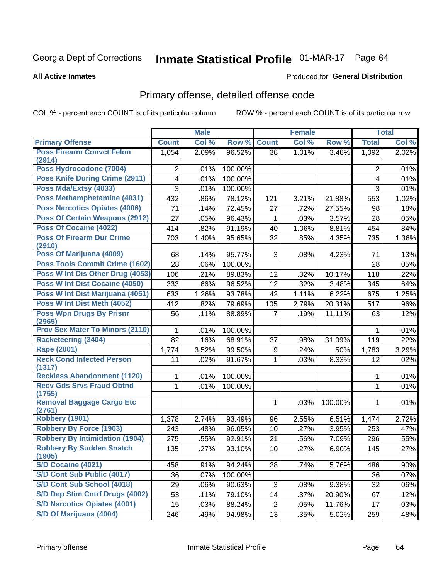# Inmate Statistical Profile 01-MAR-17 Page 64

#### **All Active Inmates**

#### Produced for General Distribution

# Primary offense, detailed offense code

COL % - percent each COUNT is of its particular column

|              | <b>Male</b>                                                                                                  |                                                                                                                                |                                                                                                                                                                   | <b>Female</b>                                                                                           |                                                                                                |                                                                                                               | <b>Total</b>                                                                                                                       |
|--------------|--------------------------------------------------------------------------------------------------------------|--------------------------------------------------------------------------------------------------------------------------------|-------------------------------------------------------------------------------------------------------------------------------------------------------------------|---------------------------------------------------------------------------------------------------------|------------------------------------------------------------------------------------------------|---------------------------------------------------------------------------------------------------------------|------------------------------------------------------------------------------------------------------------------------------------|
| <b>Count</b> | Col %                                                                                                        | Row %                                                                                                                          | <b>Count</b>                                                                                                                                                      | Col %                                                                                                   | Row %                                                                                          | <b>Total</b>                                                                                                  | Col %                                                                                                                              |
| 1,054        | 2.09%                                                                                                        | 96.52%                                                                                                                         | 38                                                                                                                                                                | 1.01%                                                                                                   | 3.48%                                                                                          | $\overline{1,092}$                                                                                            | 2.02%                                                                                                                              |
|              |                                                                                                              |                                                                                                                                |                                                                                                                                                                   |                                                                                                         |                                                                                                |                                                                                                               | .01%                                                                                                                               |
|              |                                                                                                              |                                                                                                                                |                                                                                                                                                                   |                                                                                                         |                                                                                                |                                                                                                               | .01%                                                                                                                               |
|              |                                                                                                              |                                                                                                                                |                                                                                                                                                                   |                                                                                                         |                                                                                                |                                                                                                               | .01%                                                                                                                               |
|              |                                                                                                              |                                                                                                                                |                                                                                                                                                                   |                                                                                                         |                                                                                                |                                                                                                               | 1.02%                                                                                                                              |
|              |                                                                                                              |                                                                                                                                |                                                                                                                                                                   |                                                                                                         |                                                                                                |                                                                                                               | .18%                                                                                                                               |
|              |                                                                                                              |                                                                                                                                |                                                                                                                                                                   |                                                                                                         |                                                                                                |                                                                                                               | .05%                                                                                                                               |
|              |                                                                                                              |                                                                                                                                |                                                                                                                                                                   |                                                                                                         |                                                                                                |                                                                                                               | .84%                                                                                                                               |
|              |                                                                                                              |                                                                                                                                |                                                                                                                                                                   |                                                                                                         |                                                                                                |                                                                                                               | 1.36%                                                                                                                              |
|              |                                                                                                              |                                                                                                                                |                                                                                                                                                                   |                                                                                                         |                                                                                                |                                                                                                               |                                                                                                                                    |
| 68           | .14%                                                                                                         | 95.77%                                                                                                                         | 3                                                                                                                                                                 | .08%                                                                                                    | 4.23%                                                                                          | 71                                                                                                            | .13%                                                                                                                               |
| 28           | .06%                                                                                                         | 100.00%                                                                                                                        |                                                                                                                                                                   |                                                                                                         |                                                                                                | 28                                                                                                            | .05%                                                                                                                               |
| 106          | .21%                                                                                                         | 89.83%                                                                                                                         | 12                                                                                                                                                                | .32%                                                                                                    | 10.17%                                                                                         | 118                                                                                                           | .22%                                                                                                                               |
| 333          | .66%                                                                                                         | 96.52%                                                                                                                         | 12                                                                                                                                                                | .32%                                                                                                    | 3.48%                                                                                          | 345                                                                                                           | .64%                                                                                                                               |
| 633          | 1.26%                                                                                                        | 93.78%                                                                                                                         | 42                                                                                                                                                                | 1.11%                                                                                                   | 6.22%                                                                                          | 675                                                                                                           | 1.25%                                                                                                                              |
| 412          | .82%                                                                                                         | 79.69%                                                                                                                         | 105                                                                                                                                                               | 2.79%                                                                                                   | 20.31%                                                                                         | 517                                                                                                           | .96%                                                                                                                               |
| 56           | .11%                                                                                                         | 88.89%                                                                                                                         | $\overline{7}$                                                                                                                                                    | .19%                                                                                                    | 11.11%                                                                                         | 63                                                                                                            | .12%                                                                                                                               |
|              |                                                                                                              |                                                                                                                                |                                                                                                                                                                   |                                                                                                         |                                                                                                |                                                                                                               |                                                                                                                                    |
|              |                                                                                                              |                                                                                                                                |                                                                                                                                                                   |                                                                                                         |                                                                                                |                                                                                                               | .01%                                                                                                                               |
|              |                                                                                                              |                                                                                                                                |                                                                                                                                                                   |                                                                                                         |                                                                                                |                                                                                                               | .22%                                                                                                                               |
|              |                                                                                                              |                                                                                                                                |                                                                                                                                                                   |                                                                                                         |                                                                                                |                                                                                                               | 3.29%                                                                                                                              |
|              |                                                                                                              |                                                                                                                                |                                                                                                                                                                   |                                                                                                         |                                                                                                |                                                                                                               | .02%                                                                                                                               |
| 1            | .01%                                                                                                         | 100.00%                                                                                                                        |                                                                                                                                                                   |                                                                                                         |                                                                                                | 1                                                                                                             | .01%                                                                                                                               |
| 1            | .01%                                                                                                         | 100.00%                                                                                                                        |                                                                                                                                                                   |                                                                                                         |                                                                                                | $\mathbf{1}$                                                                                                  | .01%                                                                                                                               |
|              |                                                                                                              |                                                                                                                                |                                                                                                                                                                   |                                                                                                         |                                                                                                |                                                                                                               | .01%                                                                                                                               |
|              |                                                                                                              |                                                                                                                                |                                                                                                                                                                   |                                                                                                         |                                                                                                |                                                                                                               |                                                                                                                                    |
| 1,378        | 2.74%                                                                                                        | 93.49%                                                                                                                         | 96                                                                                                                                                                | 2.55%                                                                                                   | 6.51%                                                                                          | 1,474                                                                                                         | 2.72%                                                                                                                              |
| 243          | .48%                                                                                                         | 96.05%                                                                                                                         | 10                                                                                                                                                                | .27%                                                                                                    | 3.95%                                                                                          | 253                                                                                                           | .47%                                                                                                                               |
| 275          | .55%                                                                                                         | 92.91%                                                                                                                         | 21                                                                                                                                                                | .56%                                                                                                    | 7.09%                                                                                          | 296                                                                                                           | .55%                                                                                                                               |
| 135          | .27%                                                                                                         | 93.10%                                                                                                                         | 10                                                                                                                                                                | .27%                                                                                                    | 6.90%                                                                                          | 145                                                                                                           | .27%                                                                                                                               |
|              |                                                                                                              |                                                                                                                                |                                                                                                                                                                   |                                                                                                         |                                                                                                |                                                                                                               | $.90\%$                                                                                                                            |
|              |                                                                                                              |                                                                                                                                |                                                                                                                                                                   |                                                                                                         |                                                                                                |                                                                                                               | .07%                                                                                                                               |
|              |                                                                                                              |                                                                                                                                |                                                                                                                                                                   |                                                                                                         |                                                                                                |                                                                                                               | .06%                                                                                                                               |
|              |                                                                                                              |                                                                                                                                |                                                                                                                                                                   |                                                                                                         |                                                                                                |                                                                                                               | .12%                                                                                                                               |
| 15           | .03%                                                                                                         |                                                                                                                                |                                                                                                                                                                   | .05%                                                                                                    |                                                                                                |                                                                                                               | .03%                                                                                                                               |
|              |                                                                                                              |                                                                                                                                |                                                                                                                                                                   |                                                                                                         |                                                                                                |                                                                                                               |                                                                                                                                    |
|              | 2<br>4<br>$\overline{3}$<br>432<br>71<br>27<br>414<br>703<br>1<br>82<br>1,774<br>11<br>458<br>36<br>29<br>53 | .01%<br>.01%<br>.01%<br>.86%<br>.14%<br>.05%<br>.82%<br>1.40%<br>.01%<br>.16%<br>3.52%<br>.02%<br>.91%<br>.07%<br>.06%<br>.11% | 100.00%<br>100.00%<br>100.00%<br>78.12%<br>72.45%<br>96.43%<br>91.19%<br>95.65%<br>100.00%<br>68.91%<br>99.50%<br>91.67%<br>94.24%<br>100.00%<br>90.63%<br>79.10% | 121<br>27<br>$\mathbf{1}$<br>40<br>32<br>37<br>9<br>1<br>1<br>28<br>3<br>14<br>$\overline{2}$<br>88.24% | 3.21%<br>.72%<br>.03%<br>1.06%<br>.85%<br>.98%<br>.24%<br>.03%<br>.03%<br>.74%<br>.08%<br>.37% | 21.88%<br>27.55%<br>3.57%<br>8.81%<br>4.35%<br>31.09%<br>.50%<br>8.33%<br>100.00%<br>5.76%<br>9.38%<br>20.90% | $\overline{2}$<br>4<br>3<br>553<br>98<br>28<br>454<br>735<br>1<br>119<br>1,783<br>12<br>1<br>486<br>36<br>32<br>67<br>11.76%<br>17 |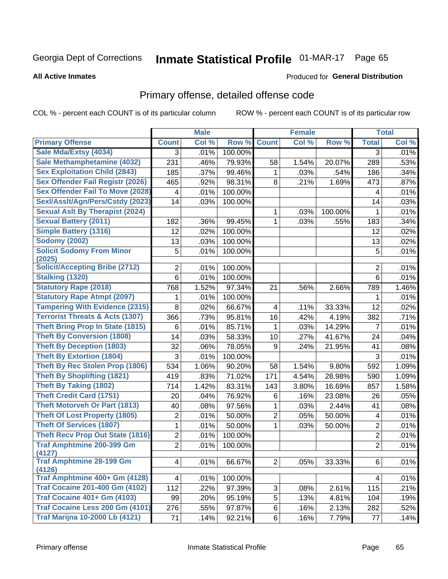# Inmate Statistical Profile 01-MAR-17 Page 65

Produced for General Distribution

#### **All Active Inmates**

# Primary offense, detailed offense code

COL % - percent each COUNT is of its particular column

|                                            |                | <b>Male</b> |         |                         | <b>Female</b> |         |                | <b>Total</b> |
|--------------------------------------------|----------------|-------------|---------|-------------------------|---------------|---------|----------------|--------------|
| <b>Primary Offense</b>                     | <b>Count</b>   | Col %       | Row %   | <b>Count</b>            | Col %         | Row %   | <b>Total</b>   | Col %        |
| Sale Mda/Extsy (4034)                      | 3              | .01%        | 100.00% |                         |               |         | 3              | .01%         |
| Sale Methamphetamine (4032)                | 231            | .46%        | 79.93%  | 58                      | 1.54%         | 20.07%  | 289            | .53%         |
| <b>Sex Exploitation Child (2843)</b>       | 185            | .37%        | 99.46%  | 1                       | .03%          | .54%    | 186            | .34%         |
| Sex Offender Fail Registr (2026)           | 465            | .92%        | 98.31%  | 8                       | .21%          | 1.69%   | 473            | .87%         |
| <b>Sex Offender Fail To Move (2028)</b>    | 4              | .01%        | 100.00% |                         |               |         | 4              | .01%         |
| Sexl/Asslt/Agn/Pers/Cstdy (2023)           | 14             | .03%        | 100.00% |                         |               |         | 14             | .03%         |
| <b>Sexual Aslt By Therapist (2024)</b>     |                |             |         | 1                       | .03%          | 100.00% | 1              | .01%         |
| <b>Sexual Battery (2011)</b>               | 182            | .36%        | 99.45%  | $\mathbf{1}$            | .03%          | .55%    | 183            | .34%         |
| <b>Simple Battery (1316)</b>               | 12             | .02%        | 100.00% |                         |               |         | 12             | .02%         |
| <b>Sodomy (2002)</b>                       | 13             | .03%        | 100.00% |                         |               |         | 13             | .02%         |
| <b>Solicit Sodomy From Minor</b>           | 5              | .01%        | 100.00% |                         |               |         | 5              | .01%         |
| (2025)                                     |                |             |         |                         |               |         |                |              |
| <b>Solicit/Accepting Bribe (2712)</b>      | $\overline{2}$ | .01%        | 100.00% |                         |               |         | 2              | .01%         |
| <b>Stalking (1320)</b>                     | $6\phantom{1}$ | .01%        | 100.00% |                         |               |         | 6              | .01%         |
| <b>Statutory Rape (2018)</b>               | 768            | 1.52%       | 97.34%  | 21                      | .56%          | 2.66%   | 789            | 1.46%        |
| <b>Statutory Rape Atmpt (2097)</b>         | 1              | .01%        | 100.00% |                         |               |         | 1              | .01%         |
| <b>Tampering With Evidence (2315)</b>      | 8              | .02%        | 66.67%  | $\overline{\mathbf{4}}$ | .11%          | 33.33%  | 12             | .02%         |
| <b>Terrorist Threats &amp; Acts (1307)</b> | 366            | .73%        | 95.81%  | 16                      | .42%          | 4.19%   | 382            | .71%         |
| <b>Theft Bring Prop In State (1815)</b>    | 6              | .01%        | 85.71%  | 1                       | .03%          | 14.29%  | $\overline{7}$ | .01%         |
| <b>Theft By Conversion (1808)</b>          | 14             | .03%        | 58.33%  | 10                      | .27%          | 41.67%  | 24             | .04%         |
| <b>Theft By Deception (1803)</b>           | 32             | .06%        | 78.05%  | 9                       | .24%          | 21.95%  | 41             | .08%         |
| <b>Theft By Extortion (1804)</b>           | 3              | .01%        | 100.00% |                         |               |         | 3              | .01%         |
| <b>Theft By Rec Stolen Prop (1806)</b>     | 534            | 1.06%       | 90.20%  | 58                      | 1.54%         | 9.80%   | 592            | 1.09%        |
| <b>Theft By Shoplifting (1821)</b>         | 419            | .83%        | 71.02%  | 171                     | 4.54%         | 28.98%  | 590            | 1.09%        |
| <b>Theft By Taking (1802)</b>              | 714            | 1.42%       | 83.31%  | 143                     | 3.80%         | 16.69%  | 857            | 1.58%        |
| <b>Theft Credit Card (1751)</b>            | 20             | .04%        | 76.92%  | 6                       | .16%          | 23.08%  | 26             | .05%         |
| <b>Theft Motorveh Or Part (1813)</b>       | 40             | .08%        | 97.56%  | 1                       | .03%          | 2.44%   | 41             | .08%         |
| <b>Theft Of Lost Property (1805)</b>       | 2              | .01%        | 50.00%  | $\overline{2}$          | .05%          | 50.00%  | 4              | .01%         |
| <b>Theft Of Services (1807)</b>            | 1              | .01%        | 50.00%  | 1                       | .03%          | 50.00%  | $\overline{2}$ | .01%         |
| <b>Theft Recv Prop Out State (1816)</b>    | $\overline{c}$ | .01%        | 100.00% |                         |               |         | $\overline{2}$ | .01%         |
| <b>Traf Amphtmine 200-399 Gm</b><br>(4127) | $\overline{2}$ | .01%        | 100.00% |                         |               |         | $\overline{2}$ | .01%         |
| <b>Traf Amphtmine 28-199 Gm</b><br>(4126)  | $\overline{4}$ | .01%        | 66.67%  | 2                       | .05%          | 33.33%  | 6              | .01%         |
| Traf Amphtmine 400+ Gm (4128)              | 4              | .01%        | 100.00% |                         |               |         | 4              | .01%         |
| <b>Traf Cocaine 201-400 Gm (4102)</b>      | 112            | .22%        | 97.39%  | 3                       | .08%          | 2.61%   | 115            | .21%         |
| <b>Traf Cocaine 401+ Gm (4103)</b>         | 99             | .20%        | 95.19%  | 5                       | .13%          | 4.81%   | 104            | .19%         |
| Traf Cocaine Less 200 Gm (4101)            | 276            | .55%        | 97.87%  | 6                       | .16%          | 2.13%   | 282            | .52%         |
| <b>Traf Marijna 10-2000 Lb (4121)</b>      | 71             | .14%        | 92.21%  | 6                       | .16%          | 7.79%   | 77             | .14%         |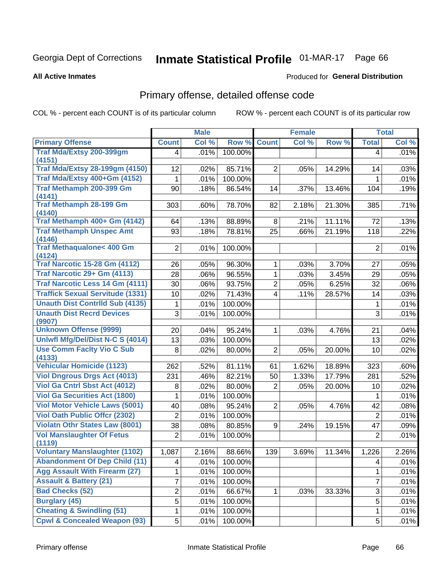# Inmate Statistical Profile 01-MAR-17 Page 66

**All Active Inmates** 

### Produced for General Distribution

# Primary offense, detailed offense code

COL % - percent each COUNT is of its particular column

|                                               |                | <b>Male</b> |         |                         | <b>Female</b> |        |                | <b>Total</b> |
|-----------------------------------------------|----------------|-------------|---------|-------------------------|---------------|--------|----------------|--------------|
| <b>Primary Offense</b>                        | <b>Count</b>   | Col %       | Row %   | <b>Count</b>            | Col %         | Row %  | <b>Total</b>   | Col %        |
| Traf Mda/Extsy 200-399gm                      | 4              | .01%        | 100.00% |                         |               |        | 4              | .01%         |
| (4151)                                        |                |             |         |                         |               |        |                |              |
| <b>Traf Mda/Extsy 28-199gm (4150)</b>         | 12             | .02%        | 85.71%  | $\overline{2}$          | .05%          | 14.29% | 14             | .03%         |
| Traf Mda/Extsy 400+Gm (4152)                  | $\mathbf 1$    | .01%        | 100.00% |                         |               |        | 1              | .01%         |
| Traf Methamph 200-399 Gm<br>(4141)            | 90             | .18%        | 86.54%  | 14                      | .37%          | 13.46% | 104            | .19%         |
| <b>Traf Methamph 28-199 Gm</b>                | 303            | .60%        | 78.70%  | 82                      | 2.18%         | 21.30% | 385            | .71%         |
| (4140)                                        |                |             |         |                         |               |        |                |              |
| Traf Methamph 400+ Gm (4142)                  | 64             | .13%        | 88.89%  | 8                       | .21%          | 11.11% | 72             | .13%         |
| <b>Traf Methamph Unspec Amt</b><br>(4146)     | 93             | .18%        | 78.81%  | 25                      | .66%          | 21.19% | 118            | .22%         |
| <b>Traf Methaqualone&lt; 400 Gm</b><br>(4124) | $\overline{2}$ | .01%        | 100.00% |                         |               |        | $\overline{2}$ | .01%         |
| <b>Traf Narcotic 15-28 Gm (4112)</b>          | 26             | .05%        | 96.30%  | 1                       | .03%          | 3.70%  | 27             | .05%         |
| Traf Narcotic 29+ Gm (4113)                   | 28             | .06%        | 96.55%  | 1                       | .03%          | 3.45%  | 29             | .05%         |
| <b>Traf Narcotic Less 14 Gm (4111)</b>        | 30             | .06%        | 93.75%  | $\overline{2}$          | .05%          | 6.25%  | 32             | .06%         |
| <b>Traffick Sexual Servitude (1331)</b>       | 10             | .02%        | 71.43%  | $\overline{\mathbf{4}}$ | .11%          | 28.57% | 14             | .03%         |
| <b>Unauth Dist Contrild Sub (4135)</b>        | 1              | .01%        | 100.00% |                         |               |        | 1              | .01%         |
| <b>Unauth Dist Recrd Devices</b><br>(9907)    | 3              | .01%        | 100.00% |                         |               |        | $\overline{3}$ | .01%         |
| <b>Unknown Offense (9999)</b>                 | 20             | .04%        | 95.24%  | 1                       | .03%          | 4.76%  | 21             | .04%         |
| Uniwfl Mfg/Del/Dist N-C S (4014)              | 13             | .03%        | 100.00% |                         |               |        | 13             | .02%         |
| <b>Use Comm Facity Vio C Sub</b><br>(4133)    | 8              | .02%        | 80.00%  | $\overline{2}$          | .05%          | 20.00% | 10             | .02%         |
| <b>Vehicular Homicide (1123)</b>              | 262            | .52%        | 81.11%  | 61                      | 1.62%         | 18.89% | 323            | .60%         |
| <b>Viol Dngrous Drgs Act (4013)</b>           | 231            | .46%        | 82.21%  | 50                      | 1.33%         | 17.79% | 281            | .52%         |
| Viol Ga Cntrl Sbst Act (4012)                 | 8              | .02%        | 80.00%  | $\overline{2}$          | .05%          | 20.00% | 10             | .02%         |
| <b>Viol Ga Securities Act (1800)</b>          | 1              | .01%        | 100.00% |                         |               |        | 1              | .01%         |
| <b>Viol Motor Vehicle Laws (5001)</b>         | 40             | .08%        | 95.24%  | $\overline{2}$          | .05%          | 4.76%  | 42             | .08%         |
| <b>Viol Oath Public Offcr (2302)</b>          | $\overline{2}$ | .01%        | 100.00% |                         |               |        | $\overline{2}$ | .01%         |
| <b>Violatn Othr States Law (8001)</b>         | 38             | .08%        | 80.85%  | 9                       | .24%          | 19.15% | 47             | .09%         |
| <b>Vol Manslaughter Of Fetus</b>              | $\overline{2}$ | .01%        | 100.00% |                         |               |        | $\overline{2}$ | .01%         |
| (1119)                                        |                |             |         |                         |               |        |                |              |
| <b>Voluntary Manslaughter (1102)</b>          | 1,087          | 2.16%       | 88.66%  | 139                     | 3.69%         | 11.34% | 1,226          | 2.26%        |
| <b>Abandonment Of Dep Child (11)</b>          | 4              | .01%        | 100.00% |                         |               |        | 4              | .01%         |
| <b>Agg Assault With Firearm (27)</b>          | 1              | .01%        | 100.00% |                         |               |        | 1              | .01%         |
| <b>Assault &amp; Battery (21)</b>             | 7              | .01%        | 100.00% |                         |               |        | $\overline{7}$ | .01%         |
| <b>Bad Checks (52)</b>                        | $\overline{2}$ | .01%        | 66.67%  | 1                       | .03%          | 33.33% | 3              | .01%         |
| <b>Burglary (45)</b>                          | 5              | .01%        | 100.00% |                         |               |        | 5              | .01%         |
| <b>Cheating &amp; Swindling (51)</b>          | 1              | .01%        | 100.00% |                         |               |        | 1              | .01%         |
| <b>Cpwl &amp; Concealed Weapon (93)</b>       | 5              | .01%        | 100.00% |                         |               |        | 5              | .01%         |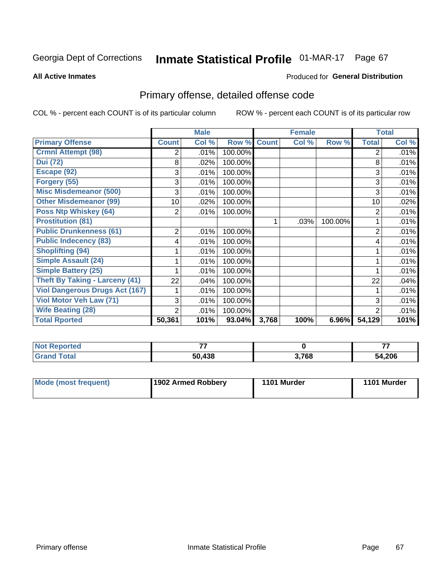# Inmate Statistical Profile 01-MAR-17 Page 67

**All Active Inmates** 

### Produced for General Distribution

# Primary offense, detailed offense code

COL % - percent each COUNT is of its particular column

|                                       |                | <b>Male</b> |         |              | <b>Female</b> |         |                | <b>Total</b> |
|---------------------------------------|----------------|-------------|---------|--------------|---------------|---------|----------------|--------------|
| <b>Primary Offense</b>                | <b>Count</b>   | Col %       | Row %   | <b>Count</b> | Col %         | Row %   | <b>Total</b>   | Col %        |
| <b>Crmnl Attempt (98)</b>             | 2              | .01%        | 100.00% |              |               |         | $\overline{2}$ | $.01\%$      |
| <b>Dui (72)</b>                       | 8              | .02%        | 100.00% |              |               |         | 8              | .01%         |
| Escape (92)                           | 3              | .01%        | 100.00% |              |               |         | 3              | .01%         |
| Forgery (55)                          | 3              | .01%        | 100.00% |              |               |         | 3              | .01%         |
| <b>Misc Misdemeanor (500)</b>         | 3              | .01%        | 100.00% |              |               |         | 3              | .01%         |
| <b>Other Misdemeanor (99)</b>         | 10             | .02%        | 100.00% |              |               |         | 10             | .02%         |
| <b>Poss Ntp Whiskey (64)</b>          | 2              | .01%        | 100.00% |              |               |         | 2              | .01%         |
| <b>Prostitution (81)</b>              |                |             |         | 1            | .03%          | 100.00% |                | .01%         |
| <b>Public Drunkenness (61)</b>        | $\overline{2}$ | .01%        | 100.00% |              |               |         | 2              | .01%         |
| <b>Public Indecency (83)</b>          | 4              | .01%        | 100.00% |              |               |         | 4              | .01%         |
| <b>Shoplifting (94)</b>               |                | .01%        | 100.00% |              |               |         |                | .01%         |
| <b>Simple Assault (24)</b>            |                | .01%        | 100.00% |              |               |         |                | .01%         |
| <b>Simple Battery (25)</b>            |                | .01%        | 100.00% |              |               |         | 1              | .01%         |
| Theft By Taking - Larceny (41)        | 22             | .04%        | 100.00% |              |               |         | 22             | .04%         |
| <b>Viol Dangerous Drugs Act (167)</b> |                | .01%        | 100.00% |              |               |         |                | .01%         |
| <b>Viol Motor Veh Law (71)</b>        | 3              | .01%        | 100.00% |              |               |         | 3              | .01%         |
| <b>Wife Beating (28)</b>              | 2              | .01%        | 100.00% |              |               |         | $\overline{2}$ | .01%         |
| <b>Total Rported</b>                  | 50,361         | 101%        | 93.04%  | 3,768        | 100%          | 6.96%   | 54,129         | 101%         |

| <b>Not</b><br><b>Reported</b> | --     |       | --    |
|-------------------------------|--------|-------|-------|
| <b>Total</b>                  | 50,438 | 3,768 | 4,206 |

| <b>Mode (most frequent)</b> | 1902 Armed Robbery | 1101 Murder | 1101 Murder |
|-----------------------------|--------------------|-------------|-------------|
|-----------------------------|--------------------|-------------|-------------|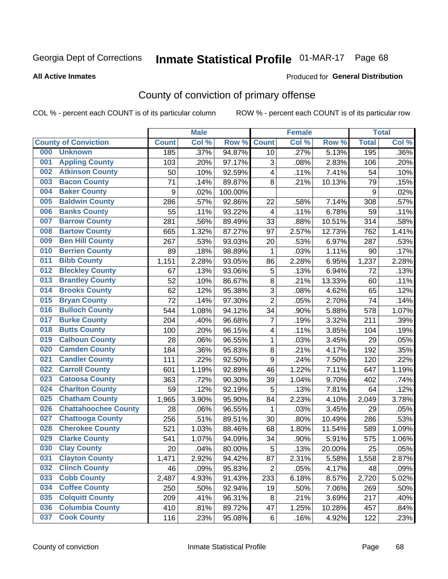# Inmate Statistical Profile 01-MAR-17 Page 68

**All Active Inmates** 

#### Produced for General Distribution

# County of conviction of primary offense

COL % - percent each COUNT is of its particular column

|     |                             |              | <b>Male</b> |         |                         | <b>Female</b> |        |              | <b>Total</b> |
|-----|-----------------------------|--------------|-------------|---------|-------------------------|---------------|--------|--------------|--------------|
|     | <b>County of Conviction</b> | <b>Count</b> | Col %       | Row %   | <b>Count</b>            | Col %         | Row %  | <b>Total</b> | Col %        |
| 000 | <b>Unknown</b>              | 185          | .37%        | 94.87%  | 10                      | .27%          | 5.13%  | 195          | .36%         |
| 001 | <b>Appling County</b>       | 103          | .20%        | 97.17%  | 3                       | .08%          | 2.83%  | 106          | .20%         |
| 002 | <b>Atkinson County</b>      | 50           | .10%        | 92.59%  | 4                       | .11%          | 7.41%  | 54           | .10%         |
| 003 | <b>Bacon County</b>         | 71           | .14%        | 89.87%  | 8                       | .21%          | 10.13% | 79           | .15%         |
| 004 | <b>Baker County</b>         | 9            | .02%        | 100.00% |                         |               |        | 9            | .02%         |
| 005 | <b>Baldwin County</b>       | 286          | .57%        | 92.86%  | 22                      | .58%          | 7.14%  | 308          | .57%         |
| 006 | <b>Banks County</b>         | 55           | .11%        | 93.22%  | $\overline{\mathbf{4}}$ | .11%          | 6.78%  | 59           | .11%         |
| 007 | <b>Barrow County</b>        | 281          | .56%        | 89.49%  | 33                      | .88%          | 10.51% | 314          | .58%         |
| 008 | <b>Bartow County</b>        | 665          | 1.32%       | 87.27%  | 97                      | 2.57%         | 12.73% | 762          | 1.41%        |
| 009 | <b>Ben Hill County</b>      | 267          | .53%        | 93.03%  | 20                      | .53%          | 6.97%  | 287          | .53%         |
| 010 | <b>Berrien County</b>       | 89           | .18%        | 98.89%  | 1                       | .03%          | 1.11%  | 90           | .17%         |
| 011 | <b>Bibb County</b>          | 1,151        | 2.28%       | 93.05%  | 86                      | 2.28%         | 6.95%  | 1,237        | 2.28%        |
| 012 | <b>Bleckley County</b>      | 67           | .13%        | 93.06%  | 5                       | .13%          | 6.94%  | 72           | .13%         |
| 013 | <b>Brantley County</b>      | 52           | .10%        | 86.67%  | 8                       | .21%          | 13.33% | 60           | .11%         |
| 014 | <b>Brooks County</b>        | 62           | .12%        | 95.38%  | 3                       | .08%          | 4.62%  | 65           | .12%         |
| 015 | <b>Bryan County</b>         | 72           | .14%        | 97.30%  | $\overline{2}$          | .05%          | 2.70%  | 74           | .14%         |
| 016 | <b>Bulloch County</b>       | 544          | 1.08%       | 94.12%  | 34                      | .90%          | 5.88%  | 578          | 1.07%        |
| 017 | <b>Burke County</b>         | 204          | .40%        | 96.68%  | $\overline{7}$          | .19%          | 3.32%  | 211          | .39%         |
| 018 | <b>Butts County</b>         | 100          | .20%        | 96.15%  | 4                       | .11%          | 3.85%  | 104          | .19%         |
| 019 | <b>Calhoun County</b>       | 28           | .06%        | 96.55%  | 1                       | .03%          | 3.45%  | 29           | .05%         |
| 020 | <b>Camden County</b>        | 184          | .36%        | 95.83%  | 8                       | .21%          | 4.17%  | 192          | .35%         |
| 021 | <b>Candler County</b>       | 111          | .22%        | 92.50%  | 9                       | .24%          | 7.50%  | 120          | .22%         |
| 022 | <b>Carroll County</b>       | 601          | 1.19%       | 92.89%  | 46                      | 1.22%         | 7.11%  | 647          | 1.19%        |
| 023 | <b>Catoosa County</b>       | 363          | .72%        | 90.30%  | 39                      | 1.04%         | 9.70%  | 402          | .74%         |
| 024 | <b>Charlton County</b>      | 59           | .12%        | 92.19%  | 5                       | .13%          | 7.81%  | 64           | .12%         |
| 025 | <b>Chatham County</b>       | 1,965        | 3.90%       | 95.90%  | 84                      | 2.23%         | 4.10%  | 2,049        | 3.78%        |
| 026 | <b>Chattahoochee County</b> | 28           | .06%        | 96.55%  | 1                       | .03%          | 3.45%  | 29           | .05%         |
| 027 | <b>Chattooga County</b>     | 256          | .51%        | 89.51%  | 30                      | .80%          | 10.49% | 286          | .53%         |
| 028 | <b>Cherokee County</b>      | 521          | 1.03%       | 88.46%  | 68                      | 1.80%         | 11.54% | 589          | 1.09%        |
| 029 | <b>Clarke County</b>        | 541          | 1.07%       | 94.09%  | 34                      | .90%          | 5.91%  | 575          | 1.06%        |
| 030 | <b>Clay County</b>          | 20           | .04%        | 80.00%  | 5                       | .13%          | 20.00% | 25           | .05%         |
| 031 | <b>Clayton County</b>       | 1,471        | 2.92%       | 94.42%  | 87                      | 2.31%         | 5.58%  | 1,558        | 2.87%        |
| 032 | <b>Clinch County</b>        | 46           | .09%        | 95.83%  | $\overline{2}$          | .05%          | 4.17%  | 48           | .09%         |
| 033 | <b>Cobb County</b>          | 2,487        | 4.93%       | 91.43%  | 233                     | 6.18%         | 8.57%  | 2,720        | 5.02%        |
| 034 | <b>Coffee County</b>        | 250          | .50%        | 92.94%  | 19                      | .50%          | 7.06%  | 269          | .50%         |
| 035 | <b>Colquitt County</b>      | 209          | .41%        | 96.31%  | 8                       | .21%          | 3.69%  | 217          | .40%         |
| 036 | <b>Columbia County</b>      | 410          | .81%        | 89.72%  | 47                      | 1.25%         | 10.28% | 457          | .84%         |
| 037 | <b>Cook County</b>          | 116          | .23%        | 95.08%  | 6                       | .16%          | 4.92%  | 122          | .23%         |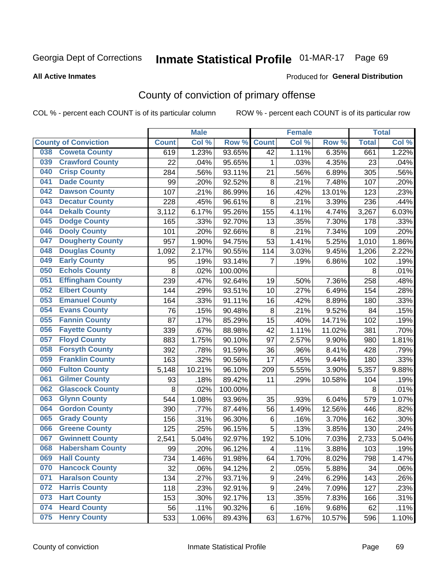# Inmate Statistical Profile 01-MAR-17 Page 69

**Produced for General Distribution** 

#### **All Active Inmates**

## County of conviction of primary offense

COL % - percent each COUNT is of its particular column

|     |                             |              | <b>Male</b> |         |                | <b>Female</b> |        |              | <b>Total</b> |
|-----|-----------------------------|--------------|-------------|---------|----------------|---------------|--------|--------------|--------------|
|     | <b>County of Conviction</b> | <b>Count</b> | Col %       | Row %   | <b>Count</b>   | Col %         | Row %  | <b>Total</b> | Col %        |
| 038 | <b>Coweta County</b>        | 619          | 1.23%       | 93.65%  | 42             | 1.11%         | 6.35%  | 661          | 1.22%        |
| 039 | <b>Crawford County</b>      | 22           | .04%        | 95.65%  | 1              | .03%          | 4.35%  | 23           | .04%         |
| 040 | <b>Crisp County</b>         | 284          | .56%        | 93.11%  | 21             | .56%          | 6.89%  | 305          | .56%         |
| 041 | <b>Dade County</b>          | 99           | .20%        | 92.52%  | 8              | .21%          | 7.48%  | 107          | .20%         |
| 042 | <b>Dawson County</b>        | 107          | .21%        | 86.99%  | 16             | .42%          | 13.01% | 123          | .23%         |
| 043 | <b>Decatur County</b>       | 228          | .45%        | 96.61%  | $\,8\,$        | .21%          | 3.39%  | 236          | .44%         |
| 044 | <b>Dekalb County</b>        | 3,112        | 6.17%       | 95.26%  | 155            | 4.11%         | 4.74%  | 3,267        | 6.03%        |
| 045 | <b>Dodge County</b>         | 165          | .33%        | 92.70%  | 13             | .35%          | 7.30%  | 178          | .33%         |
| 046 | <b>Dooly County</b>         | 101          | .20%        | 92.66%  | 8              | .21%          | 7.34%  | 109          | .20%         |
| 047 | <b>Dougherty County</b>     | 957          | 1.90%       | 94.75%  | 53             | 1.41%         | 5.25%  | 1,010        | 1.86%        |
| 048 | <b>Douglas County</b>       | 1,092        | 2.17%       | 90.55%  | 114            | 3.03%         | 9.45%  | 1,206        | 2.22%        |
| 049 | <b>Early County</b>         | 95           | .19%        | 93.14%  | $\overline{7}$ | .19%          | 6.86%  | 102          | .19%         |
| 050 | <b>Echols County</b>        | 8            | .02%        | 100.00% |                |               |        | 8            | .01%         |
| 051 | <b>Effingham County</b>     | 239          | .47%        | 92.64%  | 19             | .50%          | 7.36%  | 258          | .48%         |
| 052 | <b>Elbert County</b>        | 144          | .29%        | 93.51%  | 10             | .27%          | 6.49%  | 154          | .28%         |
| 053 | <b>Emanuel County</b>       | 164          | .33%        | 91.11%  | 16             | .42%          | 8.89%  | 180          | .33%         |
| 054 | <b>Evans County</b>         | 76           | .15%        | 90.48%  | $\,8\,$        | .21%          | 9.52%  | 84           | .15%         |
| 055 | <b>Fannin County</b>        | 87           | .17%        | 85.29%  | 15             | .40%          | 14.71% | 102          | .19%         |
| 056 | <b>Fayette County</b>       | 339          | .67%        | 88.98%  | 42             | 1.11%         | 11.02% | 381          | .70%         |
| 057 | <b>Floyd County</b>         | 883          | 1.75%       | 90.10%  | 97             | 2.57%         | 9.90%  | 980          | 1.81%        |
| 058 | <b>Forsyth County</b>       | 392          | .78%        | 91.59%  | 36             | .96%          | 8.41%  | 428          | .79%         |
| 059 | <b>Franklin County</b>      | 163          | .32%        | 90.56%  | 17             | .45%          | 9.44%  | 180          | .33%         |
| 060 | <b>Fulton County</b>        | 5,148        | 10.21%      | 96.10%  | 209            | 5.55%         | 3.90%  | 5,357        | 9.88%        |
| 061 | <b>Gilmer County</b>        | 93           | .18%        | 89.42%  | 11             | .29%          | 10.58% | 104          | .19%         |
| 062 | <b>Glascock County</b>      | 8            | .02%        | 100.00% |                |               |        | 8            | .01%         |
| 063 | <b>Glynn County</b>         | 544          | 1.08%       | 93.96%  | 35             | .93%          | 6.04%  | 579          | 1.07%        |
| 064 | <b>Gordon County</b>        | 390          | .77%        | 87.44%  | 56             | 1.49%         | 12.56% | 446          | .82%         |
| 065 | <b>Grady County</b>         | 156          | .31%        | 96.30%  | 6              | .16%          | 3.70%  | 162          | .30%         |
| 066 | <b>Greene County</b>        | 125          | .25%        | 96.15%  | 5              | .13%          | 3.85%  | 130          | .24%         |
| 067 | <b>Gwinnett County</b>      | 2,541        | 5.04%       | 92.97%  | 192            | 5.10%         | 7.03%  | 2,733        | 5.04%        |
| 068 | <b>Habersham County</b>     | 99           | .20%        | 96.12%  | 4              | .11%          | 3.88%  | 103          | .19%         |
| 069 | <b>Hall County</b>          | 734          | 1.46%       | 91.98%  | 64             | 1.70%         | 8.02%  | 798          | 1.47%        |
| 070 | <b>Hancock County</b>       | 32           | .06%        | 94.12%  | $\overline{2}$ | .05%          | 5.88%  | 34           | .06%         |
| 071 | <b>Haralson County</b>      | 134          | .27%        | 93.71%  | 9              | .24%          | 6.29%  | 143          | .26%         |
| 072 | <b>Harris County</b>        | 118          | .23%        | 92.91%  | 9              | .24%          | 7.09%  | 127          | .23%         |
| 073 | <b>Hart County</b>          | 153          | .30%        | 92.17%  | 13             | .35%          | 7.83%  | 166          | .31%         |
| 074 | <b>Heard County</b>         | 56           | .11%        | 90.32%  | 6              | .16%          | 9.68%  | 62           | .11%         |
| 075 | <b>Henry County</b>         | 533          | 1.06%       | 89.43%  | 63             | 1.67%         | 10.57% | 596          | 1.10%        |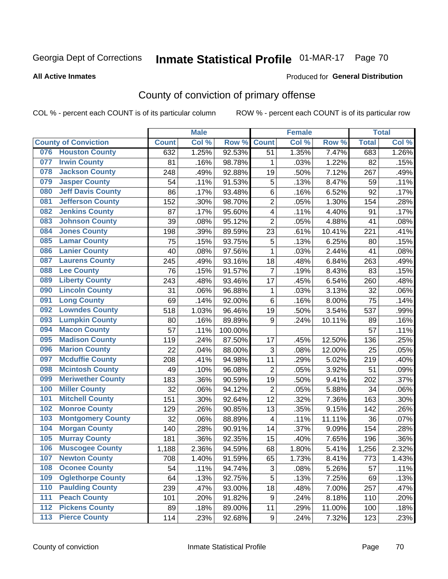# Inmate Statistical Profile 01-MAR-17 Page 70

#### **All Active Inmates**

#### Produced for General Distribution

# County of conviction of primary offense

COL % - percent each COUNT is of its particular column

|     |                             |              | <b>Male</b> |         |                  | <b>Female</b> |        |              | <b>Total</b> |
|-----|-----------------------------|--------------|-------------|---------|------------------|---------------|--------|--------------|--------------|
|     | <b>County of Conviction</b> | <b>Count</b> | Col %       | Row %   | <b>Count</b>     | Col %         | Row %  | <b>Total</b> | Col %        |
| 076 | <b>Houston County</b>       | 632          | 1.25%       | 92.53%  | 51               | 1.35%         | 7.47%  | 683          | 1.26%        |
| 077 | <b>Irwin County</b>         | 81           | .16%        | 98.78%  | 1                | .03%          | 1.22%  | 82           | .15%         |
| 078 | <b>Jackson County</b>       | 248          | .49%        | 92.88%  | 19               | .50%          | 7.12%  | 267          | .49%         |
| 079 | <b>Jasper County</b>        | 54           | .11%        | 91.53%  | 5                | .13%          | 8.47%  | 59           | .11%         |
| 080 | <b>Jeff Davis County</b>    | 86           | .17%        | 93.48%  | 6                | .16%          | 6.52%  | 92           | .17%         |
| 081 | <b>Jefferson County</b>     | 152          | .30%        | 98.70%  | $\overline{2}$   | .05%          | 1.30%  | 154          | .28%         |
| 082 | <b>Jenkins County</b>       | 87           | .17%        | 95.60%  | 4                | .11%          | 4.40%  | 91           | .17%         |
| 083 | <b>Johnson County</b>       | 39           | .08%        | 95.12%  | $\overline{2}$   | .05%          | 4.88%  | 41           | .08%         |
| 084 | <b>Jones County</b>         | 198          | .39%        | 89.59%  | 23               | .61%          | 10.41% | 221          | .41%         |
| 085 | <b>Lamar County</b>         | 75           | .15%        | 93.75%  | 5                | .13%          | 6.25%  | 80           | .15%         |
| 086 | <b>Lanier County</b>        | 40           | .08%        | 97.56%  | $\mathbf{1}$     | .03%          | 2.44%  | 41           | .08%         |
| 087 | <b>Laurens County</b>       | 245          | .49%        | 93.16%  | 18               | .48%          | 6.84%  | 263          | .49%         |
| 088 | <b>Lee County</b>           | 76           | .15%        | 91.57%  | $\overline{7}$   | .19%          | 8.43%  | 83           | .15%         |
| 089 | <b>Liberty County</b>       | 243          | .48%        | 93.46%  | 17               | .45%          | 6.54%  | 260          | .48%         |
| 090 | <b>Lincoln County</b>       | 31           | .06%        | 96.88%  | $\mathbf 1$      | .03%          | 3.13%  | 32           | .06%         |
| 091 | <b>Long County</b>          | 69           | .14%        | 92.00%  | 6                | .16%          | 8.00%  | 75           | .14%         |
| 092 | <b>Lowndes County</b>       | 518          | 1.03%       | 96.46%  | 19               | .50%          | 3.54%  | 537          | .99%         |
| 093 | <b>Lumpkin County</b>       | 80           | .16%        | 89.89%  | $\boldsymbol{9}$ | .24%          | 10.11% | 89           | .16%         |
| 094 | <b>Macon County</b>         | 57           | .11%        | 100.00% |                  |               |        | 57           | .11%         |
| 095 | <b>Madison County</b>       | 119          | .24%        | 87.50%  | 17               | .45%          | 12.50% | 136          | .25%         |
| 096 | <b>Marion County</b>        | 22           | .04%        | 88.00%  | 3                | .08%          | 12.00% | 25           | .05%         |
| 097 | <b>Mcduffie County</b>      | 208          | .41%        | 94.98%  | 11               | .29%          | 5.02%  | 219          | .40%         |
| 098 | <b>Mcintosh County</b>      | 49           | .10%        | 96.08%  | $\overline{2}$   | .05%          | 3.92%  | 51           | .09%         |
| 099 | <b>Meriwether County</b>    | 183          | .36%        | 90.59%  | 19               | .50%          | 9.41%  | 202          | .37%         |
| 100 | <b>Miller County</b>        | 32           | .06%        | 94.12%  | $\overline{2}$   | .05%          | 5.88%  | 34           | .06%         |
| 101 | <b>Mitchell County</b>      | 151          | .30%        | 92.64%  | 12               | .32%          | 7.36%  | 163          | .30%         |
| 102 | <b>Monroe County</b>        | 129          | .26%        | 90.85%  | 13               | .35%          | 9.15%  | 142          | .26%         |
| 103 | <b>Montgomery County</b>    | 32           | .06%        | 88.89%  | $\overline{4}$   | .11%          | 11.11% | 36           | .07%         |
| 104 | <b>Morgan County</b>        | 140          | .28%        | 90.91%  | 14               | .37%          | 9.09%  | 154          | .28%         |
| 105 | <b>Murray County</b>        | 181          | .36%        | 92.35%  | 15               | .40%          | 7.65%  | 196          | .36%         |
| 106 | <b>Muscogee County</b>      | 1,188        | 2.36%       | 94.59%  | 68               | 1.80%         | 5.41%  | 1,256        | 2.32%        |
| 107 | <b>Newton County</b>        | 708          | 1.40%       | 91.59%  | 65               | 1.73%         | 8.41%  | 773          | 1.43%        |
| 108 | <b>Oconee County</b>        | 54           | .11%        | 94.74%  | 3                | .08%          | 5.26%  | 57           | .11%         |
| 109 | <b>Oglethorpe County</b>    | 64           | .13%        | 92.75%  | 5                | .13%          | 7.25%  | 69           | .13%         |
| 110 | <b>Paulding County</b>      | 239          | .47%        | 93.00%  | 18               | .48%          | 7.00%  | 257          | .47%         |
| 111 | <b>Peach County</b>         | 101          | .20%        | 91.82%  | 9                | .24%          | 8.18%  | 110          | .20%         |
| 112 | <b>Pickens County</b>       | 89           | .18%        | 89.00%  | 11               | .29%          | 11.00% | 100          | .18%         |
| 113 | <b>Pierce County</b>        | 114          | .23%        | 92.68%  | 9                | .24%          | 7.32%  | 123          | .23%         |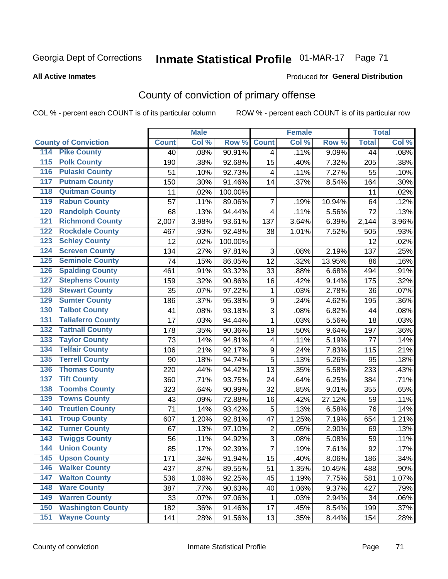# Inmate Statistical Profile 01-MAR-17 Page 71

**Produced for General Distribution** 

#### **All Active Inmates**

# County of conviction of primary offense

COL % - percent each COUNT is of its particular column

|                                          |              | <b>Male</b> |         |                | <b>Female</b> |        |                 | <b>Total</b> |
|------------------------------------------|--------------|-------------|---------|----------------|---------------|--------|-----------------|--------------|
| <b>County of Conviction</b>              | <b>Count</b> | Col %       | Row %   | <b>Count</b>   | Col %         | Row %  | <b>Total</b>    | Col %        |
| <b>Pike County</b><br>114                | 40           | .08%        | 90.91%  | $\overline{4}$ | .11%          | 9.09%  | $\overline{44}$ | .08%         |
| <b>Polk County</b><br>$\overline{115}$   | 190          | .38%        | 92.68%  | 15             | .40%          | 7.32%  | 205             | .38%         |
| <b>Pulaski County</b><br>116             | 51           | .10%        | 92.73%  | 4              | .11%          | 7.27%  | 55              | .10%         |
| <b>Putnam County</b><br>117              | 150          | .30%        | 91.46%  | 14             | .37%          | 8.54%  | 164             | .30%         |
| <b>Quitman County</b><br>118             | 11           | .02%        | 100.00% |                |               |        | 11              | .02%         |
| <b>Rabun County</b><br>119               | 57           | .11%        | 89.06%  | $\overline{7}$ | .19%          | 10.94% | 64              | .12%         |
| <b>Randolph County</b><br>120            | 68           | .13%        | 94.44%  | 4              | .11%          | 5.56%  | 72              | .13%         |
| <b>Richmond County</b><br>121            | 2,007        | 3.98%       | 93.61%  | 137            | 3.64%         | 6.39%  | 2,144           | 3.96%        |
| <b>Rockdale County</b><br>122            | 467          | .93%        | 92.48%  | 38             | 1.01%         | 7.52%  | 505             | .93%         |
| <b>Schley County</b><br>123              | 12           | .02%        | 100.00% |                |               |        | 12              | .02%         |
| <b>Screven County</b><br>124             | 134          | .27%        | 97.81%  | 3              | .08%          | 2.19%  | 137             | .25%         |
| <b>Seminole County</b><br>125            | 74           | .15%        | 86.05%  | 12             | .32%          | 13.95% | 86              | .16%         |
| <b>Spalding County</b><br>126            | 461          | .91%        | 93.32%  | 33             | .88%          | 6.68%  | 494             | .91%         |
| <b>Stephens County</b><br>127            | 159          | .32%        | 90.86%  | 16             | .42%          | 9.14%  | 175             | .32%         |
| <b>Stewart County</b><br>128             | 35           | .07%        | 97.22%  | 1              | .03%          | 2.78%  | 36              | .07%         |
| <b>Sumter County</b><br>129              | 186          | .37%        | 95.38%  | 9              | .24%          | 4.62%  | 195             | .36%         |
| <b>Talbot County</b><br>130              | 41           | .08%        | 93.18%  | 3              | .08%          | 6.82%  | 44              | .08%         |
| <b>Taliaferro County</b><br>131          | 17           | .03%        | 94.44%  | 1              | .03%          | 5.56%  | 18              | .03%         |
| <b>Tattnall County</b><br>132            | 178          | .35%        | 90.36%  | 19             | .50%          | 9.64%  | 197             | .36%         |
| <b>Taylor County</b><br>133              | 73           | .14%        | 94.81%  | 4              | .11%          | 5.19%  | 77              | .14%         |
| <b>Telfair County</b><br>134             | 106          | .21%        | 92.17%  | 9              | .24%          | 7.83%  | 115             | .21%         |
| <b>Terrell County</b><br>135             | 90           | .18%        | 94.74%  | 5              | .13%          | 5.26%  | 95              | .18%         |
| <b>Thomas County</b><br>136              | 220          | .44%        | 94.42%  | 13             | .35%          | 5.58%  | 233             | .43%         |
| <b>Tift County</b><br>137                | 360          | .71%        | 93.75%  | 24             | .64%          | 6.25%  | 384             | .71%         |
| <b>Toombs County</b><br>138              | 323          | .64%        | 90.99%  | 32             | .85%          | 9.01%  | 355             | .65%         |
| <b>Towns County</b><br>139               | 43           | .09%        | 72.88%  | 16             | .42%          | 27.12% | 59              | .11%         |
| <b>Treutlen County</b><br>140            | 71           | .14%        | 93.42%  | 5              | .13%          | 6.58%  | 76              | .14%         |
| <b>Troup County</b><br>141               | 607          | 1.20%       | 92.81%  | 47             | 1.25%         | 7.19%  | 654             | 1.21%        |
| <b>Turner County</b><br>142              | 67           | .13%        | 97.10%  | $\overline{2}$ | .05%          | 2.90%  | 69              | .13%         |
| <b>Twiggs County</b><br>$\overline{143}$ | 56           | .11%        | 94.92%  | $\overline{3}$ | .08%          | 5.08%  | 59              | .11%         |
| <b>Union County</b><br>144               | 85           | .17%        | 92.39%  | $\overline{7}$ | .19%          | 7.61%  | 92              | .17%         |
| 145<br><b>Upson County</b>               | 171          | .34%        | 91.94%  | 15             | .40%          | 8.06%  | 186             | .34%         |
| <b>Walker County</b><br>146              | 437          | .87%        | 89.55%  | 51             | 1.35%         | 10.45% | 488             | .90%         |
| <b>Walton County</b><br>147              | 536          | 1.06%       | 92.25%  | 45             | 1.19%         | 7.75%  | 581             | 1.07%        |
| <b>Ware County</b><br>148                | 387          | .77%        | 90.63%  | 40             | 1.06%         | 9.37%  | 427             | .79%         |
| <b>Warren County</b><br>149              | 33           | .07%        | 97.06%  | 1              | .03%          | 2.94%  | 34              | .06%         |
| <b>Washington County</b><br>150          | 182          | .36%        | 91.46%  | 17             | .45%          | 8.54%  | 199             | .37%         |
| <b>Wayne County</b><br>151               | 141          | .28%        | 91.56%  | 13             | .35%          | 8.44%  | 154             | .28%         |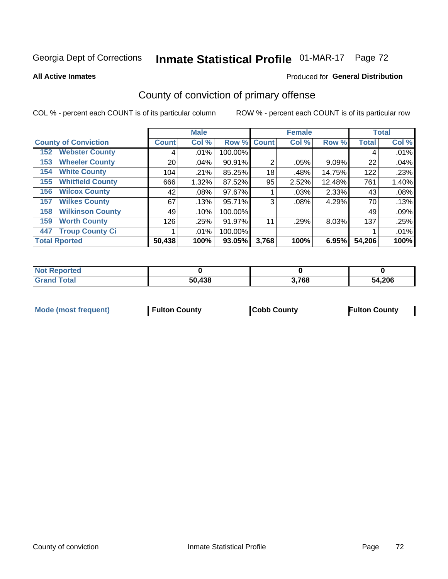# Inmate Statistical Profile 01-MAR-17 Page 72

**All Active Inmates** 

### Produced for General Distribution

# County of conviction of primary offense

COL % - percent each COUNT is of its particular column

|                                |              | <b>Male</b> |         |                | <b>Female</b> |        |              | <b>Total</b> |
|--------------------------------|--------------|-------------|---------|----------------|---------------|--------|--------------|--------------|
| <b>County of Conviction</b>    | <b>Count</b> | Col %       |         | Row % Count    | Col %         | Row %  | <b>Total</b> | Col %        |
| <b>Webster County</b><br>152   | 4            | $.01\%$     | 100.00% |                |               |        | 4            | .01%         |
| <b>Wheeler County</b><br>153   | 20           | .04%        | 90.91%  | $\overline{2}$ | .05%          | 9.09%  | 22           | .04%         |
| <b>White County</b><br>154     | 104          | .21%        | 85.25%  | 18             | .48%          | 14.75% | 122          | .23%         |
| <b>Whitfield County</b><br>155 | 666          | 1.32%       | 87.52%  | 95             | 2.52%         | 12.48% | 761          | 1.40%        |
| <b>Wilcox County</b><br>156    | 42           | $.08\%$     | 97.67%  |                | .03%          | 2.33%  | 43           | .08%         |
| <b>Wilkes County</b><br>157    | 67           | .13%        | 95.71%  | 3              | $.08\%$       | 4.29%  | 70           | .13%         |
| <b>Wilkinson County</b><br>158 | 49           | .10%        | 100.00% |                |               |        | 49           | .09%         |
| <b>Worth County</b><br>159     | 126          | .25%        | 91.97%  | 11             | .29%          | 8.03%  | 137          | .25%         |
| <b>Troup County Ci</b><br>447  |              | $.01\%$     | 100.00% |                |               |        |              | .01%         |
| <b>Total Rported</b>           | 50,438       | 100%        | 93.05%  | 3,768          | 100%          | 6.95%  | 54,206       | 100%         |

| <b>Not Reported</b> |        |       |        |
|---------------------|--------|-------|--------|
| <b>Grand Total</b>  | 50,438 | 3,768 | 54,206 |

|  | <b>Mode (most frequent)</b> | <b>Fulton County</b> | <b>Cobb County</b> | <b>Fulton County</b> |
|--|-----------------------------|----------------------|--------------------|----------------------|
|--|-----------------------------|----------------------|--------------------|----------------------|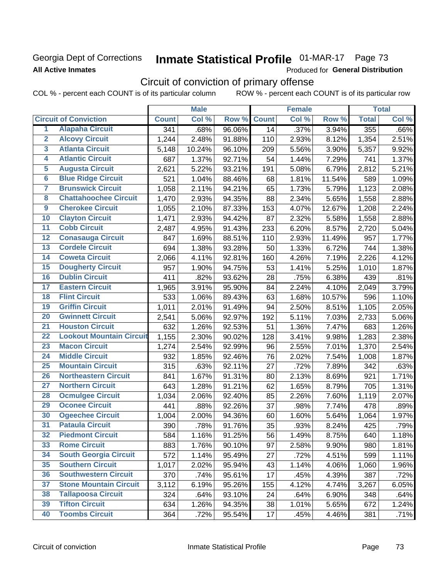# Georgia Dept of Corrections **All Active Inmates**

# Inmate Statistical Profile 01-MAR-17 Page 73

Produced for General Distribution

# Circuit of conviction of primary offense

COL % - percent each COUNT is of its particular column ROW % - percent each COUNT is of its particular row

|                         |                                 |              | <b>Male</b> |           |                 | <b>Female</b> |        |                    | <b>Total</b> |
|-------------------------|---------------------------------|--------------|-------------|-----------|-----------------|---------------|--------|--------------------|--------------|
|                         | <b>Circuit of Conviction</b>    | <b>Count</b> | Col %       | Row %     | <b>Count</b>    | Col %         | Row %  | <b>Total</b>       | Col%         |
| $\overline{1}$          | <b>Alapaha Circuit</b>          | 341          | .68%        | 96.06%    | $\overline{14}$ | .37%          | 3.94%  | 355                | .66%         |
| $\overline{2}$          | <b>Alcovy Circuit</b>           | 1,244        | 2.48%       | 91.88%    | 110             | 2.93%         | 8.12%  | 1,354              | 2.51%        |
| $\overline{\mathbf{3}}$ | <b>Atlanta Circuit</b>          | 5,148        | 10.24%      | 96.10%    | 209             | 5.56%         | 3.90%  | 5,357              | 9.92%        |
| 4                       | <b>Atlantic Circuit</b>         | 687          | 1.37%       | 92.71%    | 54              | 1.44%         | 7.29%  | 741                | 1.37%        |
| 5                       | <b>Augusta Circuit</b>          | 2,621        | 5.22%       | 93.21%    | 191             | 5.08%         | 6.79%  | 2,812              | 5.21%        |
| $6\phantom{a}$          | <b>Blue Ridge Circuit</b>       | 521          | 1.04%       | 88.46%    | 68              | 1.81%         | 11.54% | 589                | 1.09%        |
| 7                       | <b>Brunswick Circuit</b>        | 1,058        | 2.11%       | 94.21%    | 65              | 1.73%         | 5.79%  | 1,123              | 2.08%        |
| 8                       | <b>Chattahoochee Circuit</b>    | 1,470        | 2.93%       | 94.35%    | 88              | 2.34%         | 5.65%  | 1,558              | 2.88%        |
| $\overline{9}$          | <b>Cherokee Circuit</b>         | 1,055        | 2.10%       | 87.33%    | 153             | 4.07%         | 12.67% | 1,208              | 2.24%        |
| 10                      | <b>Clayton Circuit</b>          | 1,471        | 2.93%       | 94.42%    | 87              | 2.32%         | 5.58%  | 1,558              | 2.88%        |
| 11                      | <b>Cobb Circuit</b>             | 2,487        | 4.95%       | 91.43%    | 233             | 6.20%         | 8.57%  | 2,720              | 5.04%        |
| 12                      | <b>Conasauga Circuit</b>        | 847          | 1.69%       | 88.51%    | 110             | 2.93%         | 11.49% | 957                | 1.77%        |
| 13                      | <b>Cordele Circuit</b>          | 694          | 1.38%       | 93.28%    | 50              | 1.33%         | 6.72%  | 744                | 1.38%        |
| 14                      | <b>Coweta Circuit</b>           | 2,066        | 4.11%       | 92.81%    | 160             | 4.26%         | 7.19%  | 2,226              | 4.12%        |
| 15                      | <b>Dougherty Circuit</b>        | 957          | 1.90%       | 94.75%    | 53              | 1.41%         | 5.25%  | 1,010              | 1.87%        |
| 16                      | <b>Dublin Circuit</b>           | 411          | .82%        | 93.62%    | 28              | .75%          | 6.38%  | 439                | .81%         |
| 17                      | <b>Eastern Circuit</b>          | 1,965        | 3.91%       | 95.90%    | 84              | 2.24%         | 4.10%  | $\overline{2,}049$ | 3.79%        |
| 18                      | <b>Flint Circuit</b>            | 533          | 1.06%       | 89.43%    | 63              | 1.68%         | 10.57% | 596                | 1.10%        |
| 19                      | <b>Griffin Circuit</b>          | 1,011        | 2.01%       | 91.49%    | 94              | 2.50%         | 8.51%  | 1,105              | 2.05%        |
| 20                      | <b>Gwinnett Circuit</b>         | 2,541        | 5.06%       | 92.97%    | 192             | 5.11%         | 7.03%  | 2,733              | 5.06%        |
| $\overline{21}$         | <b>Houston Circuit</b>          | 632          | 1.26%       | 92.53%    | 51              | 1.36%         | 7.47%  | 683                | 1.26%        |
| $\overline{22}$         | <b>Lookout Mountain Circuit</b> | 1,155        | 2.30%       | 90.02%    | 128             | 3.41%         | 9.98%  | 1,283              | 2.38%        |
| 23                      | <b>Macon Circuit</b>            | 1,274        | 2.54%       | 92.99%    | 96              | 2.55%         | 7.01%  | 1,370              | 2.54%        |
| $\overline{24}$         | <b>Middle Circuit</b>           | 932          | 1.85%       | 92.46%    | 76              | 2.02%         | 7.54%  | 1,008              | 1.87%        |
| 25                      | <b>Mountain Circuit</b>         | 315          | .63%        | 92.11%    | 27              | .72%          | 7.89%  | 342                | .63%         |
| 26                      | <b>Northeastern Circuit</b>     | 841          | 1.67%       | 91.31%    | 80              | 2.13%         | 8.69%  | 921                | 1.71%        |
| $\overline{27}$         | <b>Northern Circuit</b>         | 643          | 1.28%       | $91.21\%$ | 62              | 1.65%         | 8.79%  | 705                | 1.31%        |
| 28                      | <b>Ocmulgee Circuit</b>         | 1,034        | 2.06%       | 92.40%    | 85              | 2.26%         | 7.60%  | 1,119              | 2.07%        |
| 29                      | <b>Oconee Circuit</b>           | 441          | .88%        | 92.26%    | 37              | .98%          | 7.74%  | 478                | .89%         |
| 30                      | <b>Ogeechee Circuit</b>         | 1,004        | 2.00%       | 94.36%    | 60              | 1.60%         | 5.64%  | 1,064              | 1.97%        |
| $\overline{31}$         | <b>Pataula Circuit</b>          | 390          | .78%        | 91.76%    | 35              | .93%          | 8.24%  | 425                | .79%         |
| 32                      | <b>Piedmont Circuit</b>         | 584          | 1.16%       | 91.25%    | 56              | 1.49%         | 8.75%  | 640                | 1.18%        |
| 33                      | <b>Rome Circuit</b>             | 883          | 1.76%       | 90.10%    | 97              | 2.58%         | 9.90%  | 980                | 1.81%        |
| 34                      | <b>South Georgia Circuit</b>    | 572          | 1.14%       | 95.49%    | 27              | .72%          | 4.51%  | 599                | 1.11%        |
| 35                      | <b>Southern Circuit</b>         | 1,017        | 2.02%       | 95.94%    | 43              | 1.14%         | 4.06%  | 1,060              | 1.96%        |
| 36                      | <b>Southwestern Circuit</b>     | 370          | .74%        | 95.61%    | 17              | .45%          | 4.39%  | 387                | .72%         |
| 37                      | <b>Stone Mountain Circuit</b>   | 3,112        | 6.19%       | 95.26%    | 155             | 4.12%         | 4.74%  | 3,267              | 6.05%        |
| 38                      | <b>Tallapoosa Circuit</b>       | 324          | .64%        | 93.10%    | 24              | .64%          | 6.90%  | 348                | .64%         |
| 39                      | <b>Tifton Circuit</b>           | 634          | 1.26%       | 94.35%    | 38              | 1.01%         | 5.65%  | 672                | 1.24%        |
| 40                      | <b>Toombs Circuit</b>           | 364          | .72%        | 95.54%    | 17              | .45%          | 4.46%  | 381                | .71%         |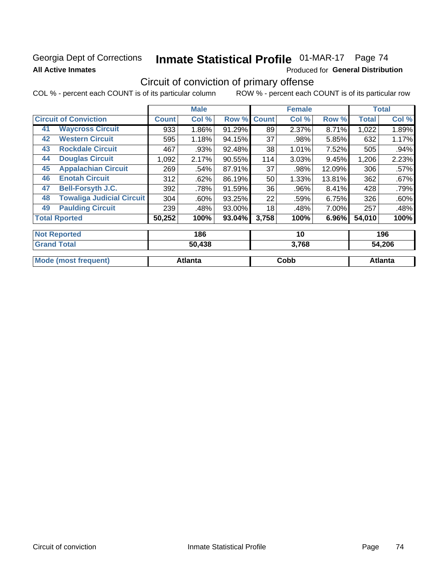# Georgia Dept of Corrections **All Active Inmates**

# Inmate Statistical Profile 01-MAR-17 Page 74

Produced for General Distribution

# Circuit of conviction of primary offense

COL % - percent each COUNT is of its particular column ROW % - percent each COUNT is of its particular row

|    |                                  |              | <b>Male</b> |        |              | <b>Female</b> |        |              | <b>Total</b> |
|----|----------------------------------|--------------|-------------|--------|--------------|---------------|--------|--------------|--------------|
|    | <b>Circuit of Conviction</b>     | <b>Count</b> | Col %       | Row %  | <b>Count</b> | Col %         | Row %  | <b>Total</b> | Col %        |
| 41 | <b>Waycross Circuit</b>          | 933          | 1.86%       | 91.29% | 89           | 2.37%         | 8.71%  | 1,022        | 1.89%        |
| 42 | <b>Western Circuit</b>           | 595          | 1.18%       | 94.15% | 37           | .98%          | 5.85%  | 632          | 1.17%        |
| 43 | <b>Rockdale Circuit</b>          | 467          | .93%        | 92.48% | 38           | 1.01%         | 7.52%  | 505          | $.94\%$      |
| 44 | <b>Douglas Circuit</b>           | 1,092        | 2.17%       | 90.55% | 114          | 3.03%         | 9.45%  | 1,206        | 2.23%        |
| 45 | <b>Appalachian Circuit</b>       | 269          | .54%        | 87.91% | 37           | .98%          | 12.09% | 306          | $.57\%$      |
| 46 | <b>Enotah Circuit</b>            | 312          | .62%        | 86.19% | 50           | 1.33%         | 13.81% | 362          | $.67\%$      |
| 47 | <b>Bell-Forsyth J.C.</b>         | 392          | .78%        | 91.59% | 36           | .96%          | 8.41%  | 428          | .79%         |
| 48 | <b>Towaliga Judicial Circuit</b> | 304          | $.60\%$     | 93.25% | 22           | .59%          | 6.75%  | 326          | .60%         |
| 49 | <b>Paulding Circuit</b>          | 239          | .48%        | 93.00% | 18           | .48%          | 7.00%  | 257          | .48%         |
|    | <b>Total Rported</b>             | 50,252       | 100%        | 93.04% | 3,758        | 100%          | 6.96%  | 54,010       | 100%         |
|    |                                  |              |             |        |              |               |        |              |              |

| <b>Not Reported</b>         | 186     | 10    | 196            |
|-----------------------------|---------|-------|----------------|
| <b>Grand Total</b>          | 50,438  | 3,768 | 54,206         |
|                             |         |       |                |
| <b>Mode (most frequent)</b> | Atlanta | Cobb  | <b>Atlanta</b> |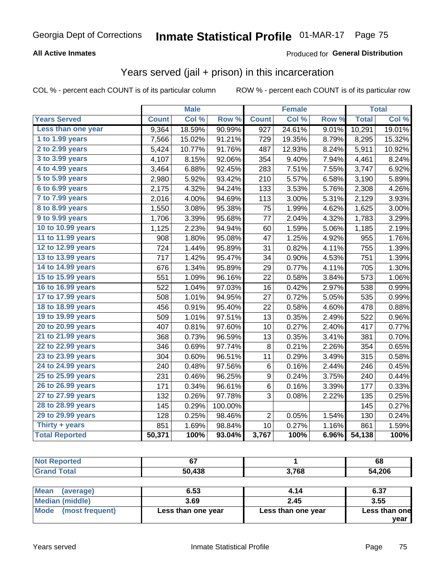### **All Active Inmates**

#### Produced for **General Distribution**

## Years served (jail + prison) in this incarceration

COL % - percent each COUNT is of its particular column ROW % - percent each COUNT is of its particular row

|                              |              | <b>Male</b> |         |                | <b>Female</b> |       |              | <b>Total</b> |
|------------------------------|--------------|-------------|---------|----------------|---------------|-------|--------------|--------------|
| <b>Years Served</b>          | <b>Count</b> | Col %       | Row %   | <b>Count</b>   | Col %         | Row % | <b>Total</b> | Col %        |
| Less than one year           | 9,364        | 18.59%      | 90.99%  | 927            | 24.61%        | 9.01% | 10,291       | 19.01%       |
| 1 to 1.99 years              | 7,566        | 15.02%      | 91.21%  | 729            | 19.35%        | 8.79% | 8,295        | 15.32%       |
| 2 to 2.99 years              | 5,424        | 10.77%      | 91.76%  | 487            | 12.93%        | 8.24% | 5,911        | 10.92%       |
| $3$ to $3.99$ years          | 4,107        | 8.15%       | 92.06%  | 354            | 9.40%         | 7.94% | 4,461        | 8.24%        |
| $\overline{4}$ to 4.99 years | 3,464        | 6.88%       | 92.45%  | 283            | 7.51%         | 7.55% | 3,747        | 6.92%        |
| $\overline{5}$ to 5.99 years | 2,980        | 5.92%       | 93.42%  | 210            | 5.57%         | 6.58% | 3,190        | 5.89%        |
| $6$ to $6.99$ years          | 2,175        | 4.32%       | 94.24%  | 133            | 3.53%         | 5.76% | 2,308        | 4.26%        |
| 7 to 7.99 years              | 2,016        | 4.00%       | 94.69%  | 113            | 3.00%         | 5.31% | 2,129        | 3.93%        |
| 8 to 8.99 years              | 1,550        | 3.08%       | 95.38%  | 75             | 1.99%         | 4.62% | 1,625        | 3.00%        |
| 9 to 9.99 years              | 1,706        | 3.39%       | 95.68%  | 77             | 2.04%         | 4.32% | 1,783        | 3.29%        |
| 10 to 10.99 years            | 1,125        | 2.23%       | 94.94%  | 60             | 1.59%         | 5.06% | 1,185        | 2.19%        |
| 11 to 11.99 years            | 908          | 1.80%       | 95.08%  | 47             | 1.25%         | 4.92% | 955          | 1.76%        |
| 12 to 12.99 years            | 724          | 1.44%       | 95.89%  | 31             | 0.82%         | 4.11% | 755          | 1.39%        |
| 13 to 13.99 years            | 717          | 1.42%       | 95.47%  | 34             | 0.90%         | 4.53% | 751          | 1.39%        |
| 14 to 14.99 years            | 676          | 1.34%       | 95.89%  | 29             | 0.77%         | 4.11% | 705          | 1.30%        |
| 15 to 15.99 years            | 551          | 1.09%       | 96.16%  | 22             | 0.58%         | 3.84% | 573          | 1.06%        |
| 16 to 16.99 years            | 522          | 1.04%       | 97.03%  | 16             | 0.42%         | 2.97% | 538          | 0.99%        |
| 17 to 17.99 years            | 508          | 1.01%       | 94.95%  | 27             | 0.72%         | 5.05% | 535          | 0.99%        |
| 18 to 18.99 years            | 456          | 0.91%       | 95.40%  | 22             | 0.58%         | 4.60% | 478          | 0.88%        |
| 19 to 19.99 years            | 509          | 1.01%       | 97.51%  | 13             | 0.35%         | 2.49% | 522          | 0.96%        |
| 20 to 20.99 years            | 407          | 0.81%       | 97.60%  | 10             | 0.27%         | 2.40% | 417          | 0.77%        |
| 21 to 21.99 years            | 368          | 0.73%       | 96.59%  | 13             | 0.35%         | 3.41% | 381          | 0.70%        |
| 22 to 22.99 years            | 346          | 0.69%       | 97.74%  | 8              | 0.21%         | 2.26% | 354          | 0.65%        |
| 23 to 23.99 years            | 304          | 0.60%       | 96.51%  | 11             | 0.29%         | 3.49% | 315          | 0.58%        |
| 24 to 24.99 years            | 240          | 0.48%       | 97.56%  | $\,6$          | 0.16%         | 2.44% | 246          | 0.45%        |
| 25 to 25.99 years            | 231          | 0.46%       | 96.25%  | 9              | 0.24%         | 3.75% | 240          | 0.44%        |
| 26 to 26.99 years            | 171          | 0.34%       | 96.61%  | 6              | 0.16%         | 3.39% | 177          | 0.33%        |
| 27 to 27.99 years            | 132          | 0.26%       | 97.78%  | 3              | 0.08%         | 2.22% | 135          | 0.25%        |
| 28 to 28.99 years            | 145          | 0.29%       | 100.00% |                |               |       | 145          | 0.27%        |
| 29 to 29.99 years            | 128          | 0.25%       | 98.46%  | $\overline{2}$ | 0.05%         | 1.54% | 130          | 0.24%        |
| Thirty + years               | 851          | 1.69%       | 98.84%  | 10             | 0.27%         | 1.16% | 861          | 1.59%        |
| <b>Total Reported</b>        | 50,371       | 100%        | 93.04%  | 3,767          | 100%          | 6.96% | 54,138       | 100%         |

| <b>Not Reported</b>     | 67                 |                    | 68            |
|-------------------------|--------------------|--------------------|---------------|
| <b>Grand Total</b>      | 50,438             | 3,768              | 54,206        |
| Mean<br>(average)       | 6.53               | 4.14               | 6.37          |
| Median (middle)         | 3.69               | 2.45               | 3.55          |
| Mode<br>(most frequent) | Less than one year | Less than one year | Less than one |

**year**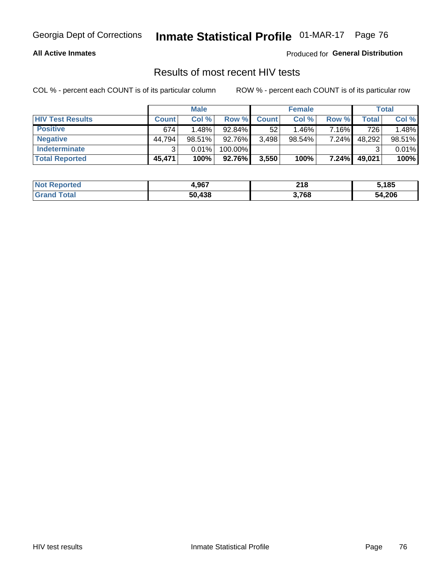#### **All Active Inmates**

Produced for **General Distribution**

## Results of most recent HIV tests

|                         | <b>Male</b>  |        |         | <b>Female</b> |           |          | Total  |        |
|-------------------------|--------------|--------|---------|---------------|-----------|----------|--------|--------|
| <b>HIV Test Results</b> | <b>Count</b> | Col %  | Row %I  | <b>Count</b>  | Col %     | Row %    | Total  | Col %  |
| <b>Positive</b>         | 674          | 1.48%  | 92.84%  | 52            | 1.46%     | 7.16%    | 726    | 1.48%  |
| <b>Negative</b>         | 44,794       | 98.51% | 92.76%  | 3,498         | $98.54\%$ | 7.24%    | 48,292 | 98.51% |
| Indeterminate           | ົ            | 0.01%  | 100.00% |               |           |          |        | 0.01%  |
| <b>Total Reported</b>   | 45,471       | 100%   | 92.76%  | 3,550         | 100%      | $7.24\%$ | 49,021 | 100%   |

| <b>Not Reported</b> | 4,967  | <b>O40</b><br>2 I O | 5,185  |
|---------------------|--------|---------------------|--------|
| Total<br>Gran       | 50,438 | 3,768               | 54,206 |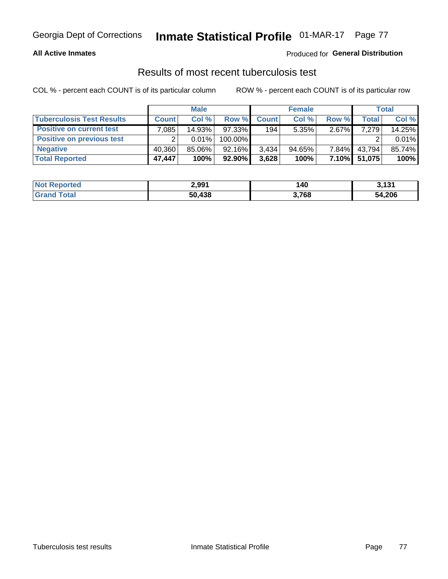#### **All Active Inmates**

#### Produced for **General Distribution**

### Results of most recent tuberculosis test

|                                  | <b>Male</b>  |          | <b>Female</b> |              |           | Total        |              |        |
|----------------------------------|--------------|----------|---------------|--------------|-----------|--------------|--------------|--------|
| <b>Tuberculosis Test Results</b> | <b>Count</b> | Col%     | Row %         | <b>Count</b> | Col %     | Row %        | <b>Total</b> | Col %  |
| <b>Positive on current test</b>  | .085         | 14.93%   | 97.33%        | 194          | 5.35%     | $2.67\%$     | 7,279        | 14.25% |
| <b>Positive on previous test</b> | ົ            | $0.01\%$ | 100.00%       |              |           |              |              | 0.01%  |
| <b>Negative</b>                  | 40,360       | 85.06%   | 92.16%        | 3.434        | $94.65\%$ | $7.84\%$     | 43,794       | 85.74% |
| <b>Total Reported</b>            | 47,447       | 100%     | $92.90\%$     | 3,628        | 100%      | <b>7.10%</b> | 51,075       | 100%   |

| <b>Not Reported</b> | 2.991  | 140   | 3,131  |
|---------------------|--------|-------|--------|
| <b>Grand Total</b>  | 50,438 | 3,768 | 54,206 |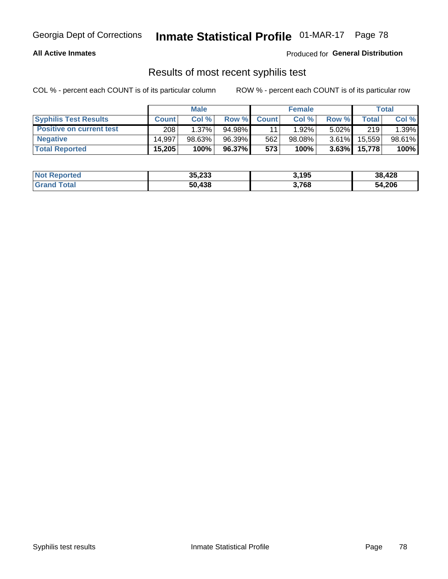#### **All Active Inmates**

Produced for **General Distribution**

### Results of most recent syphilis test

|                                 | <b>Male</b>  |           |        | <b>Female</b> |           |          | Total   |        |
|---------------------------------|--------------|-----------|--------|---------------|-----------|----------|---------|--------|
| <b>Syphilis Test Results</b>    | <b>Count</b> | Col%      | Row %  | <b>Count</b>  | Col %     | Row %    | Total I | Col %  |
| <b>Positive on current test</b> | 208          | $1.37\%$  | 94.98% |               | $1.92\%$  | $5.02\%$ | 219     | 1.39%  |
| <b>Negative</b>                 | 14.997       | $98.63\%$ | 96.39% | 562           | $98.08\%$ | $3.61\%$ | 15,559  | 98.61% |
| <b>Total Reported</b>           | 15,205       | 100%      | 96.37% | 573           | 100%      | 3.63%    | 15,778  | 100%   |

| <b>Not Reported</b> | 35,233 | 3,195 | 38,428 |
|---------------------|--------|-------|--------|
| <b>Grand Total</b>  | 50,438 | 3,768 | 54,206 |